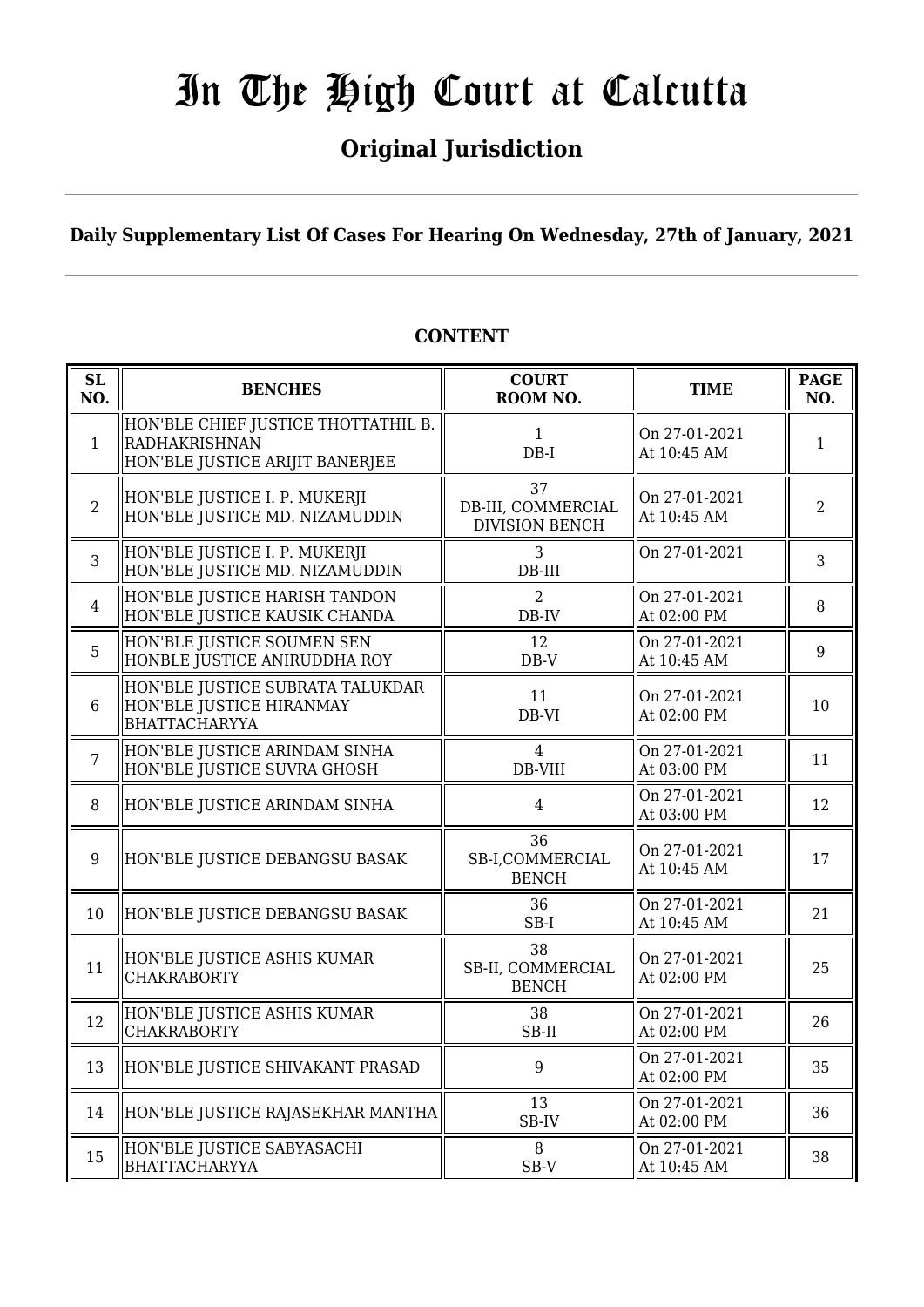## **Original Jurisdiction**

**Daily Supplementary List Of Cases For Hearing On Wednesday, 27th of January, 2021**

| <b>SL</b><br>NO. | <b>BENCHES</b>                                                                          | <b>COURT</b><br>ROOM NO.                          | <b>TIME</b>                  | <b>PAGE</b><br>NO. |
|------------------|-----------------------------------------------------------------------------------------|---------------------------------------------------|------------------------------|--------------------|
| $\mathbf{1}$     | HON'BLE CHIEF JUSTICE THOTTATHIL B.<br>RADHAKRISHNAN<br>HON'BLE JUSTICE ARIJIT BANERJEE | $\mathbf{1}$<br>$DB-I$                            | On 27-01-2021<br>At 10:45 AM | $\mathbf{1}$       |
| $\overline{2}$   | HON'BLE JUSTICE I. P. MUKERJI<br>HON'BLE JUSTICE MD. NIZAMUDDIN                         | 37<br>DB-III, COMMERCIAL<br><b>DIVISION BENCH</b> | On 27-01-2021<br>At 10:45 AM | $\overline{2}$     |
| 3                | HON'BLE JUSTICE I. P. MUKERJI<br>HON'BLE JUSTICE MD. NIZAMUDDIN                         | 3<br>$DB-III$                                     | On 27-01-2021                | 3                  |
| $\overline{4}$   | HON'BLE JUSTICE HARISH TANDON<br>HON'BLE JUSTICE KAUSIK CHANDA                          | 2<br>DB-IV                                        | On 27-01-2021<br>At 02:00 PM | 8                  |
| 5                | HON'BLE JUSTICE SOUMEN SEN<br>HONBLE JUSTICE ANIRUDDHA ROY                              | 12<br>$DB-V$                                      | On 27-01-2021<br>At 10:45 AM | 9                  |
| $6\phantom{1}$   | HON'BLE JUSTICE SUBRATA TALUKDAR<br>HON'BLE JUSTICE HIRANMAY<br><b>BHATTACHARYYA</b>    | 11<br>DB-VI                                       | On 27-01-2021<br>At 02:00 PM | 10                 |
| $\overline{7}$   | HON'BLE JUSTICE ARINDAM SINHA<br>HON'BLE JUSTICE SUVRA GHOSH                            | $\overline{4}$<br>DB-VIII                         | On 27-01-2021<br>At 03:00 PM | 11                 |
| 8                | HON'BLE JUSTICE ARINDAM SINHA                                                           | $\overline{4}$                                    | On 27-01-2021<br>At 03:00 PM | 12                 |
| 9                | HON'BLE JUSTICE DEBANGSU BASAK                                                          | 36<br>SB-I,COMMERCIAL<br><b>BENCH</b>             | On 27-01-2021<br>At 10:45 AM | 17                 |
| 10               | HON'BLE JUSTICE DEBANGSU BASAK                                                          | 36<br>$SB-I$                                      | On 27-01-2021<br>At 10:45 AM | 21                 |
| 11               | HON'BLE JUSTICE ASHIS KUMAR<br><b>CHAKRABORTY</b>                                       | 38<br>SB-II, COMMERCIAL<br><b>BENCH</b>           | On 27-01-2021<br>At 02:00 PM | 25                 |
| 12               | HON'BLE JUSTICE ASHIS KUMAR<br><b>CHAKRABORTY</b>                                       | 38<br>SB-II                                       | On 27-01-2021<br>At 02:00 PM | 26                 |
| 13               | HON'BLE JUSTICE SHIVAKANT PRASAD                                                        | 9                                                 | On 27-01-2021<br>At 02:00 PM | 35                 |
| 14               | HON'BLE JUSTICE RAJASEKHAR MANTHA                                                       | 13<br>SB-IV                                       | On 27-01-2021<br>At 02:00 PM | 36                 |
| 15               | HON'BLE JUSTICE SABYASACHI<br><b>BHATTACHARYYA</b>                                      | 8<br>SB-V                                         | On 27-01-2021<br>At 10:45 AM | 38                 |

#### **CONTENT**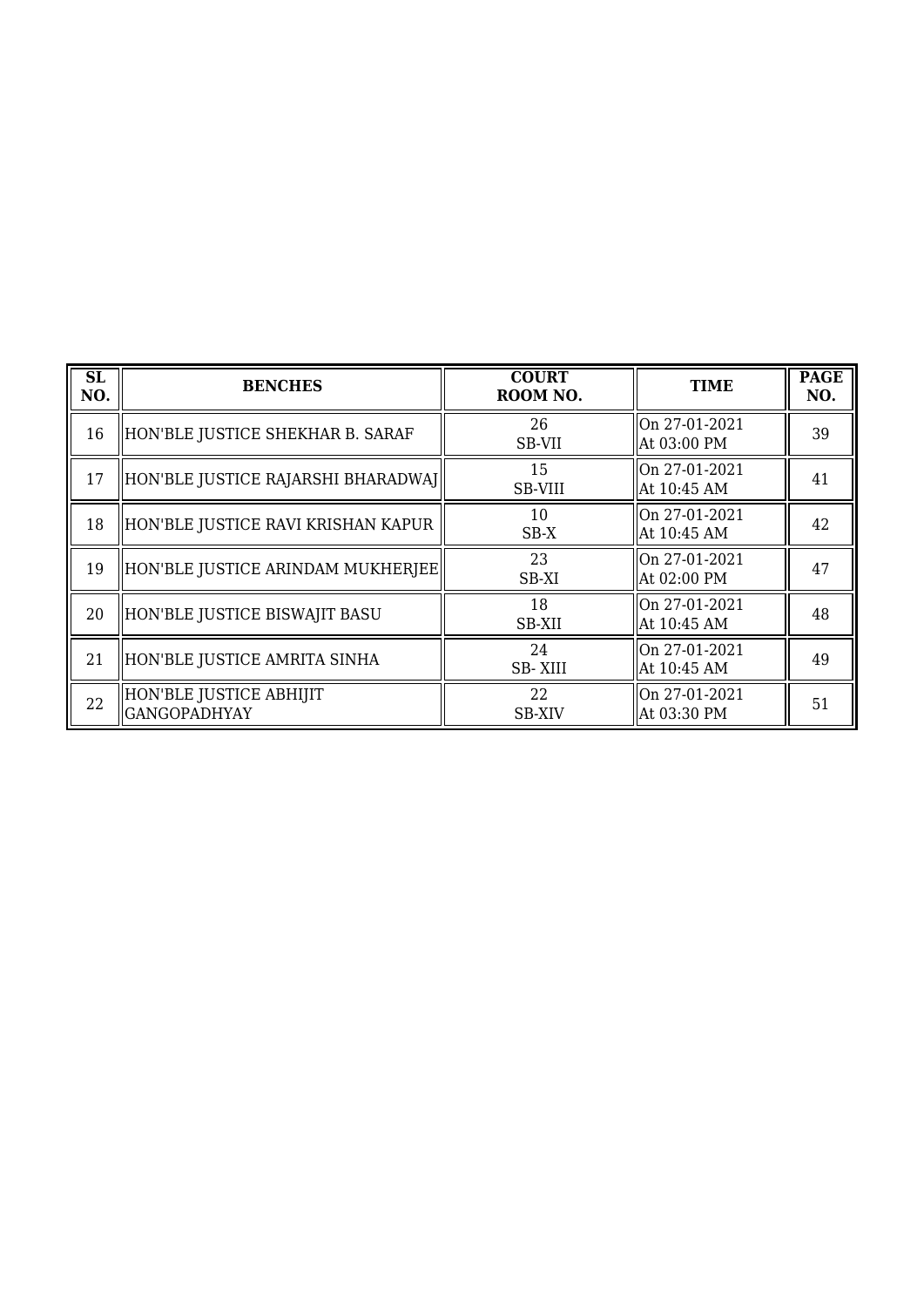| <b>SL</b><br>NO. | <b>BENCHES</b>                           | <b>COURT</b><br>ROOM NO. | <b>TIME</b>                  | <b>PAGE</b><br>NO. |
|------------------|------------------------------------------|--------------------------|------------------------------|--------------------|
| 16               | HON'BLE JUSTICE SHEKHAR B. SARAF         | 26<br>SB-VII             | On 27-01-2021<br>At 03:00 PM | 39                 |
| 17               | HON'BLE JUSTICE RAJARSHI BHARADWAJ       | 15<br>SB-VIII            | On 27-01-2021<br>At 10:45 AM | 41                 |
| 18               | HON'BLE JUSTICE RAVI KRISHAN KAPUR       | 10<br>$SB-X$             | On 27-01-2021<br>At 10:45 AM | 42                 |
| 19               | HON'BLE JUSTICE ARINDAM MUKHERJEE        | 23<br>SB-XI              | On 27-01-2021<br>At 02:00 PM | 47                 |
| 20               | HON'BLE JUSTICE BISWAJIT BASU            | 18<br>SB-XII             | On 27-01-2021<br>At 10:45 AM | 48                 |
| 21               | HON'BLE JUSTICE AMRITA SINHA             | 24<br>SB-XIII            | On 27-01-2021<br>At 10:45 AM | 49                 |
| 22               | HON'BLE JUSTICE ABHIJIT<br> GANGOPADHYAY | 22<br><b>SB-XIV</b>      | On 27-01-2021<br>At 03:30 PM | 51                 |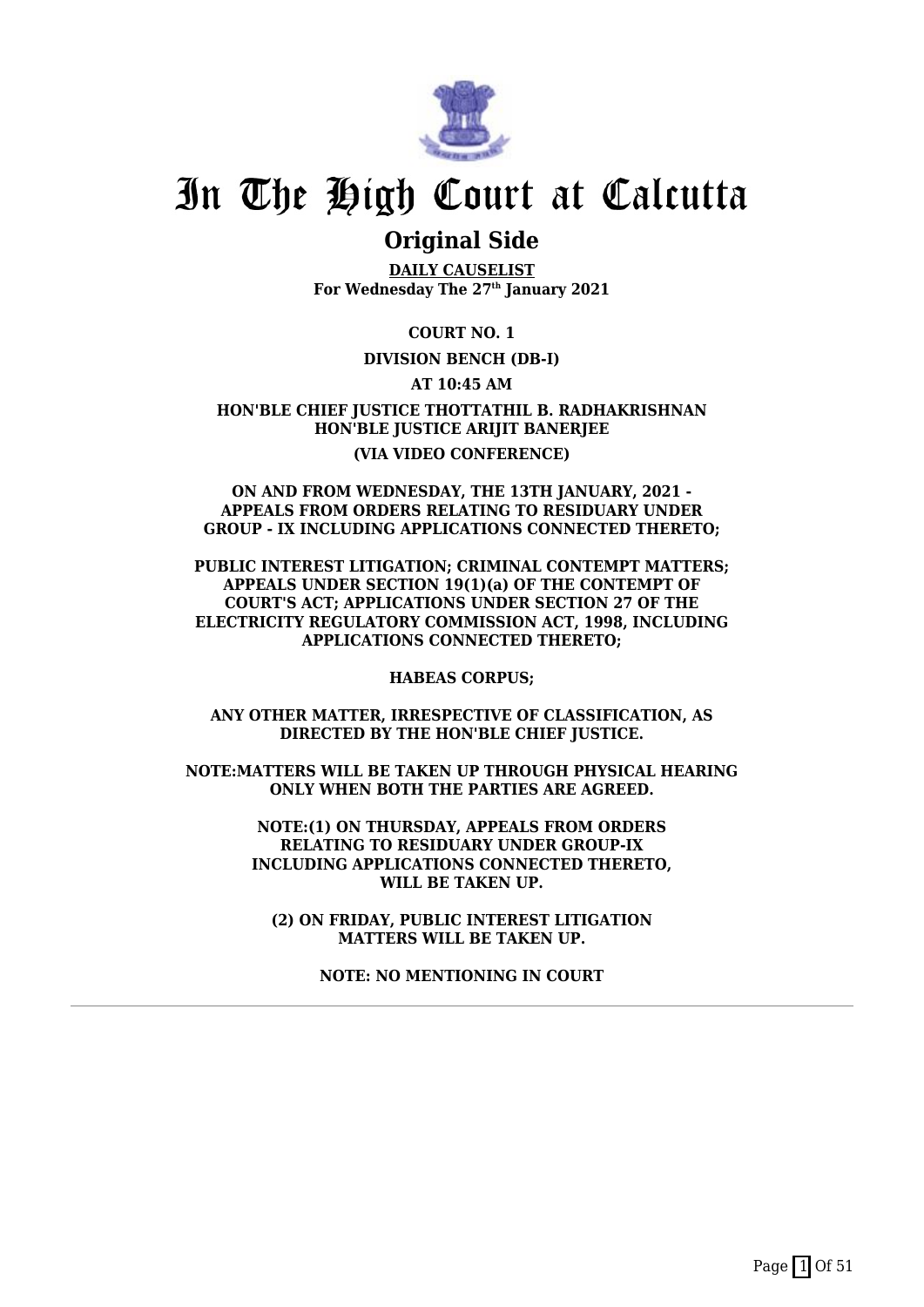

### **Original Side**

**DAILY CAUSELIST For Wednesday The 27th January 2021**

**COURT NO. 1**

#### **DIVISION BENCH (DB-I)**

**AT 10:45 AM**

**HON'BLE CHIEF JUSTICE THOTTATHIL B. RADHAKRISHNAN HON'BLE JUSTICE ARIJIT BANERJEE (VIA VIDEO CONFERENCE)**

#### **ON AND FROM WEDNESDAY, THE 13TH JANUARY, 2021 - APPEALS FROM ORDERS RELATING TO RESIDUARY UNDER GROUP - IX INCLUDING APPLICATIONS CONNECTED THERETO;**

**PUBLIC INTEREST LITIGATION; CRIMINAL CONTEMPT MATTERS; APPEALS UNDER SECTION 19(1)(a) OF THE CONTEMPT OF COURT'S ACT; APPLICATIONS UNDER SECTION 27 OF THE ELECTRICITY REGULATORY COMMISSION ACT, 1998, INCLUDING APPLICATIONS CONNECTED THERETO;**

**HABEAS CORPUS;**

**ANY OTHER MATTER, IRRESPECTIVE OF CLASSIFICATION, AS DIRECTED BY THE HON'BLE CHIEF JUSTICE.**

**NOTE:MATTERS WILL BE TAKEN UP THROUGH PHYSICAL HEARING ONLY WHEN BOTH THE PARTIES ARE AGREED.**

> **NOTE:(1) ON THURSDAY, APPEALS FROM ORDERS RELATING TO RESIDUARY UNDER GROUP-IX INCLUDING APPLICATIONS CONNECTED THERETO, WILL BE TAKEN UP.**

**(2) ON FRIDAY, PUBLIC INTEREST LITIGATION MATTERS WILL BE TAKEN UP.**

**NOTE: NO MENTIONING IN COURT**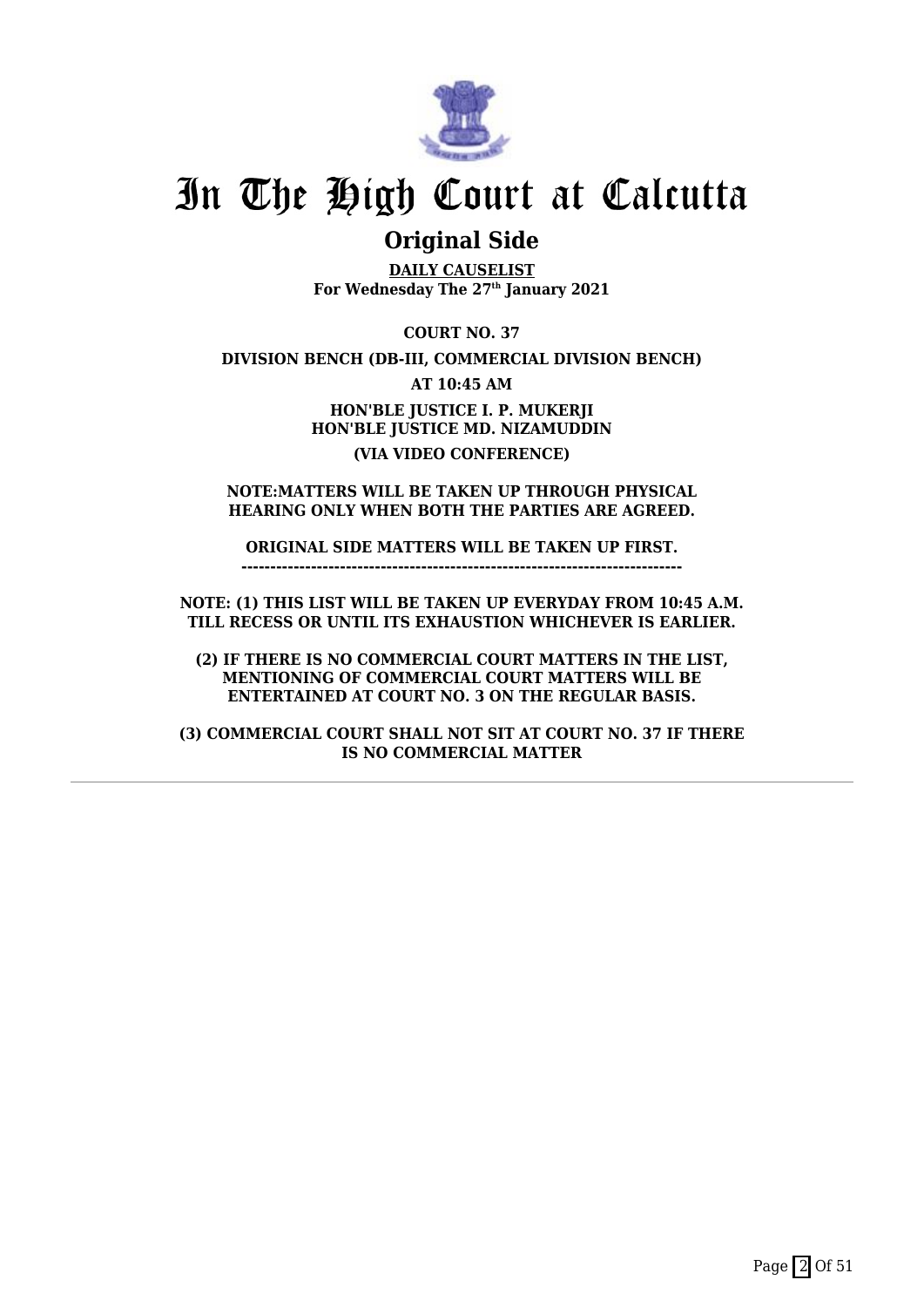

### **Original Side**

**DAILY CAUSELIST For Wednesday The 27th January 2021**

**COURT NO. 37**

**DIVISION BENCH (DB-III, COMMERCIAL DIVISION BENCH)**

**AT 10:45 AM**

**HON'BLE JUSTICE I. P. MUKERJI HON'BLE JUSTICE MD. NIZAMUDDIN (VIA VIDEO CONFERENCE)**

**NOTE:MATTERS WILL BE TAKEN UP THROUGH PHYSICAL HEARING ONLY WHEN BOTH THE PARTIES ARE AGREED.**

**ORIGINAL SIDE MATTERS WILL BE TAKEN UP FIRST. ----------------------------------------------------------------------------**

**NOTE: (1) THIS LIST WILL BE TAKEN UP EVERYDAY FROM 10:45 A.M. TILL RECESS OR UNTIL ITS EXHAUSTION WHICHEVER IS EARLIER.**

**(2) IF THERE IS NO COMMERCIAL COURT MATTERS IN THE LIST, MENTIONING OF COMMERCIAL COURT MATTERS WILL BE ENTERTAINED AT COURT NO. 3 ON THE REGULAR BASIS.**

**(3) COMMERCIAL COURT SHALL NOT SIT AT COURT NO. 37 IF THERE IS NO COMMERCIAL MATTER**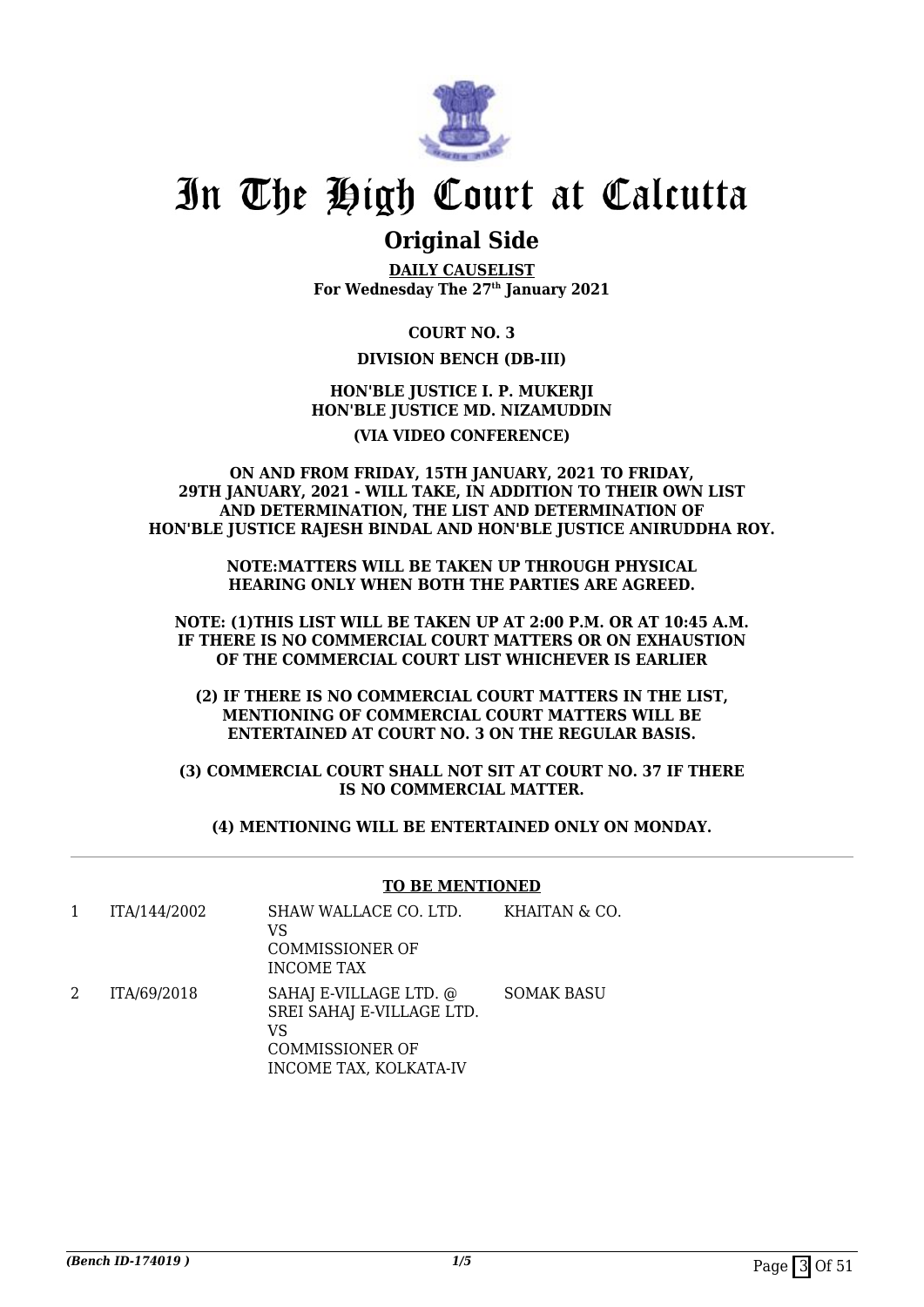

### **Original Side**

**DAILY CAUSELIST For Wednesday The 27th January 2021**

**COURT NO. 3**

#### **DIVISION BENCH (DB-III)**

#### **HON'BLE JUSTICE I. P. MUKERJI HON'BLE JUSTICE MD. NIZAMUDDIN**

#### **(VIA VIDEO CONFERENCE)**

#### **ON AND FROM FRIDAY, 15TH JANUARY, 2021 TO FRIDAY, 29TH JANUARY, 2021 - WILL TAKE, IN ADDITION TO THEIR OWN LIST AND DETERMINATION, THE LIST AND DETERMINATION OF HON'BLE JUSTICE RAJESH BINDAL AND HON'BLE JUSTICE ANIRUDDHA ROY.**

**NOTE:MATTERS WILL BE TAKEN UP THROUGH PHYSICAL HEARING ONLY WHEN BOTH THE PARTIES ARE AGREED.**

**NOTE: (1)THIS LIST WILL BE TAKEN UP AT 2:00 P.M. OR AT 10:45 A.M. IF THERE IS NO COMMERCIAL COURT MATTERS OR ON EXHAUSTION OF THE COMMERCIAL COURT LIST WHICHEVER IS EARLIER**

**(2) IF THERE IS NO COMMERCIAL COURT MATTERS IN THE LIST, MENTIONING OF COMMERCIAL COURT MATTERS WILL BE ENTERTAINED AT COURT NO. 3 ON THE REGULAR BASIS.**

**(3) COMMERCIAL COURT SHALL NOT SIT AT COURT NO. 37 IF THERE IS NO COMMERCIAL MATTER.**

**(4) MENTIONING WILL BE ENTERTAINED ONLY ON MONDAY.**

#### **TO BE MENTIONED**

|   | ITA/144/2002 | SHAW WALLACE CO. LTD.<br>VS<br><b>COMMISSIONER OF</b><br><b>INCOME TAX</b>                                    | KHAITAN & CO.     |
|---|--------------|---------------------------------------------------------------------------------------------------------------|-------------------|
| 2 | ITA/69/2018  | SAHAJ E-VILLAGE LTD. @<br>SREI SAHAJ E-VILLAGE LTD.<br>VS<br><b>COMMISSIONER OF</b><br>INCOME TAX, KOLKATA-IV | <b>SOMAK BASU</b> |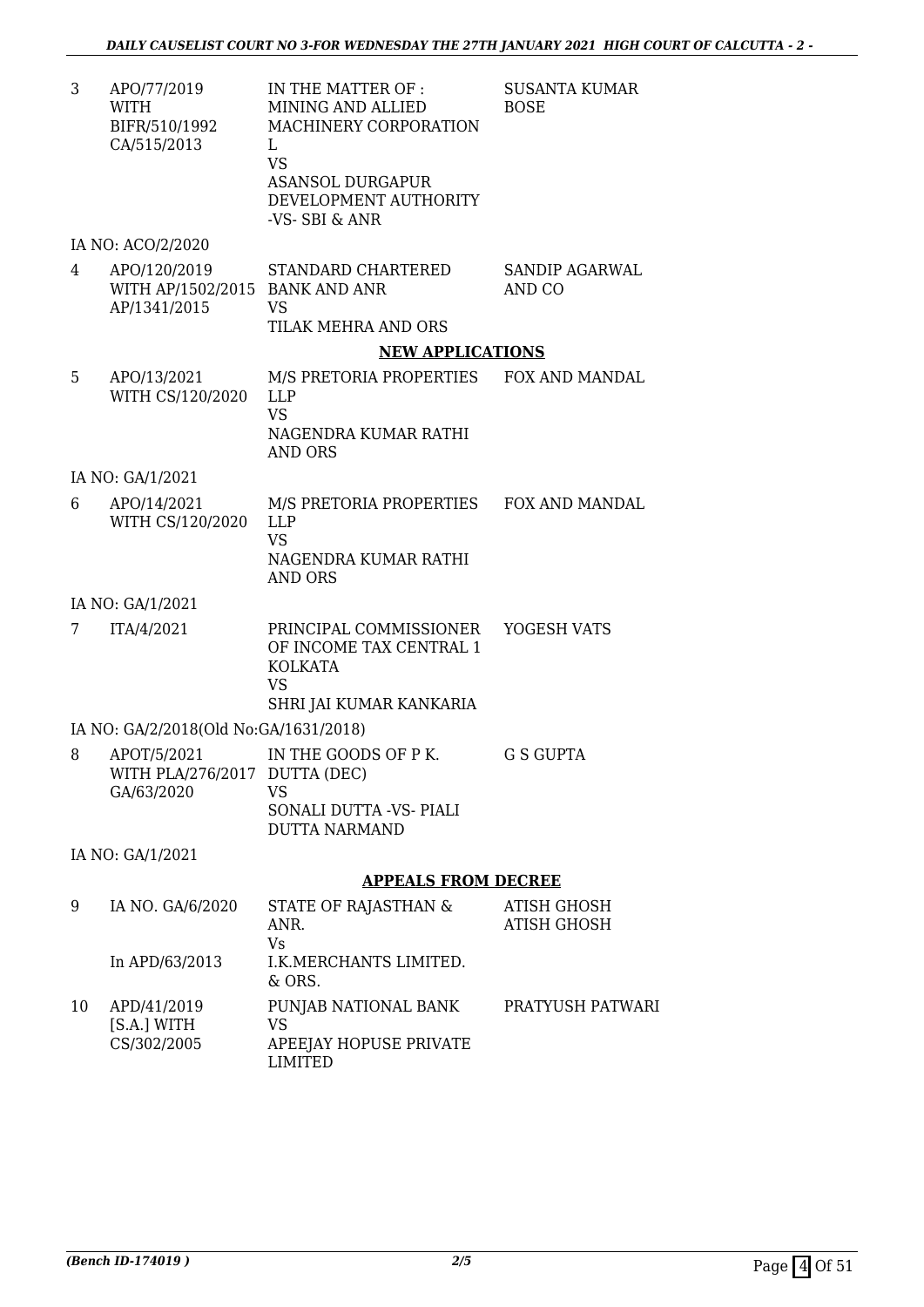SUSANTA KUMAR

BOSE

3 APO/77/2019 WITH BIFR/510/1992 CA/515/2013 IN THE MATTER OF : MINING AND ALLIED MACHINERY CORPORATION L VS ASANSOL DURGAPUR

DEVELOPMENT AUTHORITY -VS- SBI & ANR

#### IA NO: ACO/2/2020

4 APO/120/2019 WITH AP/1502/2015 BANK AND ANR AP/1341/2015 STANDARD CHARTERED VS TILAK MEHRA AND ORS SANDIP AGARWAL AND CO

#### **NEW APPLICATIONS**

5 APO/13/2021 WITH CS/120/2020 M/S PRETORIA PROPERTIES LLP VS NAGENDRA KUMAR RATHI AND ORS FOX AND MANDAL

IA NO: GA/1/2021

6 APO/14/2021 WITH CS/120/2020 M/S PRETORIA PROPERTIES LLP VS NAGENDRA KUMAR RATHI AND ORS FOX AND MANDAL

#### IA NO: GA/1/2021

7 ITA/4/2021 PRINCIPAL COMMISSIONER OF INCOME TAX CENTRAL 1 KOLKATA VS SHRI JAI KUMAR KANKARIA YOGESH VATS

IA NO: GA/2/2018(Old No:GA/1631/2018)

8 APOT/5/2021 WITH PLA/276/2017 DUTTA (DEC) GA/63/2020 IN THE GOODS OF P K. VS SONALI DUTTA -VS- PIALI DUTTA NARMAND G S GUPTA

IA NO: GA/1/2021

#### **APPEALS FROM DECREE**

| 9  | IA NO. GA/6/2020                          | STATE OF RAJASTHAN &<br>ANR.<br>Vs                              | ATISH GHOSH<br>ATISH GHOSH |
|----|-------------------------------------------|-----------------------------------------------------------------|----------------------------|
|    | In APD/63/2013                            | I.K.MERCHANTS LIMITED.<br>$&$ ORS.                              |                            |
| 10 | APD/41/2019<br>[S.A.] WITH<br>CS/302/2005 | PUNJAB NATIONAL BANK<br>VS<br>APEEJAY HOPUSE PRIVATE<br>LIMITED | PRATYUSH PATWARI           |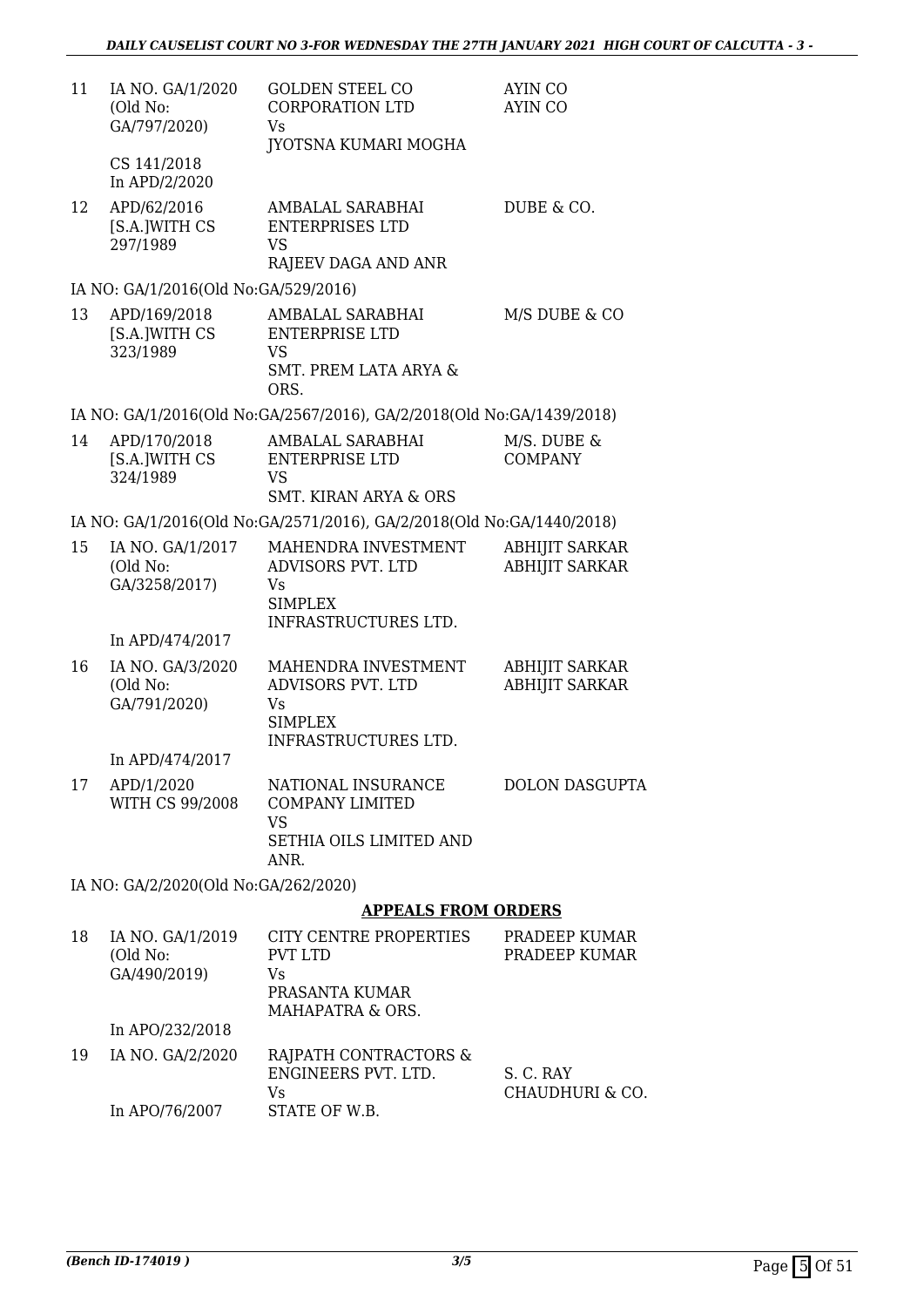| 11 | IA NO. GA/1/2020<br>(Old No:<br>GA/797/2020)  | <b>GOLDEN STEEL CO</b><br>CORPORATION LTD<br>Vs<br>JYOTSNA KUMARI MOGHA                                                         | AYIN CO<br>AYIN CO                             |
|----|-----------------------------------------------|---------------------------------------------------------------------------------------------------------------------------------|------------------------------------------------|
|    | CS 141/2018<br>In APD/2/2020                  |                                                                                                                                 |                                                |
| 12 | APD/62/2016<br>[S.A.]WITH CS<br>297/1989      | AMBALAL SARABHAI<br><b>ENTERPRISES LTD</b><br>VS                                                                                | DUBE & CO.                                     |
|    | IA NO: GA/1/2016(Old No:GA/529/2016)          | RAJEEV DAGA AND ANR                                                                                                             |                                                |
| 13 | APD/169/2018<br>[S.A.]WITH CS<br>323/1989     | AMBALAL SARABHAI<br><b>ENTERPRISE LTD</b><br><b>VS</b><br>SMT. PREM LATA ARYA &                                                 | M/S DUBE & CO                                  |
|    |                                               | ORS.                                                                                                                            |                                                |
| 14 | APD/170/2018<br>[S.A.]WITH CS<br>324/1989     | IA NO: GA/1/2016(Old No:GA/2567/2016), GA/2/2018(Old No:GA/1439/2018)<br>AMBALAL SARABHAI<br><b>ENTERPRISE LTD</b><br><b>VS</b> | M/S. DUBE &<br><b>COMPANY</b>                  |
|    |                                               | <b>SMT. KIRAN ARYA &amp; ORS</b>                                                                                                |                                                |
|    |                                               | IA NO: GA/1/2016(Old No:GA/2571/2016), GA/2/2018(Old No:GA/1440/2018)                                                           |                                                |
| 15 | IA NO. GA/1/2017<br>(Old No:<br>GA/3258/2017) | MAHENDRA INVESTMENT<br>ADVISORS PVT. LTD<br>Vs<br><b>SIMPLEX</b><br>INFRASTRUCTURES LTD.                                        | <b>ABHIJIT SARKAR</b><br><b>ABHIJIT SARKAR</b> |
|    | In APD/474/2017                               |                                                                                                                                 |                                                |
| 16 | IA NO. GA/3/2020<br>(Old No:<br>GA/791/2020)  | MAHENDRA INVESTMENT<br>ADVISORS PVT. LTD<br>Vs<br><b>SIMPLEX</b><br>INFRASTRUCTURES LTD.                                        | <b>ABHIJIT SARKAR</b><br><b>ABHIJIT SARKAR</b> |
|    | In APD/474/2017                               |                                                                                                                                 |                                                |
| 17 | APD/1/2020<br>WITH CS 99/2008                 | NATIONAL INSURANCE<br><b>COMPANY LIMITED</b><br><b>VS</b>                                                                       | <b>DOLON DASGUPTA</b>                          |
|    |                                               | SETHIA OILS LIMITED AND<br>ANR.                                                                                                 |                                                |
|    | IA NO: GA/2/2020(Old No:GA/262/2020)          |                                                                                                                                 |                                                |
|    |                                               | <b>APPEALS FROM ORDERS</b>                                                                                                      |                                                |
| 18 | IA NO. GA/1/2019<br>(Old No:<br>GA/490/2019)  | CITY CENTRE PROPERTIES<br><b>PVT LTD</b><br>Vs<br>PRASANTA KUMAR<br>MAHAPATRA & ORS.                                            | PRADEEP KUMAR<br>PRADEEP KUMAR                 |
|    | In APO/232/2018                               |                                                                                                                                 |                                                |
| 19 | IA NO. GA/2/2020                              | RAJPATH CONTRACTORS &<br>ENGINEERS PVT. LTD.<br>Vs                                                                              | S. C. RAY<br>CHAUDHURI & CO.                   |
|    | In APO/76/2007                                | STATE OF W.B.                                                                                                                   |                                                |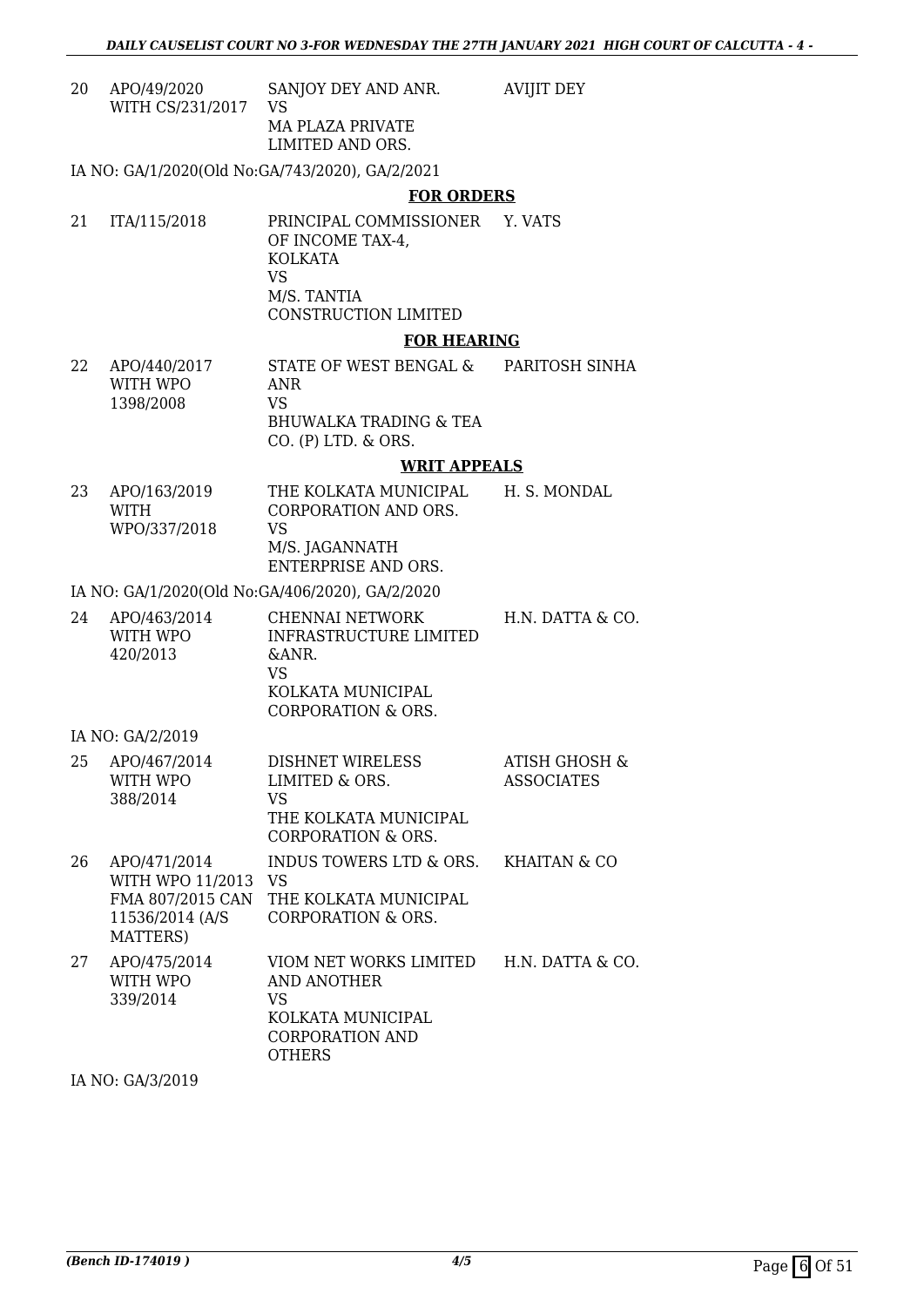20 APO/49/2020 WITH CS/231/2017 SANJOY DEY AND ANR. VS MA PLAZA PRIVATE LIMITED AND ORS. AVIJIT DEY

IA NO: GA/1/2020(Old No:GA/743/2020), GA/2/2021

#### **FOR ORDERS**

21 ITA/115/2018 PRINCIPAL COMMISSIONER Y. VATS OF INCOME TAX-4, KOLKATA VS M/S. TANTIA CONSTRUCTION LIMITED

#### **FOR HEARING**

22 APO/440/2017 WITH WPO 1398/2008 STATE OF WEST BENGAL & ANR VS BHUWALKA TRADING & TEA CO. (P) LTD. & ORS. PARITOSH SINHA

#### **WRIT APPEALS**

23 APO/163/2019 WITH WPO/337/2018 THE KOLKATA MUNICIPAL CORPORATION AND ORS. VS M/S. JAGANNATH ENTERPRISE AND ORS. H. S. MONDAL

IA NO: GA/1/2020(Old No:GA/406/2020), GA/2/2020

| 24 | APO/463/2014<br>WITH WPO<br>420/2013 | CHENNAI NETWORK<br>INFRASTRUCTURE LIMITED<br>&ANR.<br>VS<br>KOLKATA MUNICIPAL<br>CORPORATION & ORS. | H.N. DATTA & CO. |
|----|--------------------------------------|-----------------------------------------------------------------------------------------------------|------------------|
|    | IA NO: GA/2/2019                     |                                                                                                     |                  |

#### 25 APO/467/2014 WITH WPO 388/2014 DISHNET WIRELESS LIMITED & ORS. VS THE KOLKATA MUNICIPAL CORPORATION & ORS. ATISH GHOSH & ASSOCIATES 26 APO/471/2014 WITH WPO 11/2013 VS FMA 807/2015 CAN 11536/2014 (A/S MATTERS) INDUS TOWERS LTD & ORS. THE KOLKATA MUNICIPAL CORPORATION & ORS. KHAITAN & CO 27 APO/475/2014 WITH WPO 339/2014 VIOM NET WORKS LIMITED AND ANOTHER VS KOLKATA MUNICIPAL CORPORATION AND **OTHERS** H.N. DATTA & CO.

IA NO: GA/3/2019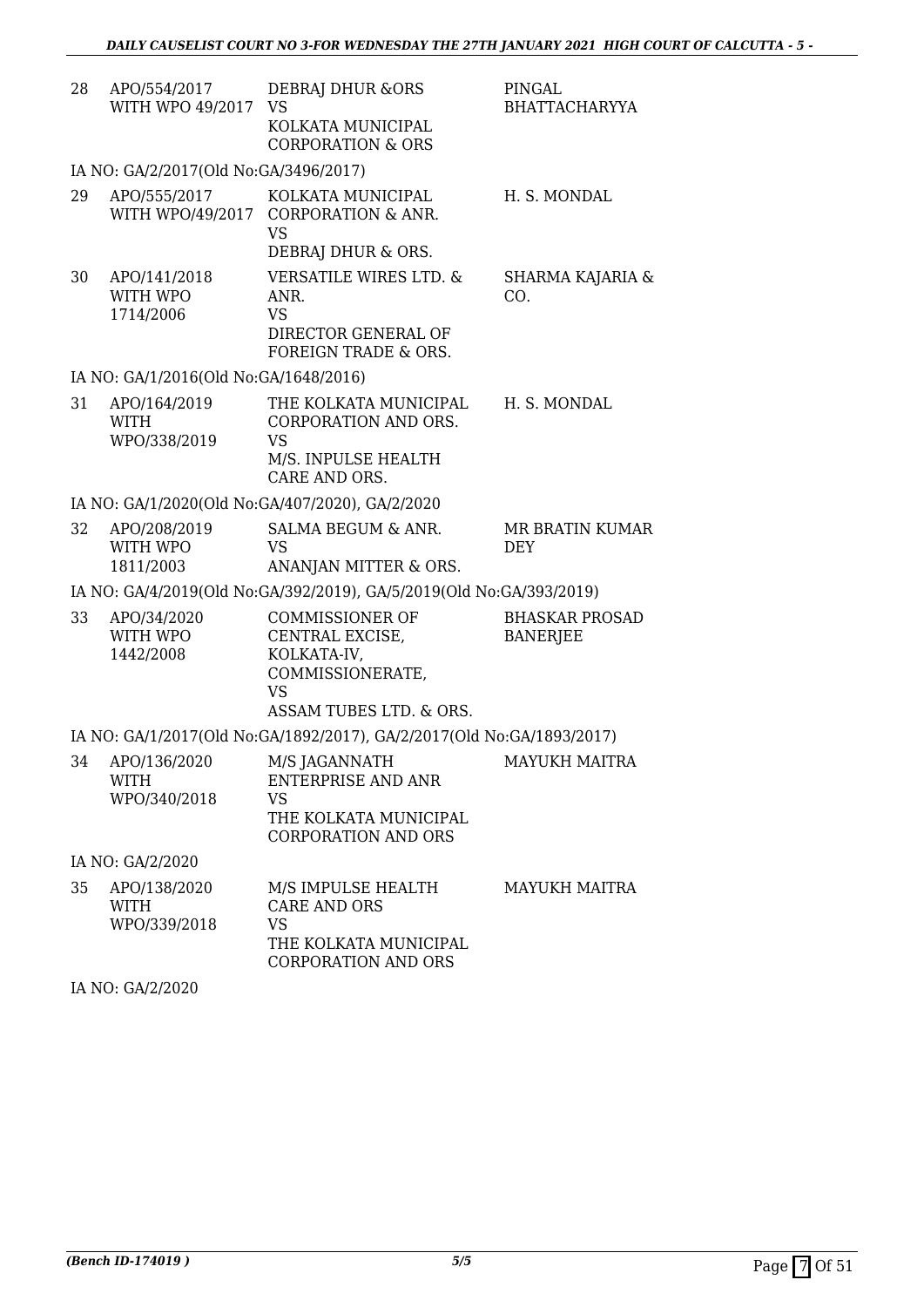| 28 | APO/554/2017<br>WITH WPO 49/2017            | DEBRAJ DHUR & ORS<br><b>VS</b><br>KOLKATA MUNICIPAL<br><b>CORPORATION &amp; ORS</b>                                                          | <b>PINGAL</b><br><b>BHATTACHARYYA</b>    |
|----|---------------------------------------------|----------------------------------------------------------------------------------------------------------------------------------------------|------------------------------------------|
|    | IA NO: GA/2/2017(Old No:GA/3496/2017)       |                                                                                                                                              |                                          |
| 29 | APO/555/2017<br>WITH WPO/49/2017            | KOLKATA MUNICIPAL<br><b>CORPORATION &amp; ANR.</b><br><b>VS</b><br>DEBRAJ DHUR & ORS.                                                        | H. S. MONDAL                             |
| 30 | APO/141/2018<br>WITH WPO<br>1714/2006       | <b>VERSATILE WIRES LTD. &amp;</b><br>ANR.<br><b>VS</b><br>DIRECTOR GENERAL OF<br>FOREIGN TRADE & ORS.                                        | <b>SHARMA KAJARIA &amp;</b><br>CO.       |
|    | IA NO: GA/1/2016(Old No:GA/1648/2016)       |                                                                                                                                              |                                          |
| 31 | APO/164/2019<br><b>WITH</b><br>WPO/338/2019 | THE KOLKATA MUNICIPAL<br>CORPORATION AND ORS.<br><b>VS</b><br>M/S. INPULSE HEALTH<br>CARE AND ORS.                                           | H. S. MONDAL                             |
|    |                                             | IA NO: GA/1/2020(Old No:GA/407/2020), GA/2/2020                                                                                              |                                          |
| 32 | APO/208/2019<br>WITH WPO<br>1811/2003       | SALMA BEGUM & ANR.<br><b>VS</b><br>ANANJAN MITTER & ORS.                                                                                     | MR BRATIN KUMAR<br><b>DEY</b>            |
|    |                                             | IA NO: GA/4/2019(Old No:GA/392/2019), GA/5/2019(Old No:GA/393/2019)                                                                          |                                          |
| 33 | APO/34/2020<br>WITH WPO<br>1442/2008        | <b>COMMISSIONER OF</b><br>CENTRAL EXCISE,<br>KOLKATA-IV,<br>COMMISSIONERATE,<br><b>VS</b><br>ASSAM TUBES LTD. & ORS.                         | <b>BHASKAR PROSAD</b><br><b>BANERJEE</b> |
|    |                                             | IA NO: GA/1/2017(Old No:GA/1892/2017), GA/2/2017(Old No:GA/1893/2017)                                                                        |                                          |
|    | <b>WITH</b><br>WPO/340/2018                 | 34 APO/136/2020 M/S JAGANNATH MAYUKH MAITRA<br><b>ENTERPRISE AND ANR</b><br><b>VS</b><br>THE KOLKATA MUNICIPAL<br><b>CORPORATION AND ORS</b> |                                          |
|    | IA NO: GA/2/2020                            |                                                                                                                                              |                                          |
| 35 | APO/138/2020<br><b>WITH</b><br>WPO/339/2018 | M/S IMPULSE HEALTH<br>CARE AND ORS<br><b>VS</b><br>THE KOLKATA MUNICIPAL<br><b>CORPORATION AND ORS</b>                                       | <b>MAYUKH MAITRA</b>                     |

IA NO: GA/2/2020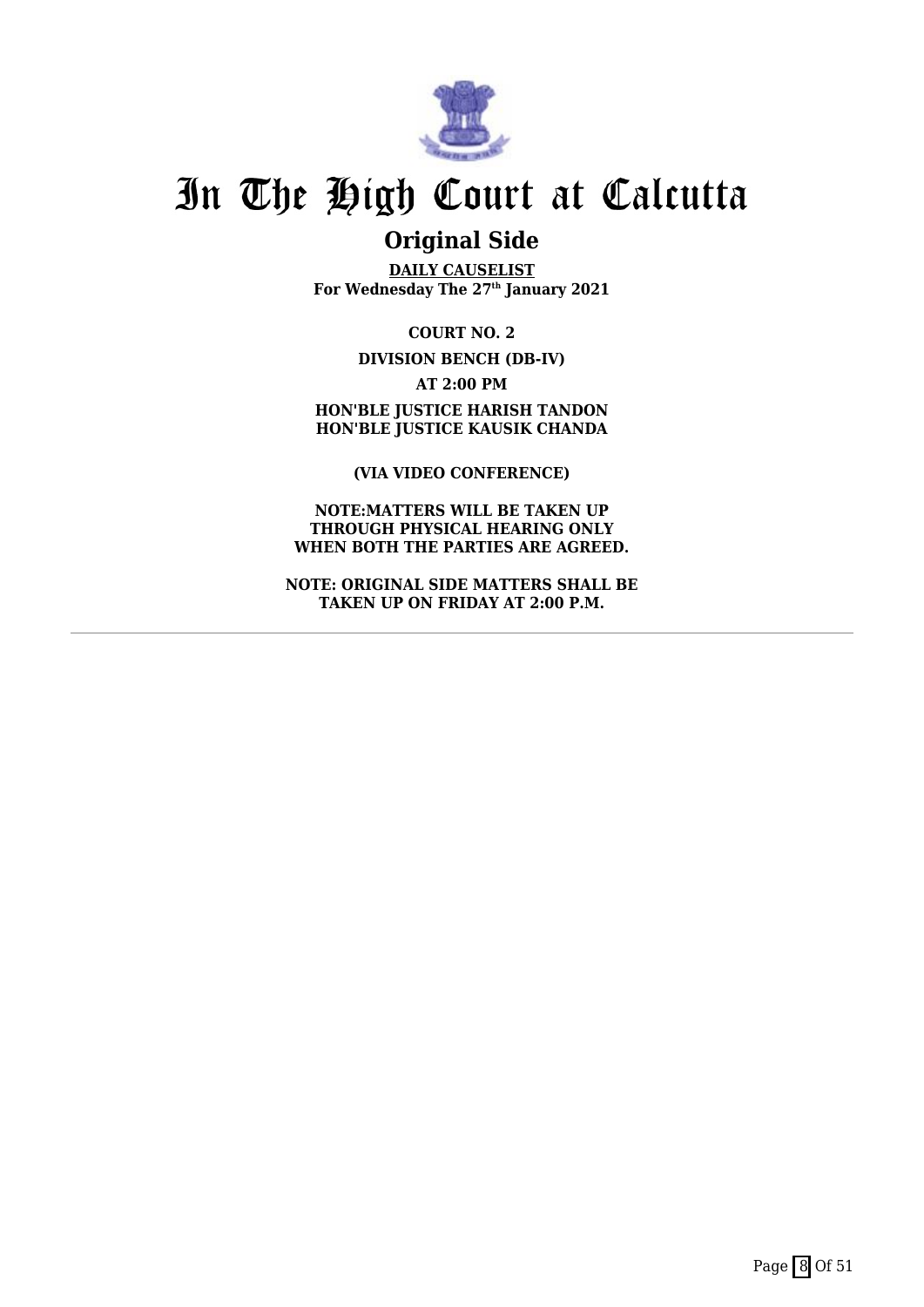

### **Original Side**

**DAILY CAUSELIST For Wednesday The 27th January 2021**

**COURT NO. 2 DIVISION BENCH (DB-IV)**

**AT 2:00 PM HON'BLE JUSTICE HARISH TANDON HON'BLE JUSTICE KAUSIK CHANDA**

**(VIA VIDEO CONFERENCE)**

**NOTE:MATTERS WILL BE TAKEN UP THROUGH PHYSICAL HEARING ONLY WHEN BOTH THE PARTIES ARE AGREED.**

**NOTE: ORIGINAL SIDE MATTERS SHALL BE TAKEN UP ON FRIDAY AT 2:00 P.M.**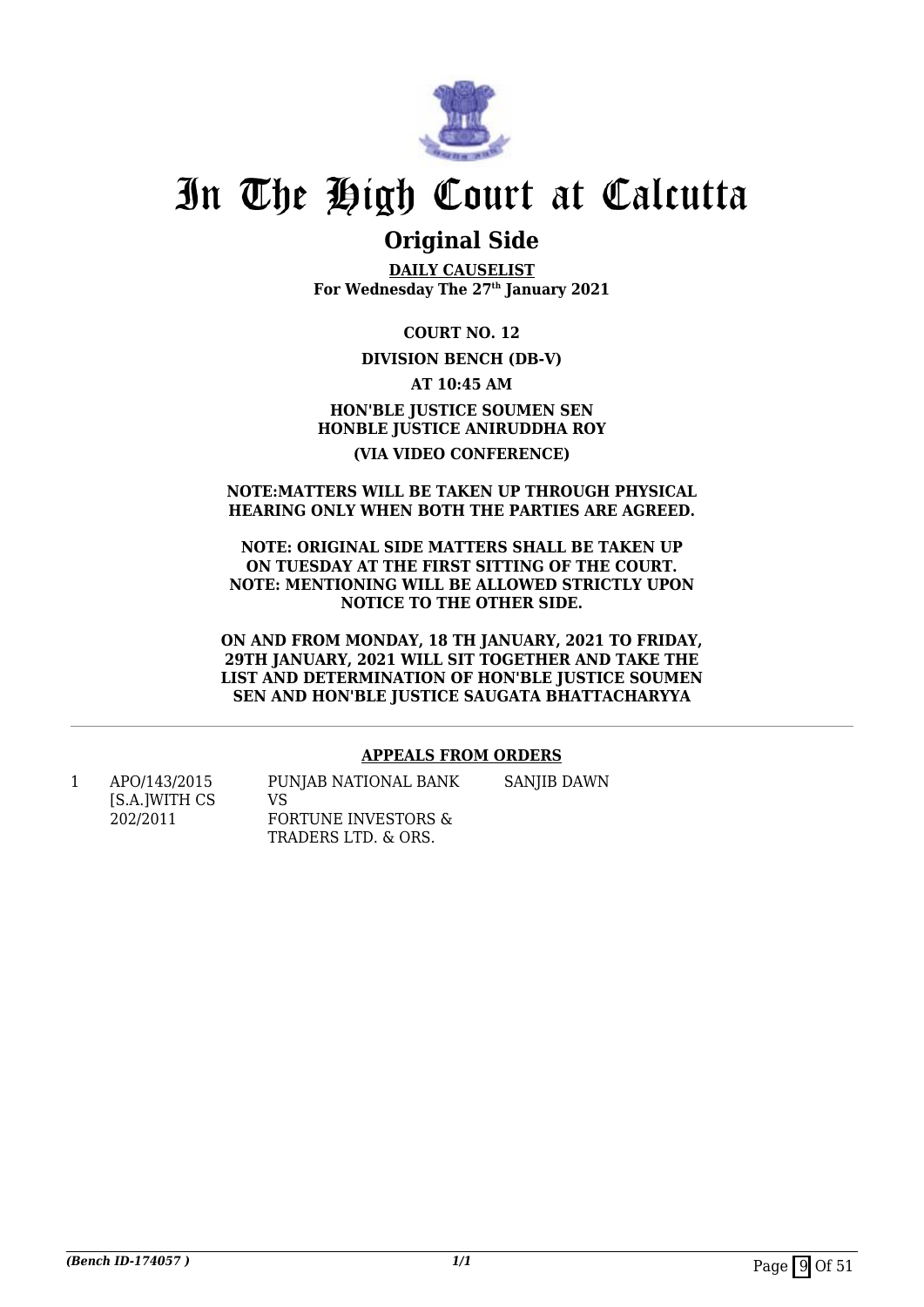

### **Original Side**

**DAILY CAUSELIST For Wednesday The 27th January 2021**

**COURT NO. 12**

#### **DIVISION BENCH (DB-V)**

**AT 10:45 AM**

#### **HON'BLE JUSTICE SOUMEN SEN HONBLE JUSTICE ANIRUDDHA ROY (VIA VIDEO CONFERENCE)**

#### **NOTE:MATTERS WILL BE TAKEN UP THROUGH PHYSICAL HEARING ONLY WHEN BOTH THE PARTIES ARE AGREED.**

#### **NOTE: ORIGINAL SIDE MATTERS SHALL BE TAKEN UP ON TUESDAY AT THE FIRST SITTING OF THE COURT. NOTE: MENTIONING WILL BE ALLOWED STRICTLY UPON NOTICE TO THE OTHER SIDE.**

**ON AND FROM MONDAY, 18 TH JANUARY, 2021 TO FRIDAY, 29TH JANUARY, 2021 WILL SIT TOGETHER AND TAKE THE LIST AND DETERMINATION OF HON'BLE JUSTICE SOUMEN SEN AND HON'BLE JUSTICE SAUGATA BHATTACHARYYA**

#### **APPEALS FROM ORDERS**

1 APO/143/2015 [S.A.]WITH CS 202/2011 PUNJAB NATIONAL BANK VS FORTUNE INVESTORS & TRADERS LTD. & ORS. SANIIB DAWN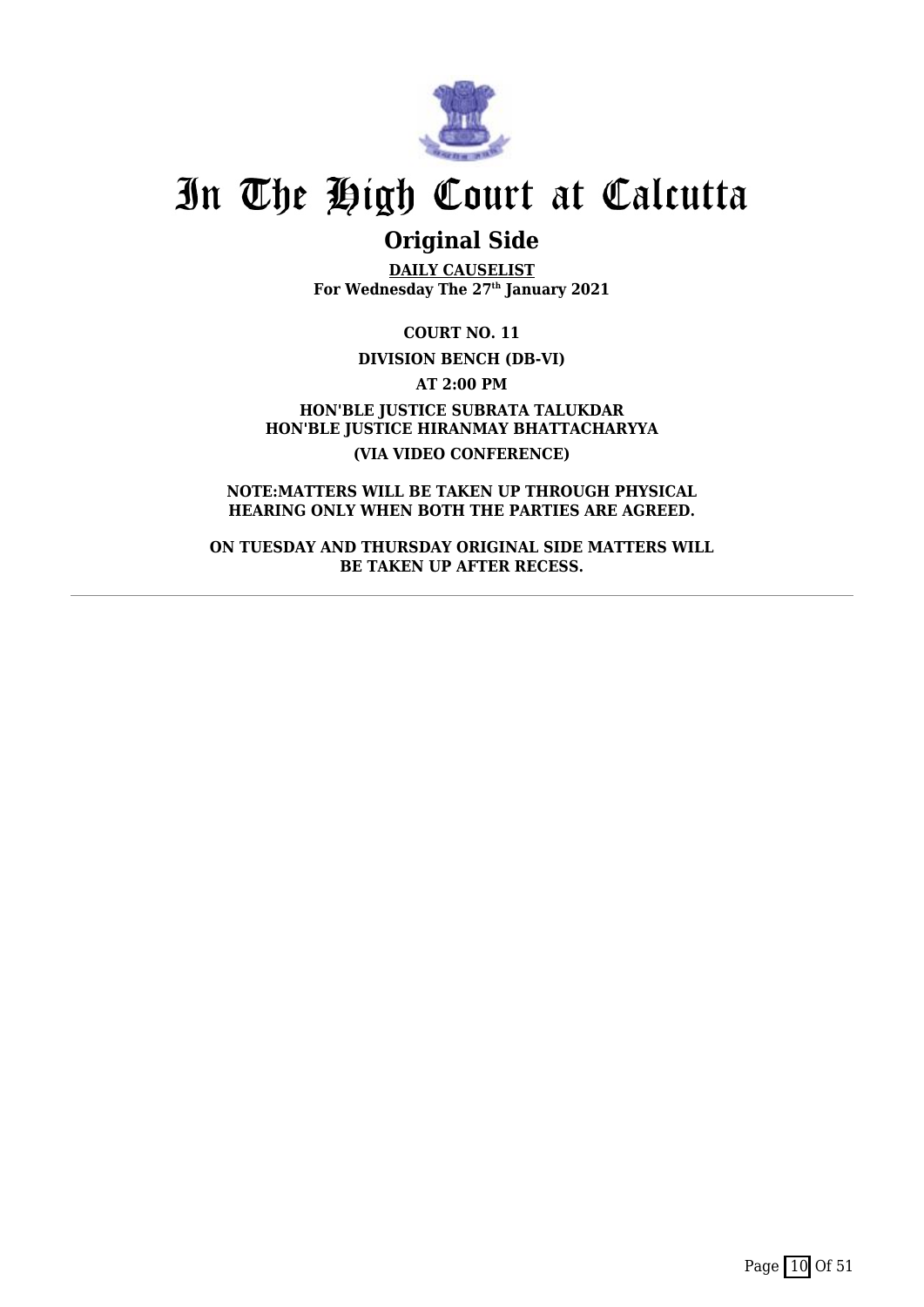

## **Original Side**

**DAILY CAUSELIST For Wednesday The 27th January 2021**

**COURT NO. 11**

**DIVISION BENCH (DB-VI)**

**AT 2:00 PM**

**HON'BLE JUSTICE SUBRATA TALUKDAR HON'BLE JUSTICE HIRANMAY BHATTACHARYYA (VIA VIDEO CONFERENCE)**

**NOTE:MATTERS WILL BE TAKEN UP THROUGH PHYSICAL HEARING ONLY WHEN BOTH THE PARTIES ARE AGREED.**

**ON TUESDAY AND THURSDAY ORIGINAL SIDE MATTERS WILL BE TAKEN UP AFTER RECESS.**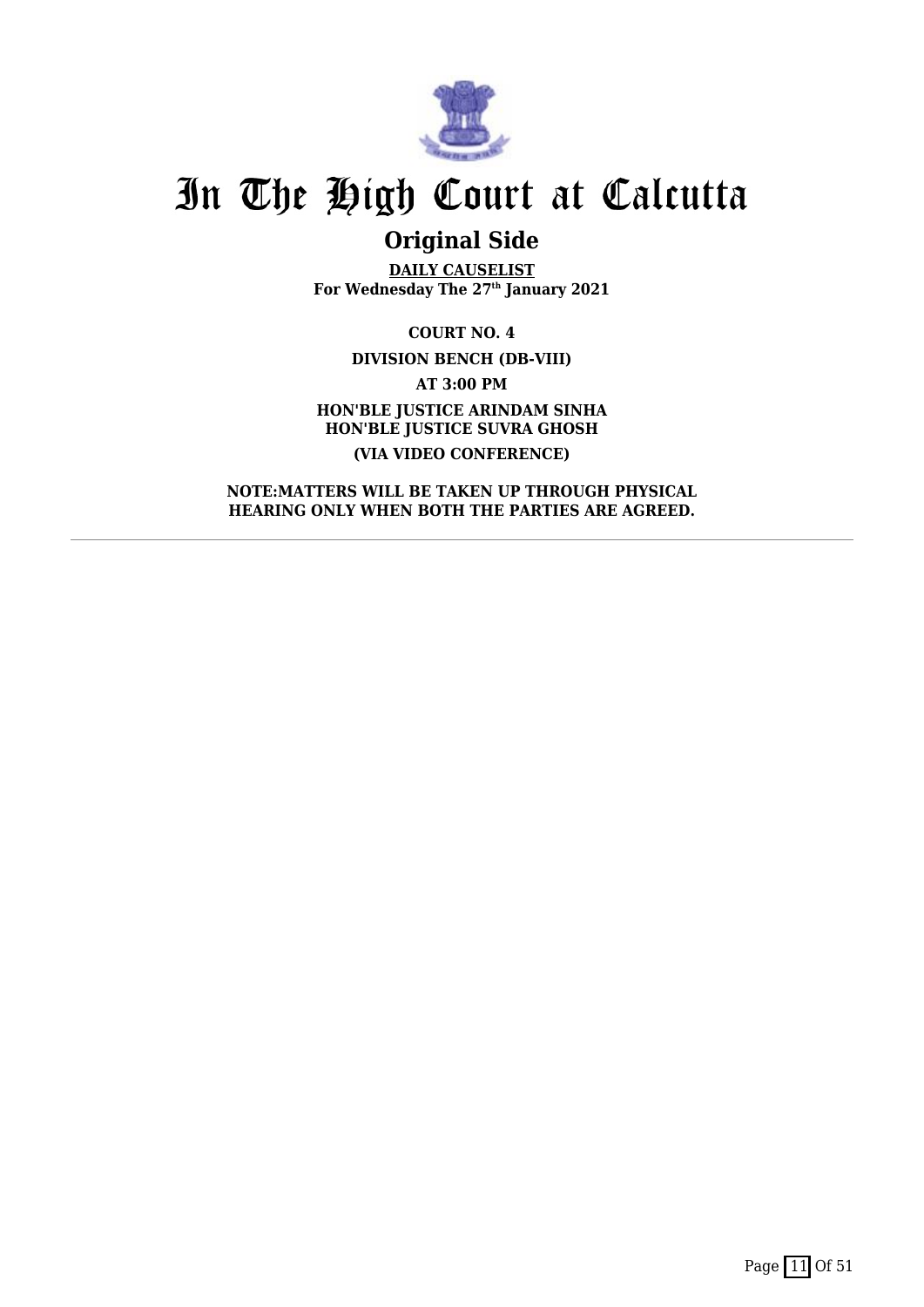

## **Original Side**

**DAILY CAUSELIST For Wednesday The 27th January 2021**

**COURT NO. 4 DIVISION BENCH (DB-VIII) AT 3:00 PM HON'BLE JUSTICE ARINDAM SINHA HON'BLE JUSTICE SUVRA GHOSH (VIA VIDEO CONFERENCE)**

**NOTE:MATTERS WILL BE TAKEN UP THROUGH PHYSICAL HEARING ONLY WHEN BOTH THE PARTIES ARE AGREED.**

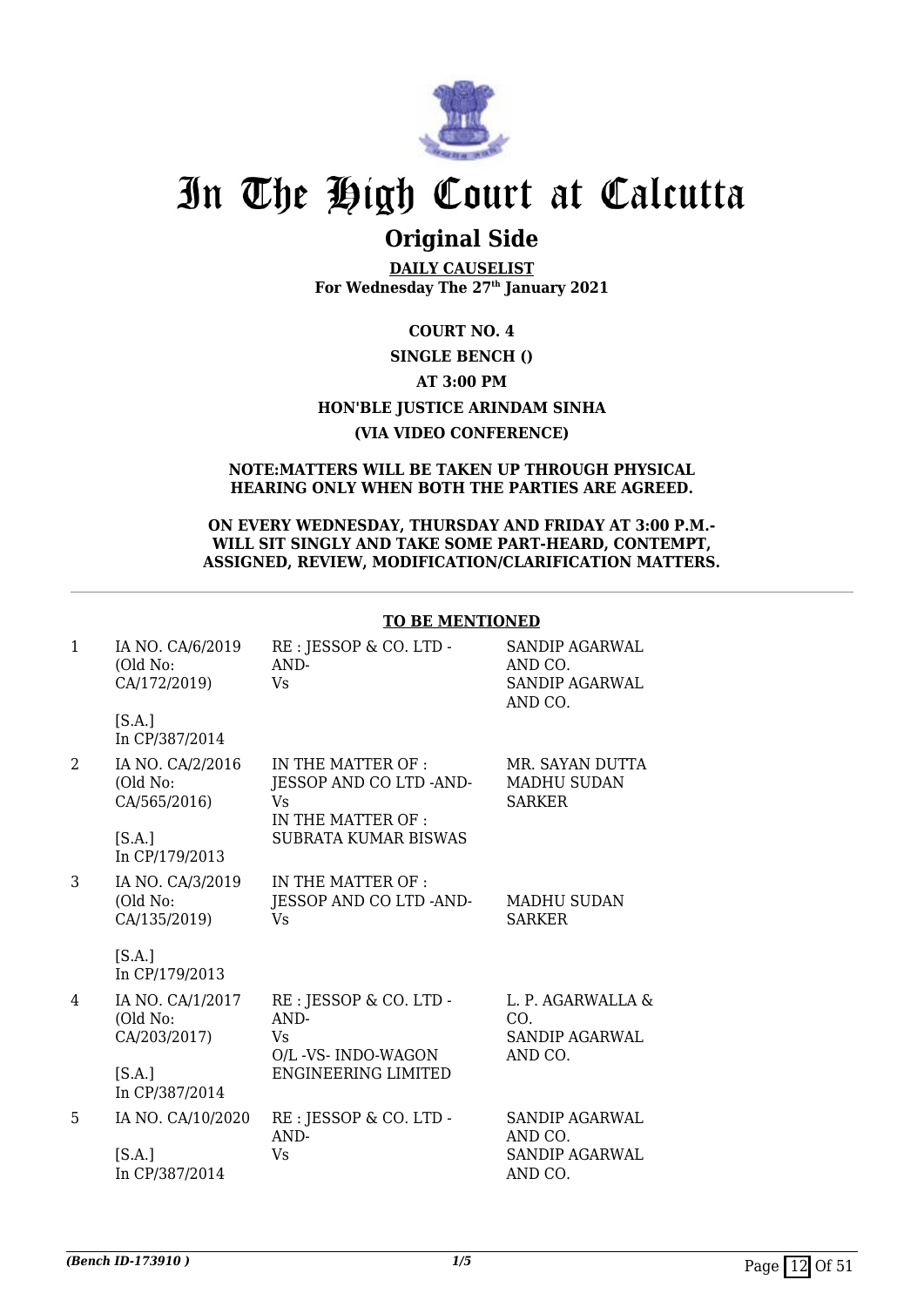

## **Original Side**

**DAILY CAUSELIST For Wednesday The 27th January 2021**

#### **COURT NO. 4**

#### **SINGLE BENCH ()**

#### **AT 3:00 PM**

### **HON'BLE JUSTICE ARINDAM SINHA**

#### **(VIA VIDEO CONFERENCE)**

#### **NOTE:MATTERS WILL BE TAKEN UP THROUGH PHYSICAL HEARING ONLY WHEN BOTH THE PARTIES ARE AGREED.**

#### **ON EVERY WEDNESDAY, THURSDAY AND FRIDAY AT 3:00 P.M.- WILL SIT SINGLY AND TAKE SOME PART-HEARD, CONTEMPT, ASSIGNED, REVIEW, MODIFICATION/CLARIFICATION MATTERS.**

**TO BE MENTIONED**

|              |                                              | TO DE MENTIONED                                                            |                                                               |
|--------------|----------------------------------------------|----------------------------------------------------------------------------|---------------------------------------------------------------|
| $\mathbf{1}$ | IA NO. CA/6/2019<br>(Old No:<br>CA/172/2019) | RE : JESSOP & CO. LTD -<br>AND-<br><b>Vs</b>                               | SANDIP AGARWAL<br>AND CO.<br><b>SANDIP AGARWAL</b><br>AND CO. |
|              | [S.A.]<br>In CP/387/2014                     |                                                                            |                                                               |
| 2            | IA NO. CA/2/2016<br>(Old No:<br>CA/565/2016) | IN THE MATTER OF :<br>JESSOP AND CO LTD -AND-<br>Vs.<br>IN THE MATTER OF : | MR. SAYAN DUTTA<br><b>MADHU SUDAN</b><br><b>SARKER</b>        |
|              | [S.A.]<br>In CP/179/2013                     | <b>SUBRATA KUMAR BISWAS</b>                                                |                                                               |
| 3            | IA NO. CA/3/2019<br>(Old No:<br>CA/135/2019) | IN THE MATTER OF :<br>JESSOP AND CO LTD -AND-<br><b>Vs</b>                 | <b>MADHU SUDAN</b><br><b>SARKER</b>                           |
|              | [S.A.]<br>In CP/179/2013                     |                                                                            |                                                               |
| 4            | IA NO. CA/1/2017<br>(Old No:<br>CA/203/2017) | RE : JESSOP & CO. LTD -<br>AND-<br>Vs.<br>O/L -VS- INDO-WAGON              | L. P. AGARWALLA &<br>CO.<br><b>SANDIP AGARWAL</b><br>AND CO.  |
|              | [S.A.]<br>In CP/387/2014                     | <b>ENGINEERING LIMITED</b>                                                 |                                                               |
| 5            | IA NO. CA/10/2020                            | RE : JESSOP & CO. LTD -<br>AND-                                            | <b>SANDIP AGARWAL</b><br>AND CO.                              |
|              | [S.A.]<br>In CP/387/2014                     | Vs.                                                                        | <b>SANDIP AGARWAL</b><br>AND CO.                              |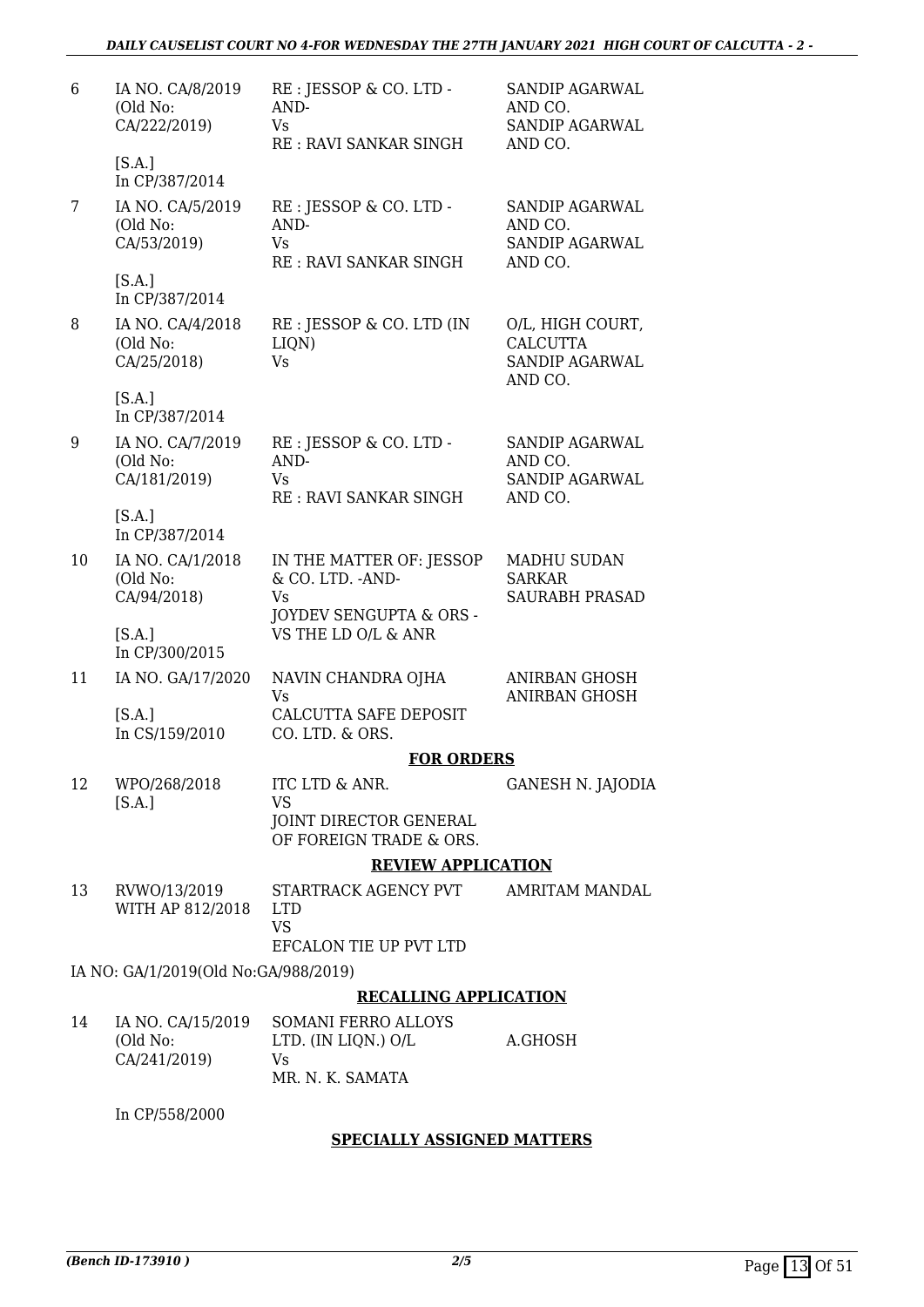| 6  | IA NO. CA/8/2019<br>(Old No:<br>CA/222/2019) | RE : JESSOP & CO. LTD -<br>AND-<br>Vs<br><b>RE: RAVI SANKAR SINGH</b>        | SANDIP AGARWAL<br>AND CO.<br><b>SANDIP AGARWAL</b><br>AND CO.           |
|----|----------------------------------------------|------------------------------------------------------------------------------|-------------------------------------------------------------------------|
|    | [S.A.]<br>In CP/387/2014                     |                                                                              |                                                                         |
| 7  | IA NO. CA/5/2019<br>(Old No:<br>CA/53/2019)  | RE : JESSOP & CO. LTD -<br>AND-<br><b>Vs</b><br>RE: RAVI SANKAR SINGH        | SANDIP AGARWAL<br>AND CO.<br><b>SANDIP AGARWAL</b><br>AND CO.           |
|    | [S.A.]<br>In CP/387/2014                     |                                                                              |                                                                         |
| 8  | IA NO. CA/4/2018<br>(Old No:<br>CA/25/2018)  | RE : JESSOP & CO. LTD (IN<br>LIQN)<br><b>Vs</b>                              | O/L, HIGH COURT,<br><b>CALCUTTA</b><br><b>SANDIP AGARWAL</b><br>AND CO. |
|    | [S.A.]<br>In CP/387/2014                     |                                                                              |                                                                         |
| 9  | IA NO. CA/7/2019<br>(Old No:<br>CA/181/2019) | RE : JESSOP & CO. LTD -<br>AND-<br><b>Vs</b><br><b>RE: RAVI SANKAR SINGH</b> | SANDIP AGARWAL<br>AND CO.<br><b>SANDIP AGARWAL</b><br>AND CO.           |
|    | [S.A.]<br>In CP/387/2014                     |                                                                              |                                                                         |
| 10 | IA NO. CA/1/2018<br>(Old No:<br>CA/94/2018)  | IN THE MATTER OF: JESSOP<br>& CO. LTD. - AND-<br>Vs                          | <b>MADHU SUDAN</b><br><b>SARKAR</b><br><b>SAURABH PRASAD</b>            |
|    | [S.A.]<br>In CP/300/2015                     | JOYDEV SENGUPTA & ORS -<br>VS THE LD O/L & ANR                               |                                                                         |
| 11 | IA NO. GA/17/2020                            | NAVIN CHANDRA OJHA<br>Vs                                                     | ANIRBAN GHOSH<br>ANIRBAN GHOSH                                          |
|    | [S.A.]<br>In CS/159/2010                     | CALCUTTA SAFE DEPOSIT<br>CO. LTD. & ORS.                                     |                                                                         |
|    |                                              | <b>FOR ORDERS</b>                                                            |                                                                         |
| 12 | WPO/268/2018<br>[S.A.]                       | ITC LTD & ANR.<br><b>VS</b><br>JOINT DIRECTOR GENERAL                        | GANESH N. JAJODIA                                                       |
|    |                                              | OF FOREIGN TRADE & ORS.                                                      |                                                                         |
|    |                                              | <b>REVIEW APPLICATION</b>                                                    |                                                                         |
| 13 | RVWO/13/2019<br>WITH AP 812/2018             | STARTRACK AGENCY PVT<br><b>LTD</b><br><b>VS</b>                              | AMRITAM MANDAL                                                          |
|    |                                              | EFCALON TIE UP PVT LTD                                                       |                                                                         |
|    | IA NO: GA/1/2019(Old No:GA/988/2019)         |                                                                              |                                                                         |
|    |                                              | <b>RECALLING APPLICATION</b>                                                 |                                                                         |
| 14 | IA NO. CA/15/2019<br>(Old No:                | <b>SOMANI FERRO ALLOYS</b><br>LTD. (IN LIQN.) O/L                            | A.GHOSH                                                                 |

| 14 | IA NO. CA/15/2019 | - SOMANI FERRO ALLOYS |         |
|----|-------------------|-----------------------|---------|
|    | (Old No:          | LTD. (IN LIQN.) O/L   | A.GHOSH |
|    | CA/241/2019)      | Vs.                   |         |
|    |                   | MR. N. K. SAMATA      |         |

In CP/558/2000

#### **SPECIALLY ASSIGNED MATTERS**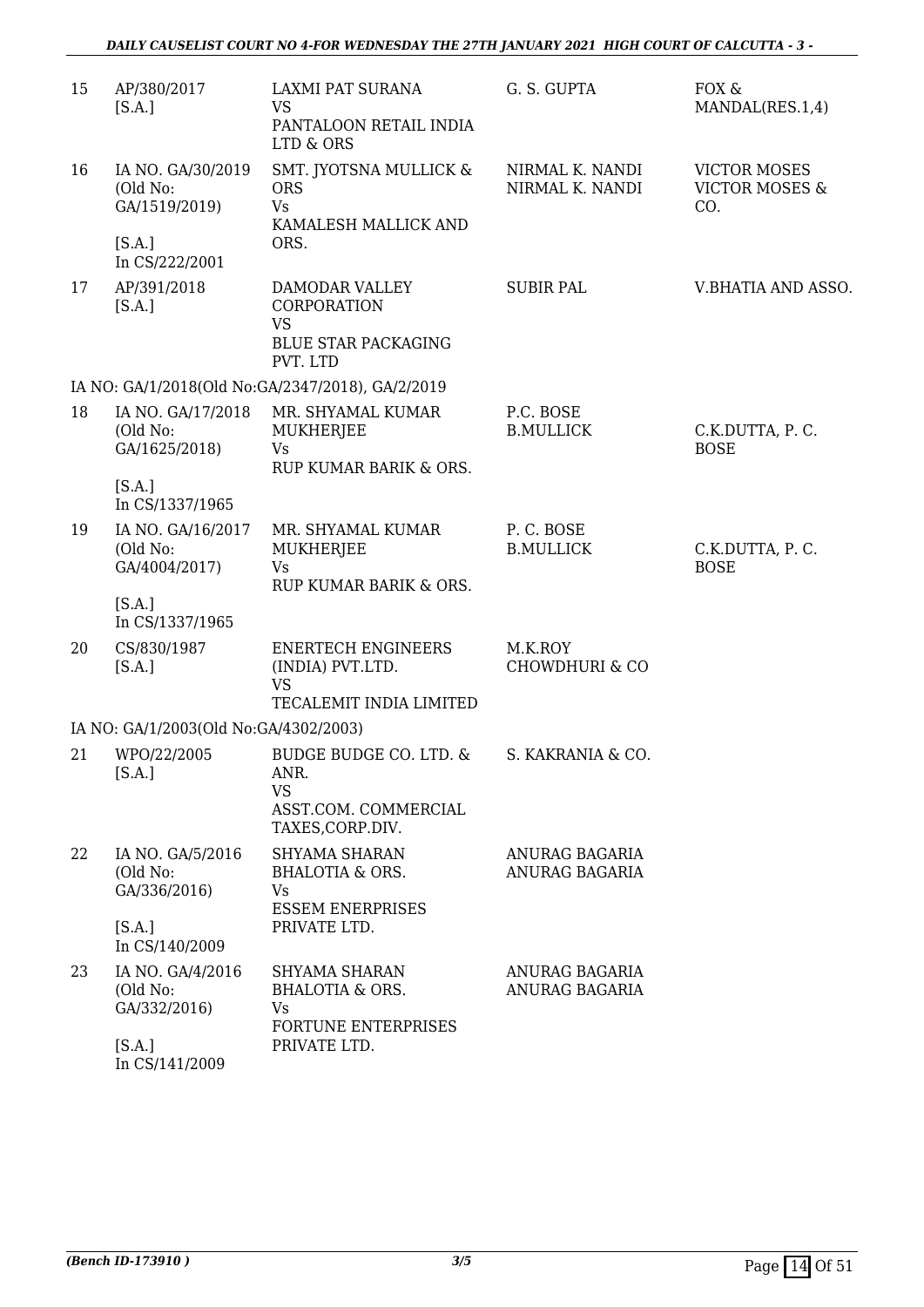| 15 | AP/380/2017<br>[S.A.]                                  | LAXMI PAT SURANA<br><b>VS</b><br>PANTALOON RETAIL INDIA                                             | G. S. GUPTA                          | FOX &<br>MANDAL(RES.1,4)                                |
|----|--------------------------------------------------------|-----------------------------------------------------------------------------------------------------|--------------------------------------|---------------------------------------------------------|
| 16 | IA NO. GA/30/2019<br>(Old No:<br>GA/1519/2019)         | LTD & ORS<br>SMT. JYOTSNA MULLICK &<br><b>ORS</b><br><b>Vs</b><br>KAMALESH MALLICK AND              | NIRMAL K. NANDI<br>NIRMAL K. NANDI   | <b>VICTOR MOSES</b><br><b>VICTOR MOSES &amp;</b><br>CO. |
|    | [S.A.]<br>In CS/222/2001                               | ORS.                                                                                                |                                      |                                                         |
| 17 | AP/391/2018<br>[S.A.]                                  | DAMODAR VALLEY<br>CORPORATION<br><b>VS</b><br><b>BLUE STAR PACKAGING</b><br>PVT. LTD                | <b>SUBIR PAL</b>                     | V.BHATIA AND ASSO.                                      |
|    |                                                        | IA NO: GA/1/2018(Old No:GA/2347/2018), GA/2/2019                                                    |                                      |                                                         |
| 18 | IA NO. GA/17/2018<br>(Old No:<br>GA/1625/2018)         | MR. SHYAMAL KUMAR<br><b>MUKHERJEE</b><br>Vs<br>RUP KUMAR BARIK & ORS.                               | P.C. BOSE<br><b>B.MULLICK</b>        | C.K.DUTTA, P.C.<br><b>BOSE</b>                          |
|    | [S.A.]<br>In CS/1337/1965                              |                                                                                                     |                                      |                                                         |
| 19 | IA NO. GA/16/2017<br>(Old No:<br>GA/4004/2017)         | MR. SHYAMAL KUMAR<br>MUKHERJEE<br><b>Vs</b><br>RUP KUMAR BARIK & ORS.                               | P.C. BOSE<br><b>B.MULLICK</b>        | C.K.DUTTA, P.C.<br><b>BOSE</b>                          |
|    | [S.A.]<br>In CS/1337/1965                              |                                                                                                     |                                      |                                                         |
| 20 | CS/830/1987<br>[S.A.]                                  | <b>ENERTECH ENGINEERS</b><br>(INDIA) PVT.LTD.<br><b>VS</b><br>TECALEMIT INDIA LIMITED               | M.K.ROY<br><b>CHOWDHURI &amp; CO</b> |                                                         |
|    | IA NO: GA/1/2003(Old No:GA/4302/2003)                  |                                                                                                     |                                      |                                                         |
| 21 | WPO/22/2005<br>[S.A.]                                  | <b>BUDGE BUDGE CO. LTD. &amp;</b><br>ANR.<br><b>VS</b><br>ASST.COM. COMMERCIAL<br>TAXES, CORP.DIV.  | S. KAKRANIA & CO.                    |                                                         |
| 22 | IA NO. GA/5/2016<br>(Old No:<br>GA/336/2016)<br>[S.A.] | <b>SHYAMA SHARAN</b><br><b>BHALOTIA &amp; ORS.</b><br>Vs<br><b>ESSEM ENERPRISES</b><br>PRIVATE LTD. | ANURAG BAGARIA<br>ANURAG BAGARIA     |                                                         |
|    | In CS/140/2009                                         |                                                                                                     |                                      |                                                         |
| 23 | IA NO. GA/4/2016<br>(Old No:<br>GA/332/2016)           | SHYAMA SHARAN<br><b>BHALOTIA &amp; ORS.</b><br>Vs<br><b>FORTUNE ENTERPRISES</b>                     | ANURAG BAGARIA<br>ANURAG BAGARIA     |                                                         |
|    | [S.A.]                                                 | PRIVATE LTD.                                                                                        |                                      |                                                         |

In CS/141/2009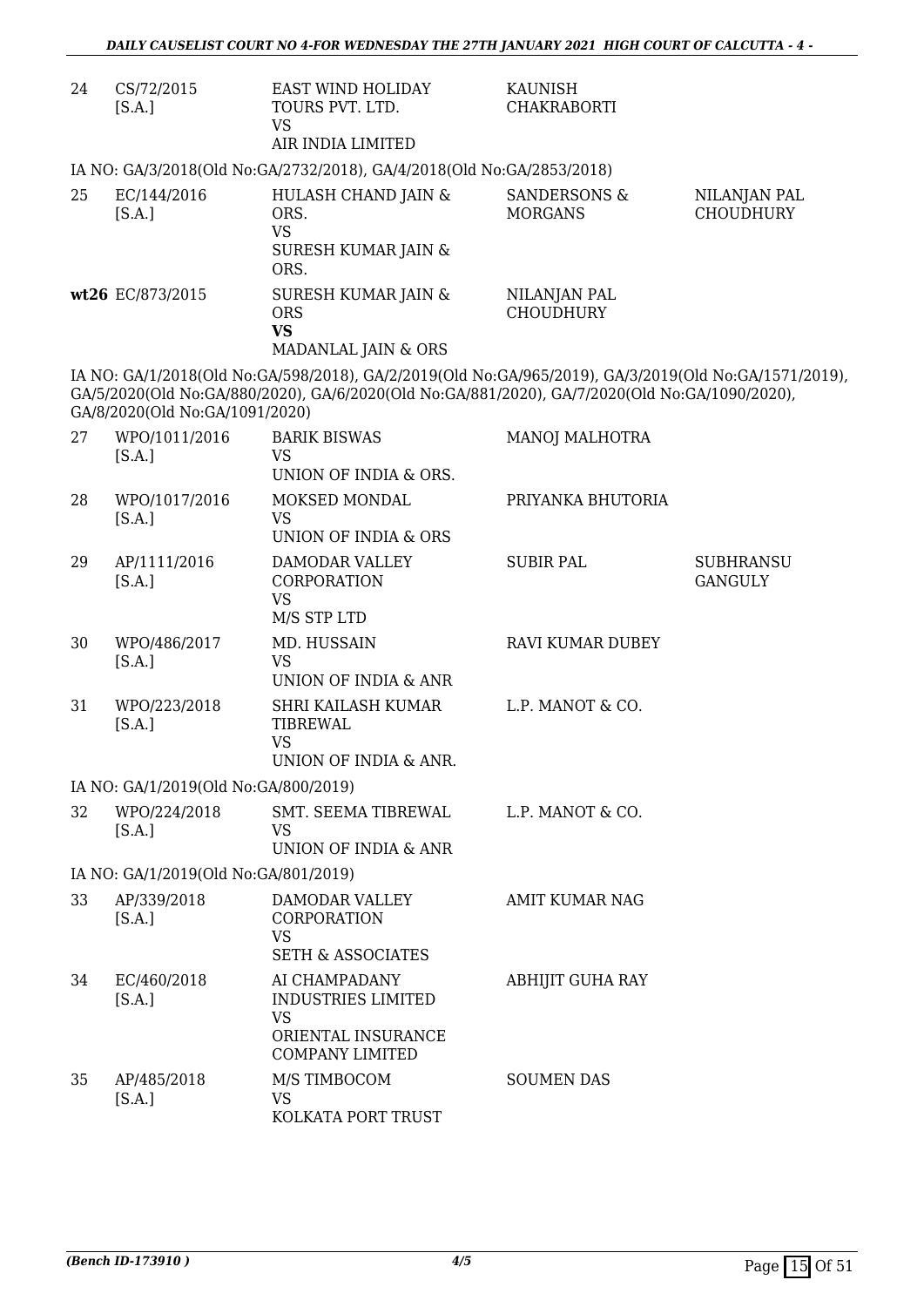| 24 | CS/72/2015<br>[S.A.]                 | <b>EAST WIND HOLIDAY</b><br>TOURS PVT. LTD.<br><b>VS</b><br>AIR INDIA LIMITED                                                                                                                         | <b>KAUNISH</b><br><b>CHAKRABORTI</b>      |                                    |
|----|--------------------------------------|-------------------------------------------------------------------------------------------------------------------------------------------------------------------------------------------------------|-------------------------------------------|------------------------------------|
|    |                                      | IA NO: GA/3/2018(Old No:GA/2732/2018), GA/4/2018(Old No:GA/2853/2018)                                                                                                                                 |                                           |                                    |
| 25 | EC/144/2016<br>[S.A.]                | HULASH CHAND JAIN &<br>ORS.<br><b>VS</b><br>SURESH KUMAR JAIN &<br>ORS.                                                                                                                               | <b>SANDERSONS &amp;</b><br><b>MORGANS</b> | NILANJAN PAL<br><b>CHOUDHURY</b>   |
|    | wt26 EC/873/2015                     | <b>SURESH KUMAR JAIN &amp;</b><br><b>ORS</b><br><b>VS</b><br>MADANLAL JAIN & ORS                                                                                                                      | NILANJAN PAL<br><b>CHOUDHURY</b>          |                                    |
|    | GA/8/2020(Old No:GA/1091/2020)       | IA NO: GA/1/2018(Old No:GA/598/2018), GA/2/2019(Old No:GA/965/2019), GA/3/2019(Old No:GA/1571/2019),<br>GA/5/2020(Old No:GA/880/2020), GA/6/2020(Old No:GA/881/2020), GA/7/2020(Old No:GA/1090/2020), |                                           |                                    |
| 27 | WPO/1011/2016<br>[S.A.]              | <b>BARIK BISWAS</b><br><b>VS</b><br>UNION OF INDIA & ORS.                                                                                                                                             | MANOJ MALHOTRA                            |                                    |
| 28 | WPO/1017/2016<br>[S.A.]              | MOKSED MONDAL<br><b>VS</b><br>UNION OF INDIA & ORS                                                                                                                                                    | PRIYANKA BHUTORIA                         |                                    |
| 29 | AP/1111/2016<br>[S.A.]               | DAMODAR VALLEY<br>CORPORATION<br><b>VS</b><br>M/S STP LTD                                                                                                                                             | <b>SUBIR PAL</b>                          | <b>SUBHRANSU</b><br><b>GANGULY</b> |
| 30 | WPO/486/2017<br>[S.A.]               | MD. HUSSAIN<br>VS<br>UNION OF INDIA & ANR                                                                                                                                                             | RAVI KUMAR DUBEY                          |                                    |
| 31 | WPO/223/2018<br>[S.A.]               | SHRI KAILASH KUMAR<br>TIBREWAL<br><b>VS</b><br>UNION OF INDIA & ANR.                                                                                                                                  | L.P. MANOT & CO.                          |                                    |
|    | IA NO: GA/1/2019(Old No:GA/800/2019) |                                                                                                                                                                                                       |                                           |                                    |
| 32 | WPO/224/2018<br>[S.A.]               | <b>SMT. SEEMA TIBREWAL</b><br><b>VS</b><br>UNION OF INDIA & ANR                                                                                                                                       | L.P. MANOT & CO.                          |                                    |
|    | IA NO: GA/1/2019(Old No:GA/801/2019) |                                                                                                                                                                                                       |                                           |                                    |
| 33 | AP/339/2018<br>[S.A.]                | DAMODAR VALLEY<br>CORPORATION<br><b>VS</b><br><b>SETH &amp; ASSOCIATES</b>                                                                                                                            | <b>AMIT KUMAR NAG</b>                     |                                    |
| 34 | EC/460/2018<br>[S.A.]                | AI CHAMPADANY<br><b>INDUSTRIES LIMITED</b><br><b>VS</b><br>ORIENTAL INSURANCE<br><b>COMPANY LIMITED</b>                                                                                               | <b>ABHIJIT GUHA RAY</b>                   |                                    |
| 35 | AP/485/2018<br>[S.A.]                | M/S TIMBOCOM<br>VS<br>KOLKATA PORT TRUST                                                                                                                                                              | <b>SOUMEN DAS</b>                         |                                    |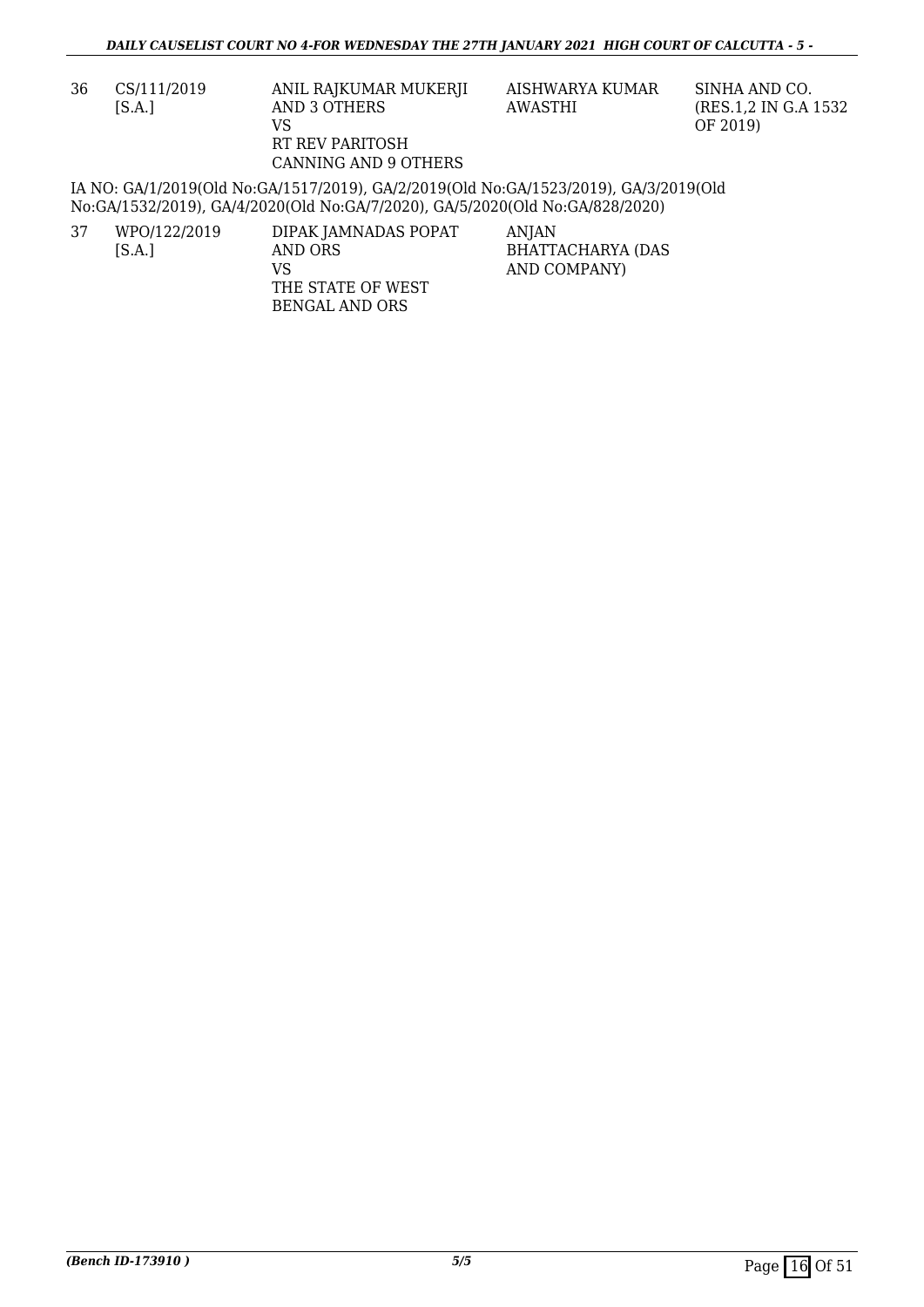| 36 | CS/111/2019 | ANIL RAJKUMAR MUKERJI                                                                        | AISHWARYA KUMAR | SINHA AND CO.         |
|----|-------------|----------------------------------------------------------------------------------------------|-----------------|-----------------------|
|    | [S.A.]      | AND 3 OTHERS                                                                                 | AWASTHI         | (RES.1.2 IN G.A 1532) |
|    |             | VS                                                                                           |                 | OF 2019)              |
|    |             | RT REV PARITOSH                                                                              |                 |                       |
|    |             | CANNING AND 9 OTHERS                                                                         |                 |                       |
|    |             | <u>IA NO: GA/1/2019(Old No:GA/1517/2019). GA/2/2019(Old No:GA/1523/2019). GA/3/2019(Old </u> |                 |                       |

IA NO: GA/1/2019(Old No:GA/1517/2019), GA/2/2019(Old No:GA/1523/2019), GA/3/2019(Old No:GA/1532/2019), GA/4/2020(Old No:GA/7/2020), GA/5/2020(Old No:GA/828/2020)

| 37 | WPO/122/2019 | DIPAK JAMNADAS POPAT | ANIAN             |
|----|--------------|----------------------|-------------------|
|    | [S.A.]       | AND ORS              | BHATTACHARYA (DAS |
|    |              | VS                   | AND COMPANY)      |
|    |              | THE STATE OF WEST    |                   |
|    |              | BENGAL AND ORS       |                   |
|    |              |                      |                   |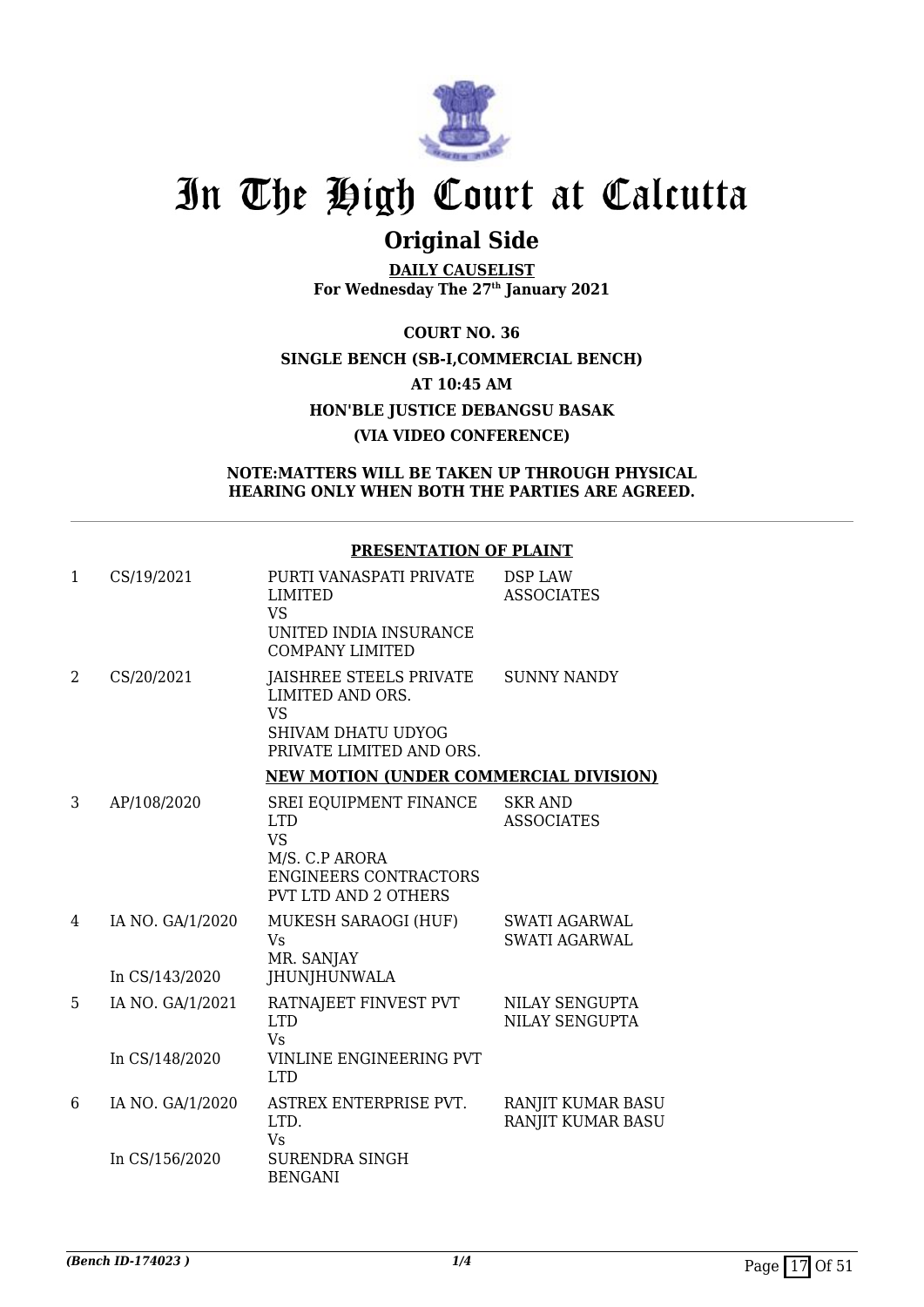

## **Original Side**

**DAILY CAUSELIST For Wednesday The 27th January 2021**

**COURT NO. 36 SINGLE BENCH (SB-I,COMMERCIAL BENCH) AT 10:45 AM HON'BLE JUSTICE DEBANGSU BASAK (VIA VIDEO CONFERENCE)**

#### **NOTE:MATTERS WILL BE TAKEN UP THROUGH PHYSICAL HEARING ONLY WHEN BOTH THE PARTIES ARE AGREED.**

#### **PRESENTATION OF PLAINT**

| $\mathbf{1}$ | CS/19/2021       | PURTI VANASPATI PRIVATE<br><b>LIMITED</b><br><b>VS</b><br>UNITED INDIA INSURANCE<br><b>COMPANY LIMITED</b>                         | <b>DSP LAW</b><br><b>ASSOCIATES</b>          |
|--------------|------------------|------------------------------------------------------------------------------------------------------------------------------------|----------------------------------------------|
| 2            | CS/20/2021       | JAISHREE STEELS PRIVATE<br>LIMITED AND ORS.<br><b>VS</b>                                                                           | <b>SUNNY NANDY</b>                           |
|              |                  | <b>SHIVAM DHATU UDYOG</b><br>PRIVATE LIMITED AND ORS.                                                                              |                                              |
|              |                  | <b>NEW MOTION (UNDER COMMERCIAL DIVISION)</b>                                                                                      |                                              |
| 3            | AP/108/2020      | SREI EQUIPMENT FINANCE<br><b>LTD</b><br><b>VS</b><br>M/S. C.P ARORA<br><b>ENGINEERS CONTRACTORS</b><br><b>PVT LTD AND 2 OTHERS</b> | <b>SKR AND</b><br><b>ASSOCIATES</b>          |
| 4            | IA NO. GA/1/2020 | MUKESH SARAOGI (HUF)<br>Vs<br>MR. SANJAY                                                                                           | <b>SWATI AGARWAL</b><br><b>SWATI AGARWAL</b> |
|              | In CS/143/2020   | JHUNJHUNWALA                                                                                                                       |                                              |
| 5            | IA NO. GA/1/2021 | RATNAJEET FINVEST PVT<br><b>LTD</b><br><b>Vs</b>                                                                                   | NILAY SENGUPTA<br>NILAY SENGUPTA             |
|              | In CS/148/2020   | VINLINE ENGINEERING PVT<br><b>LTD</b>                                                                                              |                                              |
| 6            | IA NO. GA/1/2020 | ASTREX ENTERPRISE PVT.<br>LTD.<br>Vs                                                                                               | RANJIT KUMAR BASU<br>RANJIT KUMAR BASU       |
|              | In CS/156/2020   | <b>SURENDRA SINGH</b><br><b>BENGANI</b>                                                                                            |                                              |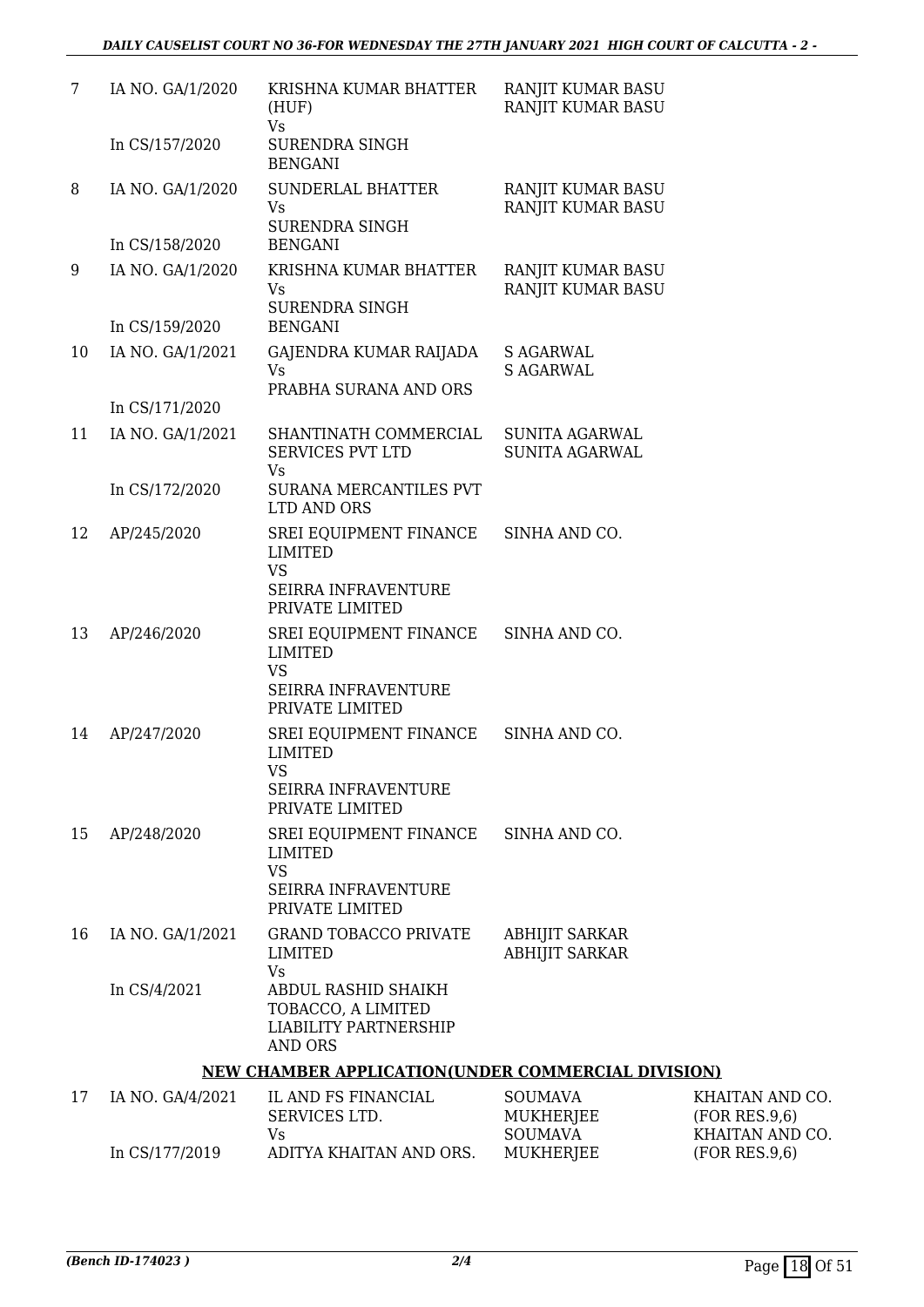| 7  | IA NO. GA/1/2020 | KRISHNA KUMAR BHATTER<br>(HUF)<br><b>Vs</b>                                                              | RANJIT KUMAR BASU<br>RANJIT KUMAR BASU         |             |
|----|------------------|----------------------------------------------------------------------------------------------------------|------------------------------------------------|-------------|
|    | In CS/157/2020   | <b>SURENDRA SINGH</b><br><b>BENGANI</b>                                                                  |                                                |             |
| 8  | IA NO. GA/1/2020 | <b>SUNDERLAL BHATTER</b><br><b>Vs</b><br><b>SURENDRA SINGH</b>                                           | RANJIT KUMAR BASU<br>RANJIT KUMAR BASU         |             |
|    | In CS/158/2020   | <b>BENGANI</b>                                                                                           |                                                |             |
| 9  | IA NO. GA/1/2020 | KRISHNA KUMAR BHATTER<br>Vs.<br><b>SURENDRA SINGH</b>                                                    | RANJIT KUMAR BASU<br>RANJIT KUMAR BASU         |             |
|    | In CS/159/2020   | <b>BENGANI</b>                                                                                           |                                                |             |
| 10 | IA NO. GA/1/2021 | GAJENDRA KUMAR RAIJADA<br><b>Vs</b>                                                                      | <b>S AGARWAL</b><br><b>S AGARWAL</b>           |             |
|    | In CS/171/2020   | PRABHA SURANA AND ORS                                                                                    |                                                |             |
| 11 | IA NO. GA/1/2021 | SHANTINATH COMMERCIAL<br><b>SERVICES PVT LTD</b><br>Vs                                                   | SUNITA AGARWAL<br><b>SUNITA AGARWAL</b>        |             |
|    | In CS/172/2020   | SURANA MERCANTILES PVT<br>LTD AND ORS                                                                    |                                                |             |
| 12 | AP/245/2020      | SREI EQUIPMENT FINANCE<br><b>LIMITED</b><br><b>VS</b>                                                    | SINHA AND CO.                                  |             |
|    |                  | SEIRRA INFRAVENTURE<br>PRIVATE LIMITED                                                                   |                                                |             |
| 13 | AP/246/2020      | SREI EQUIPMENT FINANCE<br><b>LIMITED</b><br><b>VS</b><br><b>SEIRRA INFRAVENTURE</b><br>PRIVATE LIMITED   | SINHA AND CO.                                  |             |
| 14 | AP/247/2020      | SREI EQUIPMENT FINANCE<br>LIMITED                                                                        | SINHA AND CO.                                  |             |
|    |                  | VS<br>SEIRRA INFRAVENTURE<br>PRIVATE LIMITED                                                             |                                                |             |
| 15 | AP/248/2020      | SREI EQUIPMENT FINANCE<br><b>LIMITED</b><br><b>VS</b><br><b>SEIRRA INFRAVENTURE</b><br>PRIVATE LIMITED   | SINHA AND CO.                                  |             |
| 16 | IA NO. GA/1/2021 | <b>GRAND TOBACCO PRIVATE</b><br>LIMITED                                                                  | <b>ABHIJIT SARKAR</b><br><b>ABHIJIT SARKAR</b> |             |
|    | In CS/4/2021     | <b>Vs</b><br>ABDUL RASHID SHAIKH<br>TOBACCO, A LIMITED<br><b>LIABILITY PARTNERSHIP</b><br><b>AND ORS</b> |                                                |             |
|    |                  | NEW CHAMBER APPLICATION(UNDER COMMERCIAL DIVISION)                                                       |                                                |             |
| 17 | IA NO. GA/4/2021 | IL AND FS FINANCIAL<br>SERVICES LTD.                                                                     | <b>SOUMAVA</b><br>MUKHERJEE                    | KH/<br>(FO) |

| IA NO. GA/4/2021 | IL AND FS FINANCIAL     | <b>SOUMAVA</b> | KHAITAN AND CO. |
|------------------|-------------------------|----------------|-----------------|
|                  | SERVICES LTD.           | MUKHERJEE      | (FOR RES.9.6)   |
|                  | Vs.                     | SOUMAVA        | KHAITAN AND CO. |
| In CS/177/2019   | ADITYA KHAITAN AND ORS. | MUKHERJEE      | (FOR RES.9.6)   |
|                  |                         |                |                 |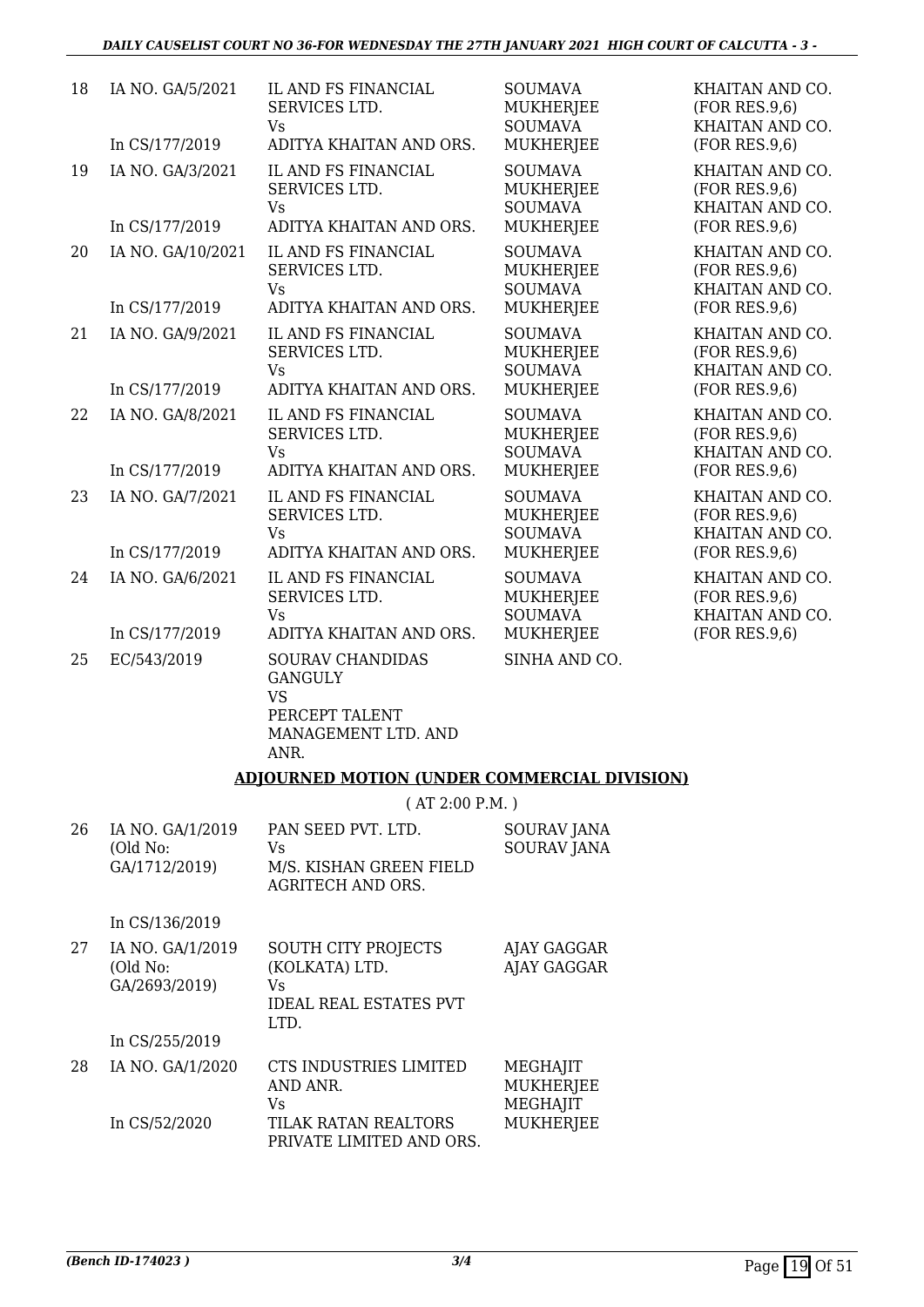| 18 | IA NO. GA/5/2021                              | IL AND FS FINANCIAL<br>SERVICES LTD.<br>Vs                                                         | <b>SOUMAVA</b><br><b>MUKHERJEE</b><br><b>SOUMAVA</b>                     | KHAITAN AND CO.<br>(FOR RES.9,6)<br>KHAITAN AND CO.                  |
|----|-----------------------------------------------|----------------------------------------------------------------------------------------------------|--------------------------------------------------------------------------|----------------------------------------------------------------------|
|    | In CS/177/2019                                | ADITYA KHAITAN AND ORS.                                                                            | <b>MUKHERJEE</b>                                                         | (FOR RES.9,6)                                                        |
| 19 | IA NO. GA/3/2021<br>In CS/177/2019            | IL AND FS FINANCIAL<br>SERVICES LTD.<br>Vs<br>ADITYA KHAITAN AND ORS.                              | <b>SOUMAVA</b><br><b>MUKHERJEE</b><br><b>SOUMAVA</b><br><b>MUKHERJEE</b> | KHAITAN AND CO.<br>(FOR RES.9,6)<br>KHAITAN AND CO.<br>(FOR RES.9,6) |
| 20 | IA NO. GA/10/2021                             | IL AND FS FINANCIAL<br>SERVICES LTD.<br>Vs                                                         | <b>SOUMAVA</b><br><b>MUKHERJEE</b><br><b>SOUMAVA</b>                     | KHAITAN AND CO.<br>(FOR RES.9,6)<br>KHAITAN AND CO.                  |
|    | In CS/177/2019                                | ADITYA KHAITAN AND ORS.                                                                            | <b>MUKHERJEE</b>                                                         | (FOR RES.9,6)                                                        |
| 21 | IA NO. GA/9/2021                              | IL AND FS FINANCIAL<br>SERVICES LTD.<br><b>Vs</b>                                                  | <b>SOUMAVA</b><br><b>MUKHERJEE</b><br><b>SOUMAVA</b>                     | KHAITAN AND CO.<br>(FOR RES.9,6)<br>KHAITAN AND CO.                  |
|    | In CS/177/2019                                | ADITYA KHAITAN AND ORS.                                                                            | <b>MUKHERJEE</b>                                                         | (FOR RES.9,6)                                                        |
| 22 | IA NO. GA/8/2021                              | IL AND FS FINANCIAL<br>SERVICES LTD.<br>Vs                                                         | <b>SOUMAVA</b><br><b>MUKHERJEE</b><br><b>SOUMAVA</b>                     | KHAITAN AND CO.<br>(FOR RES.9.6)<br>KHAITAN AND CO.                  |
|    | In CS/177/2019                                | ADITYA KHAITAN AND ORS.                                                                            | <b>MUKHERJEE</b>                                                         | (FOR RES.9,6)                                                        |
| 23 | IA NO. GA/7/2021                              | IL AND FS FINANCIAL<br>SERVICES LTD.<br>Vs                                                         | <b>SOUMAVA</b><br><b>MUKHERJEE</b><br><b>SOUMAVA</b>                     | KHAITAN AND CO.<br>(FOR RES.9,6)<br>KHAITAN AND CO.                  |
|    | In CS/177/2019                                | ADITYA KHAITAN AND ORS.                                                                            | <b>MUKHERJEE</b>                                                         | (FOR RES.9,6)                                                        |
| 24 | IA NO. GA/6/2021                              | IL AND FS FINANCIAL<br>SERVICES LTD.<br><b>Vs</b>                                                  | <b>SOUMAVA</b><br>MUKHERJEE<br><b>SOUMAVA</b>                            | KHAITAN AND CO.<br>(FOR RES.9,6)<br>KHAITAN AND CO.                  |
|    | In CS/177/2019                                | ADITYA KHAITAN AND ORS.                                                                            | MUKHERJEE                                                                | (FOR RES.9,6)                                                        |
| 25 | EC/543/2019                                   | SOURAV CHANDIDAS<br><b>GANGULY</b><br><b>VS</b><br>PERCEPT TALENT<br>MANAGEMENT LTD. AND<br>ANR.   | SINHA AND CO.                                                            |                                                                      |
|    |                                               | <b>ADJOURNED MOTION (UNDER COMMERCIAL DIVISION)</b>                                                |                                                                          |                                                                      |
|    |                                               | (AT 2:00 P.M.)                                                                                     |                                                                          |                                                                      |
| 26 | IA NO. GA/1/2019<br>(Old No:<br>GA/1712/2019) | PAN SEED PVT. LTD.<br>Vs<br>M/S. KISHAN GREEN FIELD<br>AGRITECH AND ORS.                           | SOURAV JANA<br><b>SOURAV JANA</b>                                        |                                                                      |
|    | In CS/136/2019                                |                                                                                                    |                                                                          |                                                                      |
| 27 | IA NO. GA/1/2019<br>(Old No:<br>GA/2693/2019) | <b>SOUTH CITY PROJECTS</b><br>(KOLKATA) LTD.<br><b>Vs</b><br><b>IDEAL REAL ESTATES PVT</b><br>LTD. | AJAY GAGGAR<br><b>AJAY GAGGAR</b>                                        |                                                                      |
|    | In CS/255/2019                                |                                                                                                    |                                                                          |                                                                      |

28 IA NO. GA/1/2020 In CS/52/2020 CTS INDUSTRIES LIMITED AND ANR. Vs TILAK RATAN REALTORS PRIVATE LIMITED AND ORS. MEGHAJIT MUKHERJEE MEGHAJIT MUKHERJEE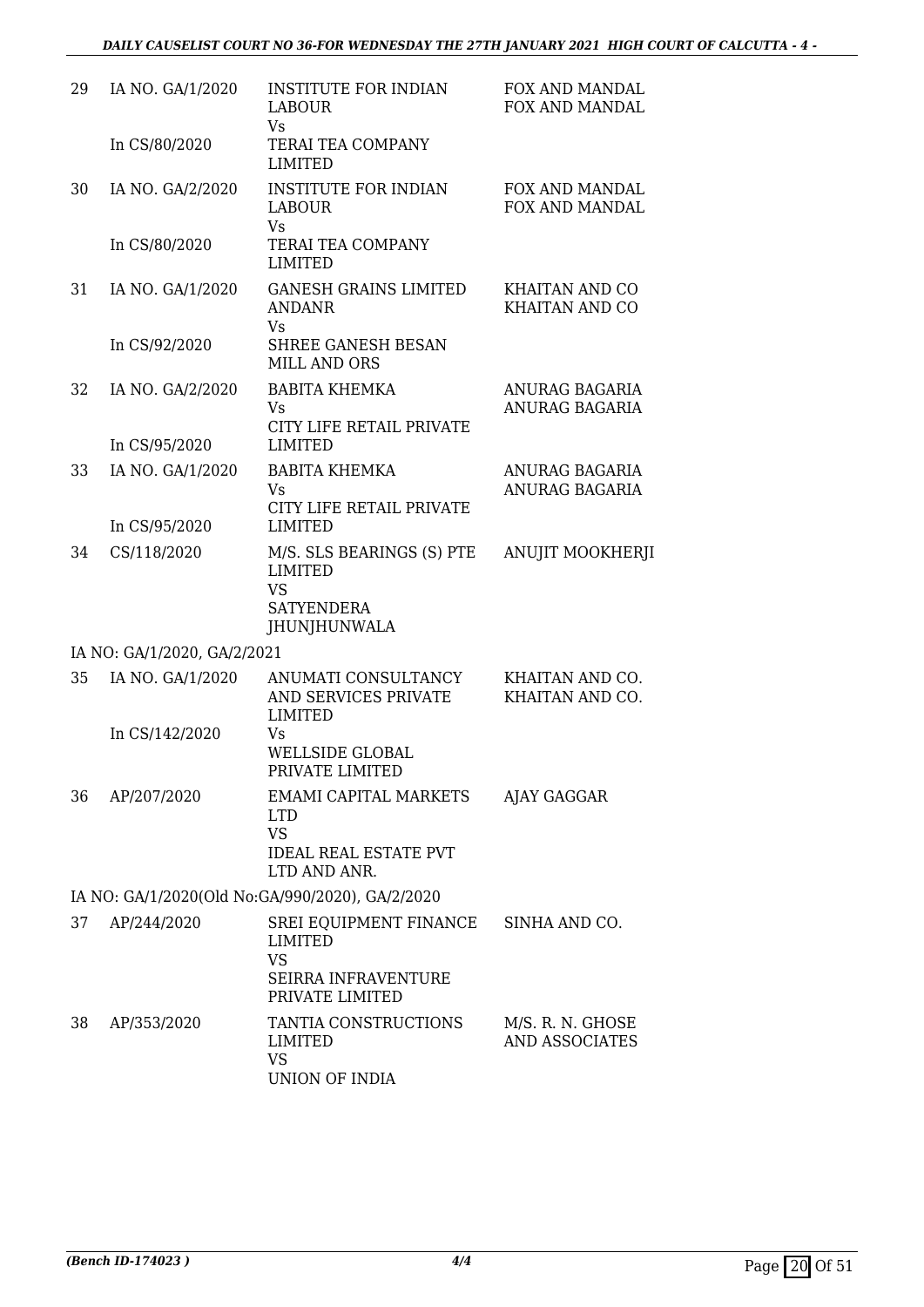| 29 | IA NO. GA/1/2020            | <b>INSTITUTE FOR INDIAN</b><br><b>LABOUR</b><br>Vs.                                                  | FOX AND MANDAL<br><b>FOX AND MANDAL</b> |
|----|-----------------------------|------------------------------------------------------------------------------------------------------|-----------------------------------------|
|    | In CS/80/2020               | TERAI TEA COMPANY<br><b>LIMITED</b>                                                                  |                                         |
| 30 | IA NO. GA/2/2020            | <b>INSTITUTE FOR INDIAN</b><br><b>LABOUR</b><br><b>Vs</b>                                            | FOX AND MANDAL<br>FOX AND MANDAL        |
|    | In CS/80/2020               | <b>TERAI TEA COMPANY</b><br><b>LIMITED</b>                                                           |                                         |
| 31 | IA NO. GA/1/2020            | <b>GANESH GRAINS LIMITED</b><br>ANDANR<br><b>Vs</b>                                                  | <b>KHAITAN AND CO</b><br>KHAITAN AND CO |
|    | In CS/92/2020               | SHREE GANESH BESAN<br><b>MILL AND ORS</b>                                                            |                                         |
| 32 | IA NO. GA/2/2020            | <b>BABITA KHEMKA</b><br>Vs                                                                           | ANURAG BAGARIA<br><b>ANURAG BAGARIA</b> |
|    | In CS/95/2020               | CITY LIFE RETAIL PRIVATE<br><b>LIMITED</b>                                                           |                                         |
| 33 | IA NO. GA/1/2020            | <b>BABITA KHEMKA</b><br>Vs                                                                           | ANURAG BAGARIA<br><b>ANURAG BAGARIA</b> |
|    | In CS/95/2020               | CITY LIFE RETAIL PRIVATE<br><b>LIMITED</b>                                                           |                                         |
| 34 | CS/118/2020                 | M/S. SLS BEARINGS (S) PTE<br><b>LIMITED</b><br><b>VS</b><br><b>SATYENDERA</b><br><b>JHUNJHUNWALA</b> | <b>ANUJIT MOOKHERJI</b>                 |
|    | IA NO: GA/1/2020, GA/2/2021 |                                                                                                      |                                         |
| 35 | IA NO. GA/1/2020            | ANUMATI CONSULTANCY<br>AND SERVICES PRIVATE<br><b>LIMITED</b>                                        | KHAITAN AND CO.<br>KHAITAN AND CO.      |
|    | In CS/142/2020              | Vs<br><b>WELLSIDE GLOBAL</b><br>PRIVATE LIMITED                                                      |                                         |
| 36 | AP/207/2020                 | <b>EMAMI CAPITAL MARKETS</b><br><b>LTD</b><br><b>VS</b><br><b>IDEAL REAL ESTATE PVT</b>              | AJAY GAGGAR                             |
|    |                             | LTD AND ANR.<br>IA NO: GA/1/2020(Old No:GA/990/2020), GA/2/2020                                      |                                         |
| 37 | AP/244/2020                 | SREI EQUIPMENT FINANCE<br>LIMITED<br><b>VS</b>                                                       | SINHA AND CO.                           |
|    |                             | <b>SEIRRA INFRAVENTURE</b><br>PRIVATE LIMITED                                                        |                                         |
| 38 | AP/353/2020                 | TANTIA CONSTRUCTIONS<br>LIMITED<br><b>VS</b><br>UNION OF INDIA                                       | M/S. R. N. GHOSE<br>AND ASSOCIATES      |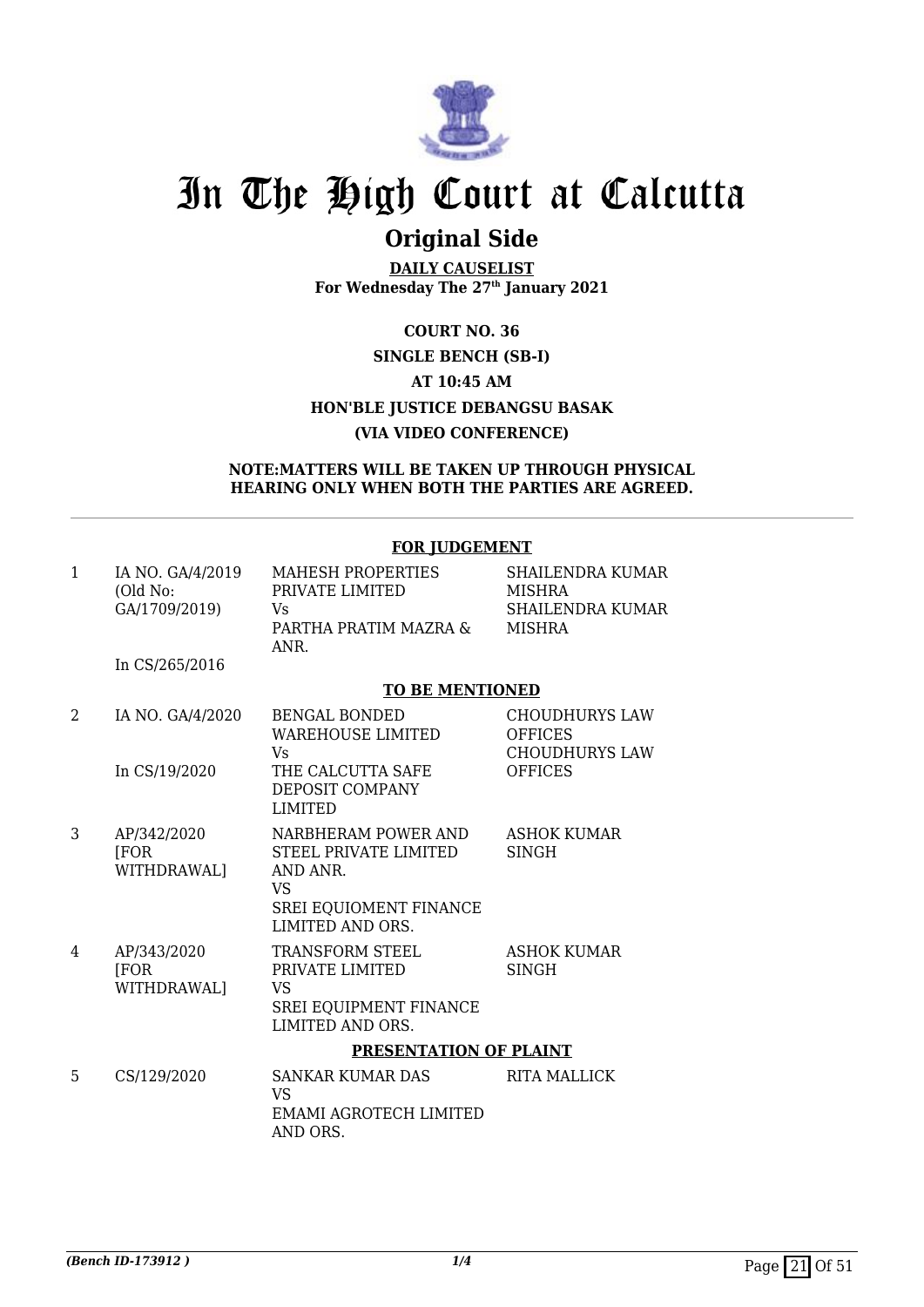

## **Original Side**

**DAILY CAUSELIST For Wednesday The 27th January 2021**

### **COURT NO. 36 SINGLE BENCH (SB-I) AT 10:45 AM HON'BLE JUSTICE DEBANGSU BASAK (VIA VIDEO CONFERENCE)**

#### **NOTE:MATTERS WILL BE TAKEN UP THROUGH PHYSICAL HEARING ONLY WHEN BOTH THE PARTIES ARE AGREED.**

|              |                                               | <b>FOR JUDGEMENT</b>                                                                                                |                                                                                    |  |
|--------------|-----------------------------------------------|---------------------------------------------------------------------------------------------------------------------|------------------------------------------------------------------------------------|--|
| $\mathbf{1}$ | IA NO. GA/4/2019<br>(Old No:<br>GA/1709/2019) | <b>MAHESH PROPERTIES</b><br>PRIVATE LIMITED<br>Vs<br>PARTHA PRATIM MAZRA &<br>ANR.                                  | SHAILENDRA KUMAR<br><b>MISHRA</b><br><b>SHAILENDRA KUMAR</b><br><b>MISHRA</b>      |  |
|              | In CS/265/2016                                |                                                                                                                     |                                                                                    |  |
|              |                                               | <b>TO BE MENTIONED</b>                                                                                              |                                                                                    |  |
| 2            | IA NO. GA/4/2020<br>In CS/19/2020             | <b>BENGAL BONDED</b><br><b>WAREHOUSE LIMITED</b><br>Vs<br>THE CALCUTTA SAFE<br>DEPOSIT COMPANY<br><b>LIMITED</b>    | <b>CHOUDHURYS LAW</b><br><b>OFFICES</b><br><b>CHOUDHURYS LAW</b><br><b>OFFICES</b> |  |
| 3            | AP/342/2020<br><b>FOR</b><br>WITHDRAWAL]      | NARBHERAM POWER AND<br>STEEL PRIVATE LIMITED<br>AND ANR.<br><b>VS</b><br>SREI EQUIOMENT FINANCE<br>LIMITED AND ORS. | <b>ASHOK KUMAR</b><br><b>SINGH</b>                                                 |  |
| 4            | AP/343/2020<br><b>FOR</b><br>WITHDRAWAL]      | TRANSFORM STEEL<br>PRIVATE LIMITED<br>VS<br><b>SREI EQUIPMENT FINANCE</b><br>LIMITED AND ORS.                       | <b>ASHOK KUMAR</b><br><b>SINGH</b>                                                 |  |
|              |                                               | PRESENTATION OF PLAINT                                                                                              |                                                                                    |  |
| 5            | CS/129/2020                                   | <b>SANKAR KUMAR DAS</b><br><b>VS</b><br>EMAMI AGROTECH LIMITED<br>AND ORS.                                          | <b>RITA MALLICK</b>                                                                |  |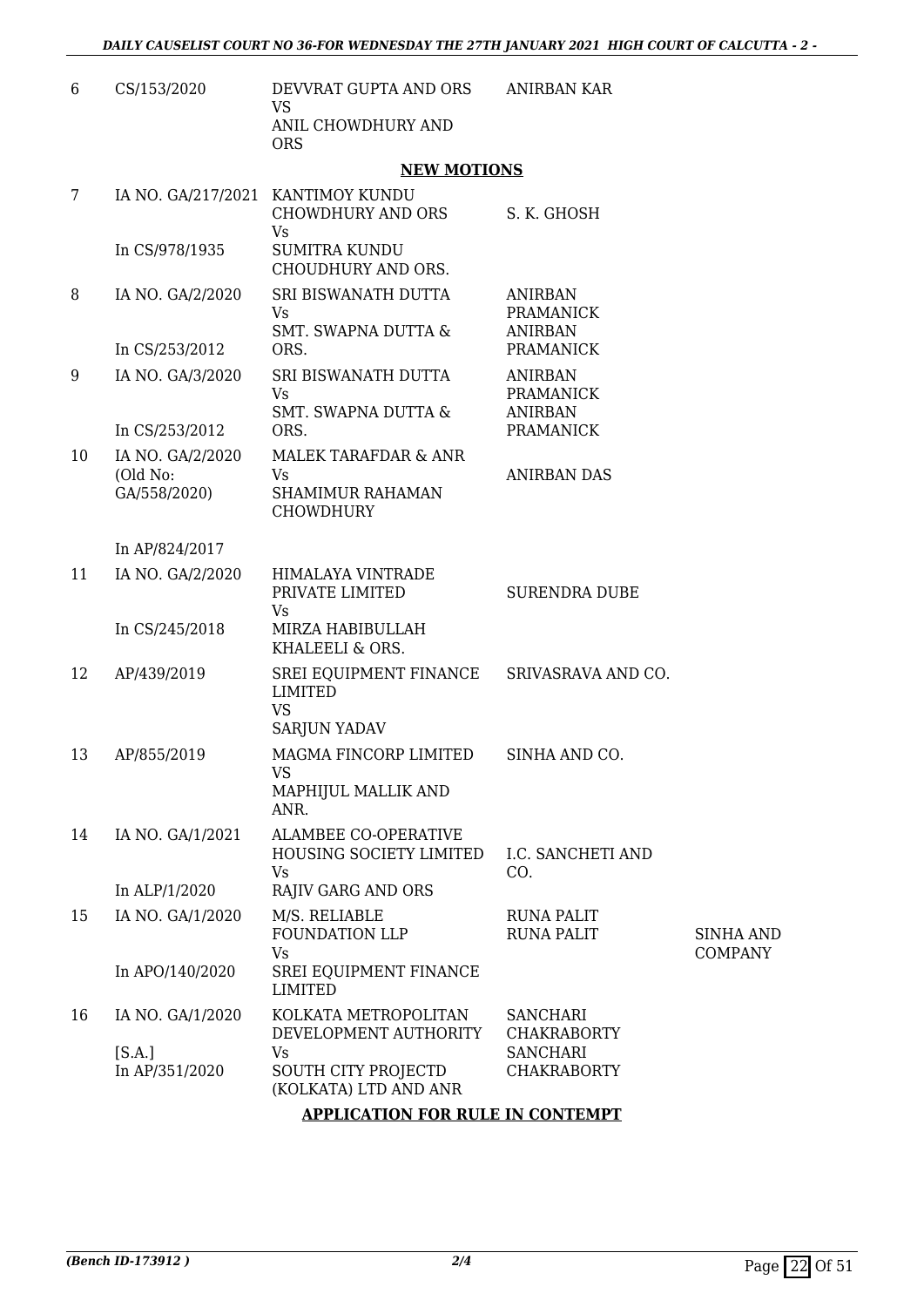| 6  | CS/153/2020                                  | DEVVRAT GUPTA AND ORS<br><b>VS</b>                                           | <b>ANIRBAN KAR</b>                                   |                             |
|----|----------------------------------------------|------------------------------------------------------------------------------|------------------------------------------------------|-----------------------------|
|    |                                              | ANIL CHOWDHURY AND<br><b>ORS</b>                                             |                                                      |                             |
|    |                                              | <b>NEW MOTIONS</b>                                                           |                                                      |                             |
| 7  | IA NO. GA/217/2021                           | KANTIMOY KUNDU<br><b>CHOWDHURY AND ORS</b><br>Vs                             | S. K. GHOSH                                          |                             |
|    | In CS/978/1935                               | <b>SUMITRA KUNDU</b><br>CHOUDHURY AND ORS.                                   |                                                      |                             |
| 8  | IA NO. GA/2/2020                             | SRI BISWANATH DUTTA<br>Vs<br><b>SMT. SWAPNA DUTTA &amp;</b>                  | <b>ANIRBAN</b><br><b>PRAMANICK</b><br><b>ANIRBAN</b> |                             |
|    | In CS/253/2012                               | ORS.                                                                         | <b>PRAMANICK</b>                                     |                             |
| 9  | IA NO. GA/3/2020                             | SRI BISWANATH DUTTA<br>Vs<br><b>SMT. SWAPNA DUTTA &amp;</b>                  | <b>ANIRBAN</b><br><b>PRAMANICK</b><br><b>ANIRBAN</b> |                             |
|    | In CS/253/2012                               | ORS.                                                                         | <b>PRAMANICK</b>                                     |                             |
| 10 | IA NO. GA/2/2020<br>(Old No:<br>GA/558/2020) | MALEK TARAFDAR & ANR<br>Vs<br><b>SHAMIMUR RAHAMAN</b><br><b>CHOWDHURY</b>    | <b>ANIRBAN DAS</b>                                   |                             |
|    | In AP/824/2017                               |                                                                              |                                                      |                             |
| 11 | IA NO. GA/2/2020                             | HIMALAYA VINTRADE<br>PRIVATE LIMITED<br>Vs                                   | <b>SURENDRA DUBE</b>                                 |                             |
|    | In CS/245/2018                               | MIRZA HABIBULLAH<br>KHALEELI & ORS.                                          |                                                      |                             |
| 12 | AP/439/2019                                  | SREI EQUIPMENT FINANCE<br><b>LIMITED</b><br><b>VS</b><br><b>SARJUN YADAV</b> | SRIVASRAVA AND CO.                                   |                             |
| 13 | AP/855/2019                                  | MAGMA FINCORP LIMITED<br>VS.<br>MAPHIJUL MALLIK AND                          | SINHA AND CO.                                        |                             |
| 14 | IA NO. GA/1/2021                             | ANR.<br><b>ALAMBEE CO-OPERATIVE</b><br>HOUSING SOCIETY LIMITED<br>Vs         | <b>I.C. SANCHETI AND</b><br>CO.                      |                             |
|    | In ALP/1/2020                                | <b>RAJIV GARG AND ORS</b>                                                    |                                                      |                             |
| 15 | IA NO. GA/1/2020                             | M/S. RELIABLE<br>FOUNDATION LLP<br><b>Vs</b>                                 | <b>RUNA PALIT</b><br><b>RUNA PALIT</b>               | <b>SINHA AND</b><br>COMPANY |
|    | In APO/140/2020                              | SREI EQUIPMENT FINANCE<br><b>LIMITED</b>                                     |                                                      |                             |
| 16 | IA NO. GA/1/2020                             | KOLKATA METROPOLITAN<br>DEVELOPMENT AUTHORITY                                | <b>SANCHARI</b><br><b>CHAKRABORTY</b>                |                             |
|    | [S.A.]<br>In AP/351/2020                     | Vs<br>SOUTH CITY PROJECTD<br>(KOLKATA) LTD AND ANR                           | <b>SANCHARI</b><br><b>CHAKRABORTY</b>                |                             |
|    |                                              | <b>APPLICATION FOR RULE IN CONTEMPT</b>                                      |                                                      |                             |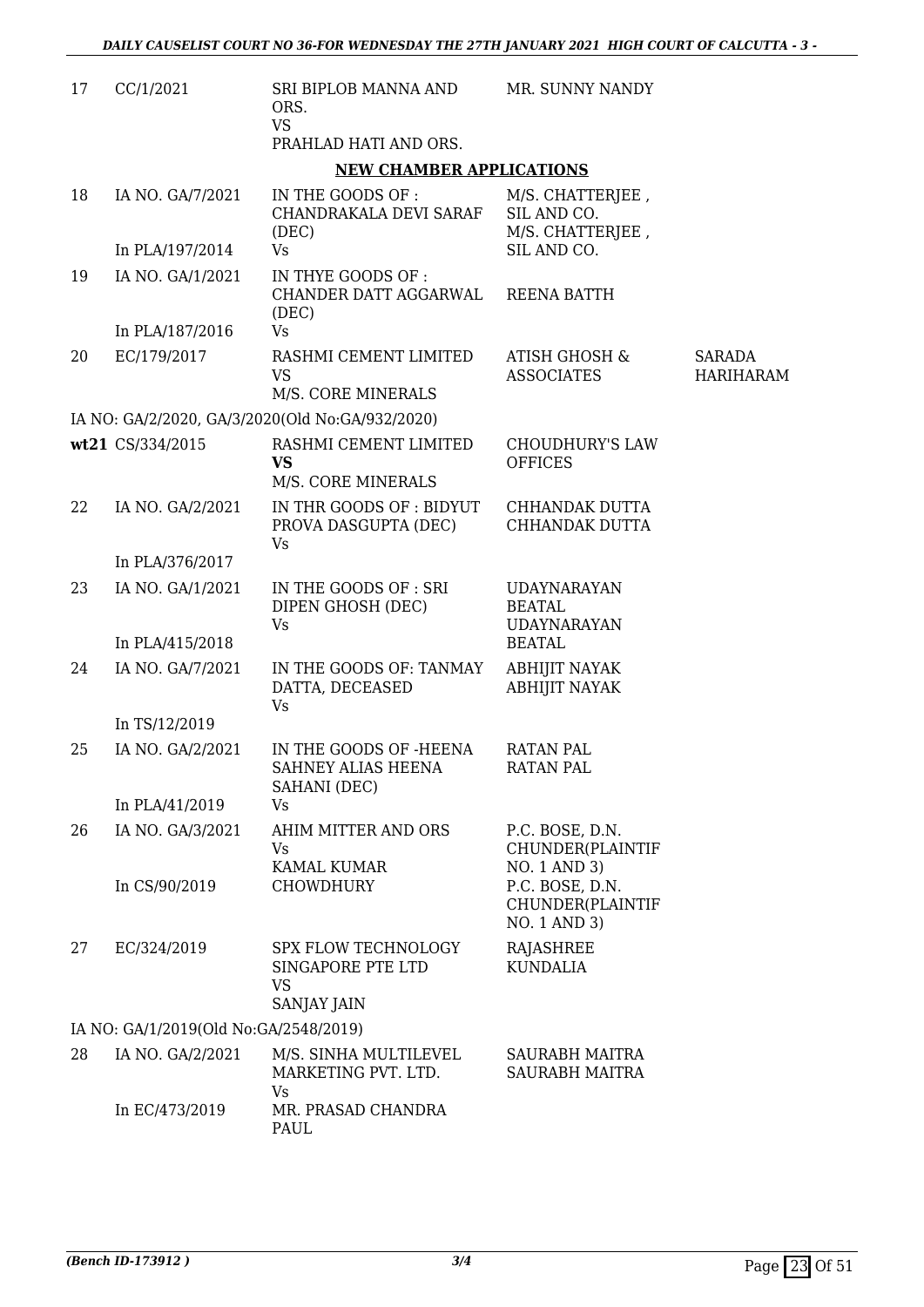| 17 | CC/1/2021                             | SRI BIPLOB MANNA AND<br>ORS.<br><b>VS</b><br>PRAHLAD HATI AND ORS.   | MR. SUNNY NANDY                                           |                                   |
|----|---------------------------------------|----------------------------------------------------------------------|-----------------------------------------------------------|-----------------------------------|
|    |                                       | <b>NEW CHAMBER APPLICATIONS</b>                                      |                                                           |                                   |
| 18 | IA NO. GA/7/2021                      | IN THE GOODS OF :<br>CHANDRAKALA DEVI SARAF<br>(DEC)                 | M/S. CHATTERJEE,<br>SIL AND CO.<br>M/S. CHATTERJEE,       |                                   |
|    | In PLA/197/2014                       | <b>Vs</b>                                                            | SIL AND CO.                                               |                                   |
| 19 | IA NO. GA/1/2021                      | IN THYE GOODS OF :<br>CHANDER DATT AGGARWAL<br>(DEC)                 | REENA BATTH                                               |                                   |
|    | In PLA/187/2016                       | <b>Vs</b>                                                            |                                                           |                                   |
| 20 | EC/179/2017                           | RASHMI CEMENT LIMITED<br><b>VS</b><br>M/S. CORE MINERALS             | ATISH GHOSH &<br><b>ASSOCIATES</b>                        | <b>SARADA</b><br><b>HARIHARAM</b> |
|    |                                       | IA NO: GA/2/2020, GA/3/2020(Old No:GA/932/2020)                      |                                                           |                                   |
|    | wt21 CS/334/2015                      | RASHMI CEMENT LIMITED<br><b>VS</b><br>M/S. CORE MINERALS             | <b>CHOUDHURY'S LAW</b><br><b>OFFICES</b>                  |                                   |
| 22 | IA NO. GA/2/2021                      | IN THR GOODS OF: BIDYUT<br>PROVA DASGUPTA (DEC)<br>Vs                | CHHANDAK DUTTA<br>CHHANDAK DUTTA                          |                                   |
|    | In PLA/376/2017                       |                                                                      |                                                           |                                   |
| 23 | IA NO. GA/1/2021                      | IN THE GOODS OF : SRI<br>DIPEN GHOSH (DEC)<br><b>Vs</b>              | <b>UDAYNARAYAN</b><br><b>BEATAL</b><br><b>UDAYNARAYAN</b> |                                   |
|    | In PLA/415/2018                       |                                                                      | <b>BEATAL</b>                                             |                                   |
| 24 | IA NO. GA/7/2021                      | IN THE GOODS OF: TANMAY<br>DATTA, DECEASED<br>Vs                     | <b>ABHIJIT NAYAK</b><br><b>ABHIJIT NAYAK</b>              |                                   |
|    | In TS/12/2019                         |                                                                      |                                                           |                                   |
| 25 | IA NO. GA/2/2021                      | IN THE GOODS OF -HEENA<br>SAHNEY ALIAS HEENA<br>SAHANI (DEC)         | <b>RATAN PAL</b><br><b>RATAN PAL</b>                      |                                   |
|    | In PLA/41/2019                        | <b>Vs</b>                                                            |                                                           |                                   |
| 26 | IA NO. GA/3/2021<br>In CS/90/2019     | AHIM MITTER AND ORS<br>Vs<br>KAMAL KUMAR                             | P.C. BOSE, D.N.<br>CHUNDER(PLAINTIF<br>NO. 1 AND 3)       |                                   |
|    |                                       | <b>CHOWDHURY</b>                                                     | P.C. BOSE, D.N.<br>CHUNDER(PLAINTIF<br>NO. 1 AND 3)       |                                   |
| 27 | EC/324/2019                           | SPX FLOW TECHNOLOGY<br>SINGAPORE PTE LTD<br><b>VS</b><br>SANJAY JAIN | <b>RAJASHREE</b><br><b>KUNDALIA</b>                       |                                   |
|    | IA NO: GA/1/2019(Old No:GA/2548/2019) |                                                                      |                                                           |                                   |
| 28 | IA NO. GA/2/2021                      | M/S. SINHA MULTILEVEL<br>MARKETING PVT. LTD.<br>Vs                   | SAURABH MAITRA<br>SAURABH MAITRA                          |                                   |
|    | In EC/473/2019                        | MR. PRASAD CHANDRA<br>PAUL                                           |                                                           |                                   |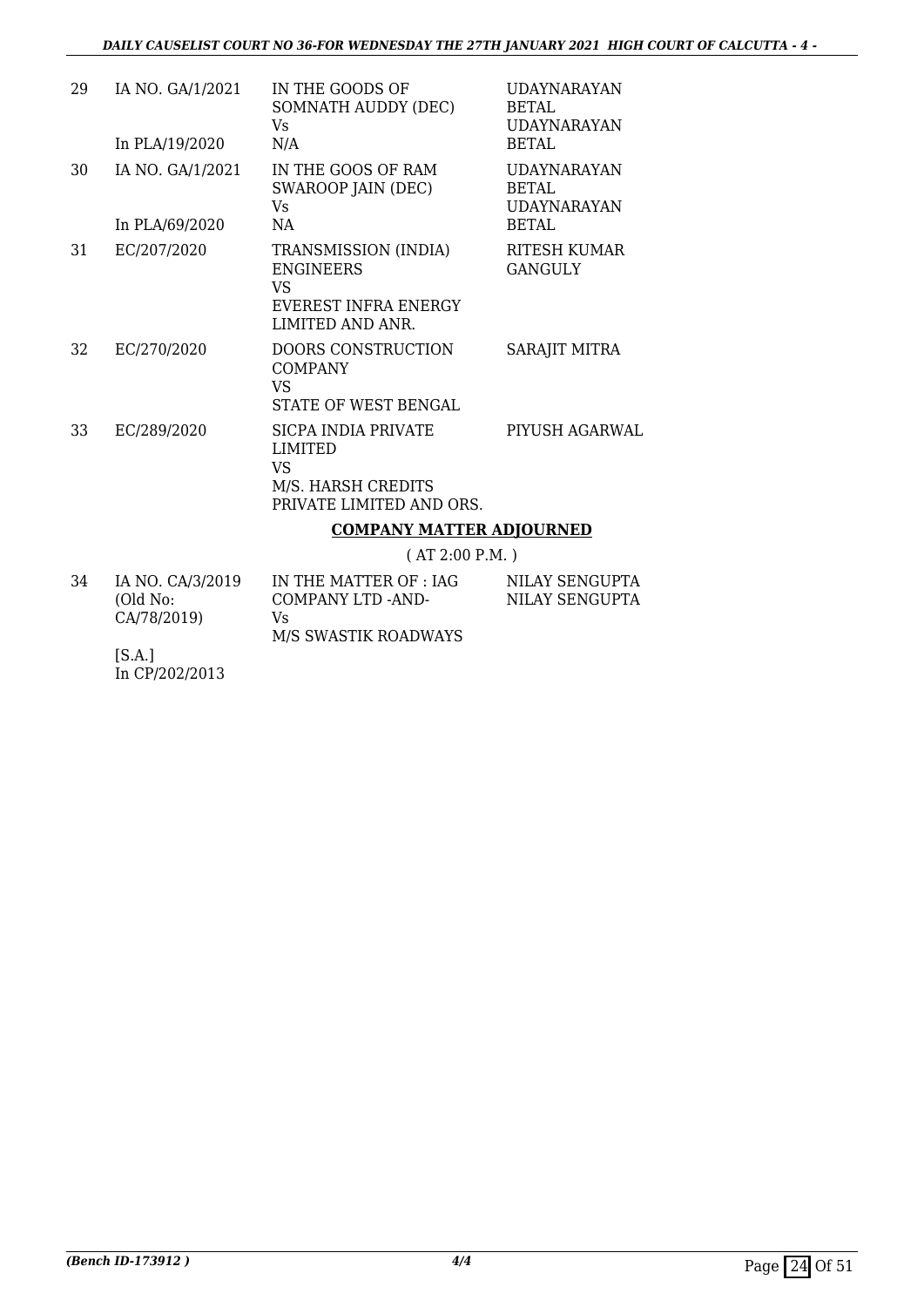| 29 | IA NO. GA/1/2021<br>In PLA/19/2020 | IN THE GOODS OF<br>SOMNATH AUDDY (DEC)<br>Vs.<br>N/A                                              | <b>UDAYNARAYAN</b><br>BETAL.<br><b>UDAYNARAYAN</b><br>BETAL |
|----|------------------------------------|---------------------------------------------------------------------------------------------------|-------------------------------------------------------------|
| 30 | IA NO. GA/1/2021<br>In PLA/69/2020 | IN THE GOOS OF RAM<br>SWAROOP JAIN (DEC)<br>Vs.<br><b>NA</b>                                      | <b>UDAYNARAYAN</b><br>BETAL<br>UDAYNARAYAN<br>BETAL         |
| 31 | EC/207/2020                        | TRANSMISSION (INDIA)<br><b>ENGINEERS</b><br>VS<br>EVEREST INFRA ENERGY<br><b>LIMITED AND ANR.</b> | RITESH KUMAR<br>GANGULY                                     |
| 32 | EC/270/2020                        | <b>DOORS CONSTRUCTION</b><br><b>COMPANY</b><br>VS<br>STATE OF WEST BENGAL                         | SARAJIT MITRA                                               |
| 33 | EC/289/2020                        | SICPA INDIA PRIVATE<br><b>LIMITED</b><br>VS<br>M/S. HARSH CREDITS<br>PRIVATE LIMITED AND ORS.     | PIYUSH AGARWAL                                              |
|    |                                    | <b>COMPANY MATTER ADJOURNED</b>                                                                   |                                                             |
|    |                                    | (AT 2:00 P.M.)                                                                                    |                                                             |

| 34 | IA NO. CA/3/2019 | IN THE MATTER OF : IAG     | NILAY SENGUPTA |
|----|------------------|----------------------------|----------------|
|    | (Old No:         | COMPANY LTD -AND-          | NILAY SENGUPTA |
|    | CA/78/2019)      | Vs<br>M/S SWASTIK ROADWAYS |                |

[S.A.] In CP/202/2013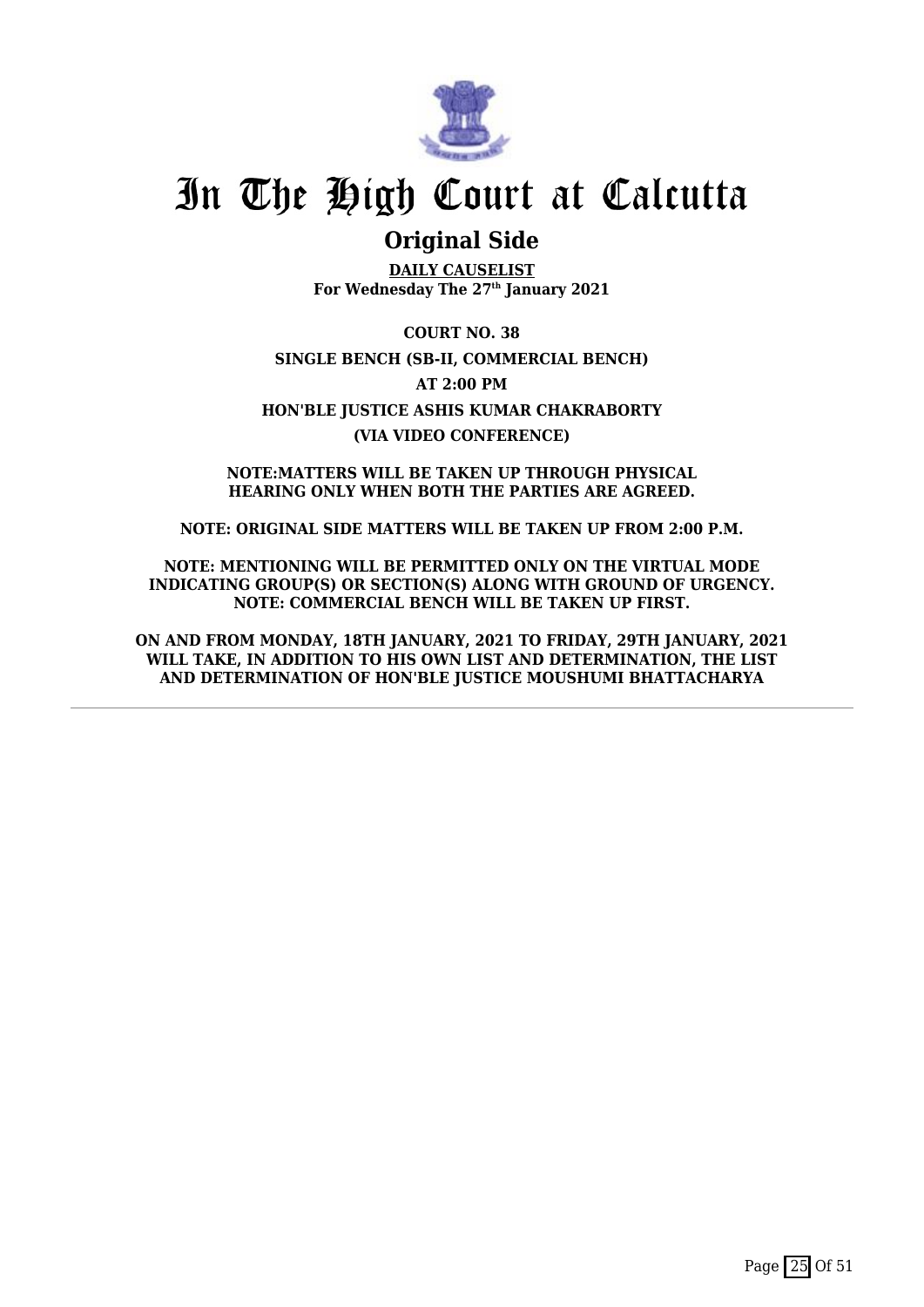

### **Original Side**

**DAILY CAUSELIST For Wednesday The 27th January 2021**

**COURT NO. 38 SINGLE BENCH (SB-II, COMMERCIAL BENCH) AT 2:00 PM HON'BLE JUSTICE ASHIS KUMAR CHAKRABORTY (VIA VIDEO CONFERENCE)**

**NOTE:MATTERS WILL BE TAKEN UP THROUGH PHYSICAL HEARING ONLY WHEN BOTH THE PARTIES ARE AGREED.**

**NOTE: ORIGINAL SIDE MATTERS WILL BE TAKEN UP FROM 2:00 P.M.**

**NOTE: MENTIONING WILL BE PERMITTED ONLY ON THE VIRTUAL MODE INDICATING GROUP(S) OR SECTION(S) ALONG WITH GROUND OF URGENCY. NOTE: COMMERCIAL BENCH WILL BE TAKEN UP FIRST.**

**ON AND FROM MONDAY, 18TH JANUARY, 2021 TO FRIDAY, 29TH JANUARY, 2021 WILL TAKE, IN ADDITION TO HIS OWN LIST AND DETERMINATION, THE LIST AND DETERMINATION OF HON'BLE JUSTICE MOUSHUMI BHATTACHARYA**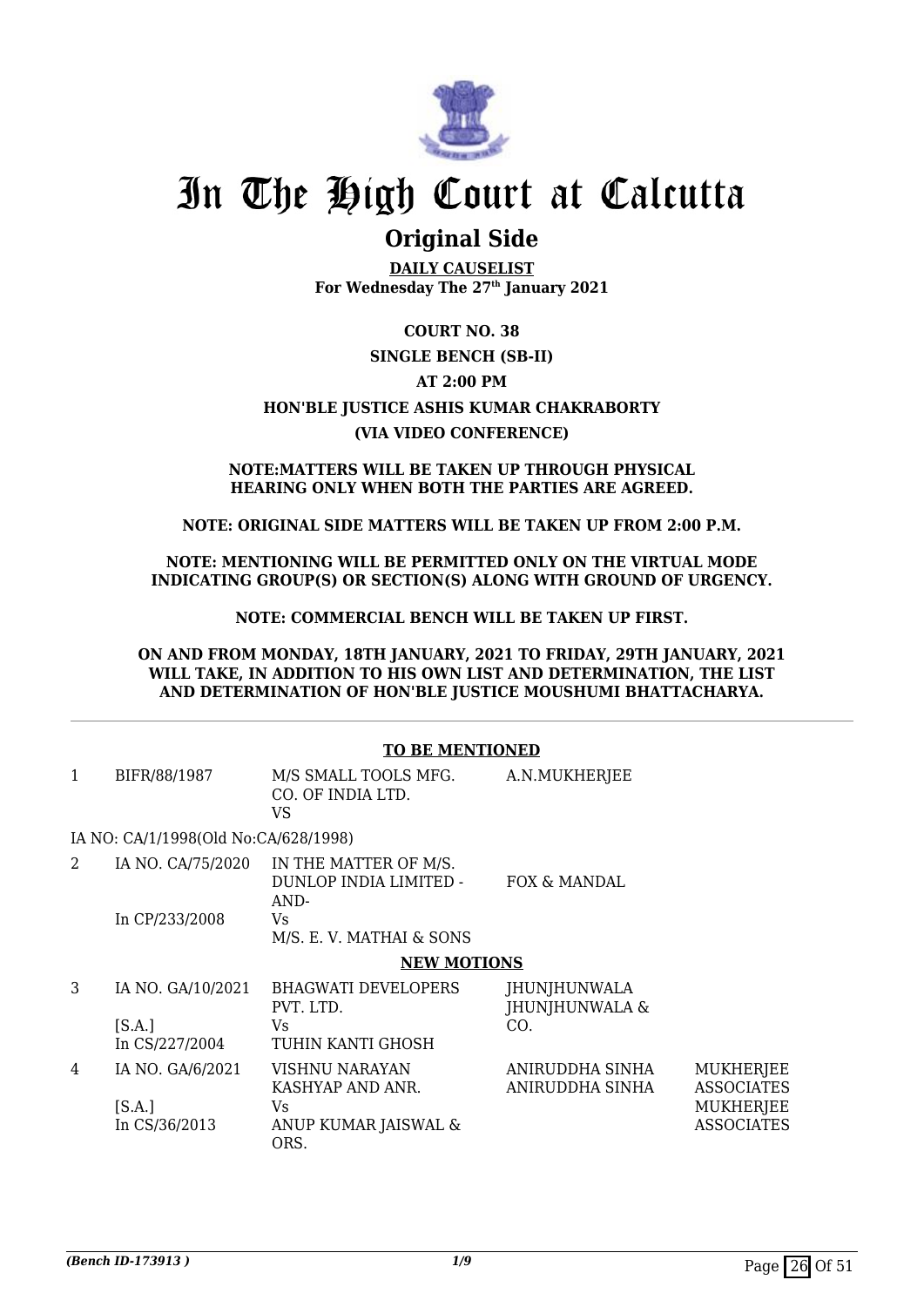

### **Original Side**

**DAILY CAUSELIST For Wednesday The 27th January 2021**

### **COURT NO. 38 SINGLE BENCH (SB-II) AT 2:00 PM HON'BLE JUSTICE ASHIS KUMAR CHAKRABORTY (VIA VIDEO CONFERENCE)**

#### **NOTE:MATTERS WILL BE TAKEN UP THROUGH PHYSICAL HEARING ONLY WHEN BOTH THE PARTIES ARE AGREED.**

#### **NOTE: ORIGINAL SIDE MATTERS WILL BE TAKEN UP FROM 2:00 P.M.**

#### **NOTE: MENTIONING WILL BE PERMITTED ONLY ON THE VIRTUAL MODE INDICATING GROUP(S) OR SECTION(S) ALONG WITH GROUND OF URGENCY.**

#### **NOTE: COMMERCIAL BENCH WILL BE TAKEN UP FIRST.**

#### **ON AND FROM MONDAY, 18TH JANUARY, 2021 TO FRIDAY, 29TH JANUARY, 2021 WILL TAKE, IN ADDITION TO HIS OWN LIST AND DETERMINATION, THE LIST AND DETERMINATION OF HON'BLE JUSTICE MOUSHUMI BHATTACHARYA.**

#### **TO BE MENTIONED**

| 1 | BIFR/88/1987                         | M/S SMALL TOOLS MFG.<br>CO. OF INDIA LTD.               | A.N.MUKHERJEE                         |                                       |
|---|--------------------------------------|---------------------------------------------------------|---------------------------------------|---------------------------------------|
|   | IA NO: CA/1/1998(Old No:CA/628/1998) | VS                                                      |                                       |                                       |
| 2 | IA NO. CA/75/2020                    | IN THE MATTER OF M/S.<br>DUNLOP INDIA LIMITED -<br>AND- | FOX & MANDAL                          |                                       |
|   | In CP/233/2008                       | Vs<br>M/S. E. V. MATHAI & SONS                          |                                       |                                       |
|   |                                      | <b>NEW MOTIONS</b>                                      |                                       |                                       |
| 3 | IA NO. GA/10/2021                    | <b>BHAGWATI DEVELOPERS</b><br>PVT. LTD.                 | <b>JHUNJHUNWALA</b><br>JHUNJHUNWALA & |                                       |
|   | [S.A.]<br>In CS/227/2004             | Vs.<br>TUHIN KANTI GHOSH                                | CO.                                   |                                       |
| 4 | IA NO. GA/6/2021                     | VISHNU NARAYAN<br>KASHYAP AND ANR.                      | ANIRUDDHA SINHA<br>ANIRUDDHA SINHA    | <b>MUKHERJEE</b><br><b>ASSOCIATES</b> |
|   | [S.A.]<br>In CS/36/2013              | Vs.<br>ANUP KUMAR JAISWAL &<br>ORS.                     |                                       | <b>MUKHERJEE</b><br><b>ASSOCIATES</b> |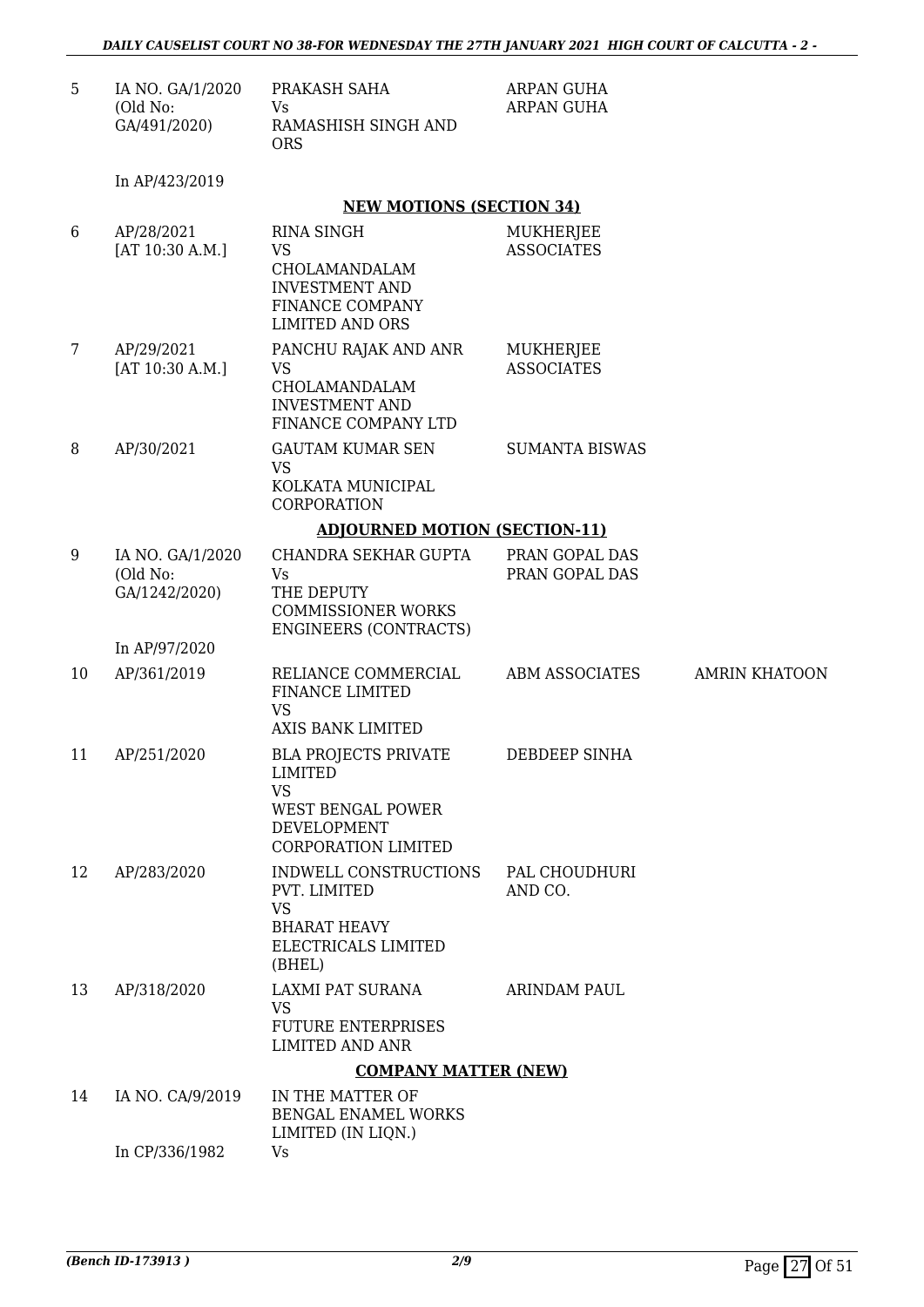| 5. | IA NO. GA/1/2020 | PRAKASH SAHA        | ARPAN GUHA |
|----|------------------|---------------------|------------|
|    | (Old No:         | Vs                  | ARPAN GUHA |
|    | GA/491/2020)     | RAMASHISH SINGH AND |            |
|    |                  | ORS                 |            |

In AP/423/2019

#### **NEW MOTIONS (SECTION 34)**

| 6  | AP/28/2021<br>[AT 10:30 A.M.]                 | <b>RINA SINGH</b><br><b>VS</b><br>CHOLAMANDALAM<br><b>INVESTMENT AND</b><br>FINANCE COMPANY<br><b>LIMITED AND ORS</b>        | <b>MUKHERJEE</b><br><b>ASSOCIATES</b> |                      |
|----|-----------------------------------------------|------------------------------------------------------------------------------------------------------------------------------|---------------------------------------|----------------------|
| 7  | AP/29/2021<br>[AT 10:30 A.M.]                 | PANCHU RAJAK AND ANR<br>VS<br>CHOLAMANDALAM<br><b>INVESTMENT AND</b><br>FINANCE COMPANY LTD                                  | MUKHERJEE<br><b>ASSOCIATES</b>        |                      |
| 8  | AP/30/2021                                    | <b>GAUTAM KUMAR SEN</b><br><b>VS</b><br>KOLKATA MUNICIPAL<br>CORPORATION                                                     | <b>SUMANTA BISWAS</b>                 |                      |
|    |                                               | <b>ADJOURNED MOTION (SECTION-11)</b>                                                                                         |                                       |                      |
| 9  | IA NO. GA/1/2020<br>(Old No:<br>GA/1242/2020) | <b>CHANDRA SEKHAR GUPTA</b><br>Vs<br>THE DEPUTY<br><b>COMMISSIONER WORKS</b><br><b>ENGINEERS (CONTRACTS)</b>                 | PRAN GOPAL DAS<br>PRAN GOPAL DAS      |                      |
|    | In AP/97/2020                                 |                                                                                                                              |                                       |                      |
| 10 | AP/361/2019                                   | RELIANCE COMMERCIAL<br>FINANCE LIMITED<br><b>VS</b><br><b>AXIS BANK LIMITED</b>                                              | <b>ABM ASSOCIATES</b>                 | <b>AMRIN KHATOON</b> |
| 11 | AP/251/2020                                   | <b>BLA PROJECTS PRIVATE</b><br><b>LIMITED</b><br><b>VS</b><br>WEST BENGAL POWER<br>DEVELOPMENT<br><b>CORPORATION LIMITED</b> | DEBDEEP SINHA                         |                      |
| 12 | AP/283/2020                                   | INDWELL CONSTRUCTIONS<br>PVT. LIMITED<br><b>VS</b><br><b>BHARAT HEAVY</b><br>ELECTRICALS LIMITED<br>(BHEL)                   | PAL CHOUDHURI<br>AND CO.              |                      |
| 13 | AP/318/2020                                   | LAXMI PAT SURANA<br><b>VS</b><br><b>FUTURE ENTERPRISES</b><br><b>LIMITED AND ANR</b>                                         | <b>ARINDAM PAUL</b>                   |                      |
|    |                                               | <b>COMPANY MATTER (NEW)</b>                                                                                                  |                                       |                      |
| 14 | IA NO. CA/9/2019                              | IN THE MATTER OF<br><b>BENGAL ENAMEL WORKS</b><br>LIMITED (IN LIQN.)                                                         |                                       |                      |
|    | In CP/336/1982                                | <b>Vs</b>                                                                                                                    |                                       |                      |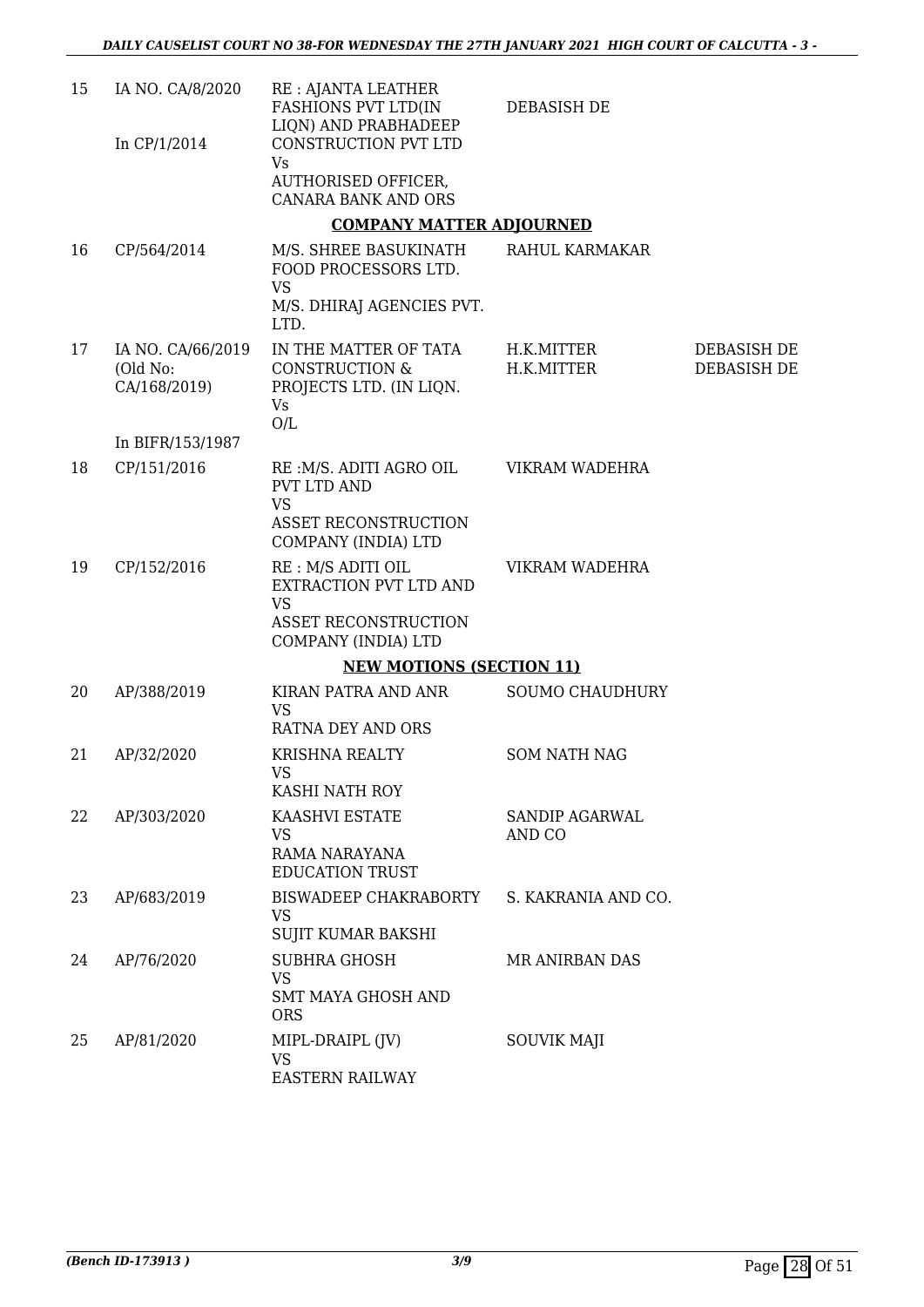| 15 | IA NO. CA/8/2020<br>In CP/1/2014              | RE : AJANTA LEATHER<br>FASHIONS PVT LTD(IN<br>LIQN) AND PRABHADEEP<br>CONSTRUCTION PVT LTD                       | <b>DEBASISH DE</b>       |                            |
|----|-----------------------------------------------|------------------------------------------------------------------------------------------------------------------|--------------------------|----------------------------|
|    |                                               | <b>Vs</b><br>AUTHORISED OFFICER,<br><b>CANARA BANK AND ORS</b>                                                   |                          |                            |
|    |                                               | <b>COMPANY MATTER ADJOURNED</b>                                                                                  |                          |                            |
| 16 | CP/564/2014                                   | M/S. SHREE BASUKINATH<br>FOOD PROCESSORS LTD.<br><b>VS</b>                                                       | RAHUL KARMAKAR           |                            |
|    |                                               | M/S. DHIRAJ AGENCIES PVT.<br>LTD.                                                                                |                          |                            |
| 17 | IA NO. CA/66/2019<br>(Old No:<br>CA/168/2019) | IN THE MATTER OF TATA<br><b>CONSTRUCTION &amp;</b><br>PROJECTS LTD. (IN LIQN.<br>Vs.<br>O/L                      | H.K.MITTER<br>H.K.MITTER | DEBASISH DE<br>DEBASISH DE |
|    | In BIFR/153/1987                              |                                                                                                                  |                          |                            |
| 18 | CP/151/2016                                   | RE: M/S. ADITI AGRO OIL<br><b>PVT LTD AND</b><br><b>VS</b><br><b>ASSET RECONSTRUCTION</b><br>COMPANY (INDIA) LTD | VIKRAM WADEHRA           |                            |
| 19 | CP/152/2016                                   | RE : M/S ADITI OIL<br>EXTRACTION PVT LTD AND<br><b>VS</b><br><b>ASSET RECONSTRUCTION</b><br>COMPANY (INDIA) LTD  | VIKRAM WADEHRA           |                            |
|    |                                               | <b>NEW MOTIONS (SECTION 11)</b>                                                                                  |                          |                            |
| 20 | AP/388/2019                                   | KIRAN PATRA AND ANR                                                                                              | <b>SOUMO CHAUDHURY</b>   |                            |
|    |                                               | <b>VS</b><br>RATNA DEY AND ORS                                                                                   |                          |                            |
| 21 | AP/32/2020                                    | <b>KRISHNA REALTY</b><br>VS  <br>KASHI NATH ROY                                                                  | <b>SOM NATH NAG</b>      |                            |
| 22 | AP/303/2020                                   | KAASHVI ESTATE<br>VS.<br>RAMA NARAYANA<br><b>EDUCATION TRUST</b>                                                 | SANDIP AGARWAL<br>AND CO |                            |
| 23 | AP/683/2019                                   | BISWADEEP CHAKRABORTY<br><b>VS</b><br>SUJIT KUMAR BAKSHI                                                         | S. KAKRANIA AND CO.      |                            |
| 24 | AP/76/2020                                    | <b>SUBHRA GHOSH</b><br><b>VS</b><br><b>SMT MAYA GHOSH AND</b><br><b>ORS</b>                                      | MR ANIRBAN DAS           |                            |
| 25 | AP/81/2020                                    | MIPL-DRAIPL (JV)<br><b>VS</b><br><b>EASTERN RAILWAY</b>                                                          | <b>SOUVIK MAJI</b>       |                            |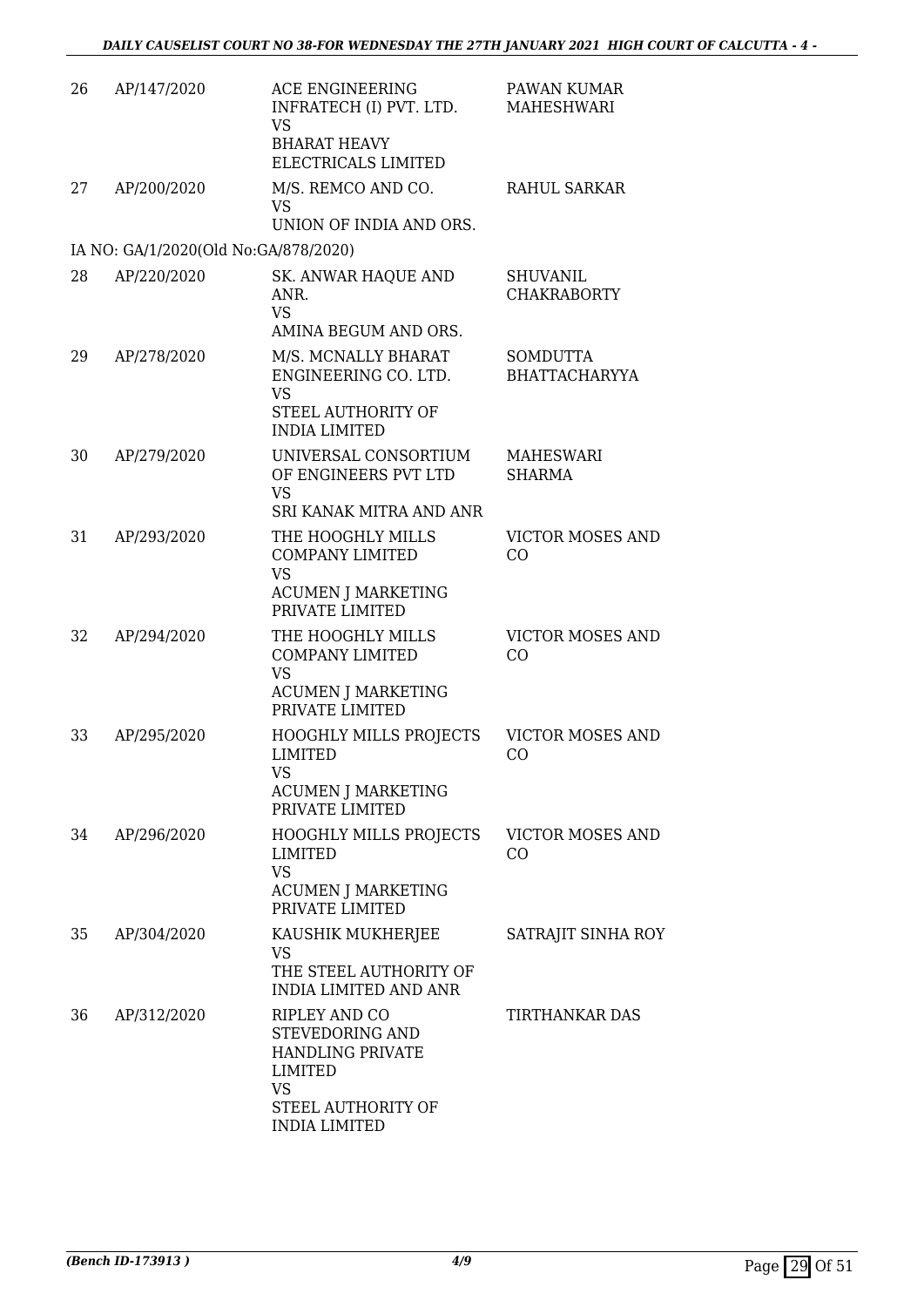| 26 | AP/147/2020                          | <b>ACE ENGINEERING</b><br>INFRATECH (I) PVT. LTD.<br><b>VS</b><br><b>BHARAT HEAVY</b><br>ELECTRICALS LIMITED                                                                                                                                                                                                                      | PAWAN KUMAR<br><b>MAHESHWARI</b>        |
|----|--------------------------------------|-----------------------------------------------------------------------------------------------------------------------------------------------------------------------------------------------------------------------------------------------------------------------------------------------------------------------------------|-----------------------------------------|
| 27 | AP/200/2020                          | M/S. REMCO AND CO.<br><b>VS</b><br>UNION OF INDIA AND ORS.                                                                                                                                                                                                                                                                        | <b>RAHUL SARKAR</b>                     |
|    | IA NO: GA/1/2020(Old No:GA/878/2020) |                                                                                                                                                                                                                                                                                                                                   |                                         |
| 28 | AP/220/2020                          | <b>SK. ANWAR HAQUE AND</b><br>ANR.<br><b>VS</b>                                                                                                                                                                                                                                                                                   | <b>SHUVANIL</b><br><b>CHAKRABORTY</b>   |
|    |                                      | AMINA BEGUM AND ORS.                                                                                                                                                                                                                                                                                                              |                                         |
| 29 | AP/278/2020                          | M/S. MCNALLY BHARAT<br>ENGINEERING CO. LTD.<br><b>VS</b>                                                                                                                                                                                                                                                                          | <b>SOMDUTTA</b><br><b>BHATTACHARYYA</b> |
|    |                                      | STEEL AUTHORITY OF<br><b>INDIA LIMITED</b>                                                                                                                                                                                                                                                                                        |                                         |
| 30 | AP/279/2020                          | UNIVERSAL CONSORTIUM<br>OF ENGINEERS PVT LTD<br><b>VS</b>                                                                                                                                                                                                                                                                         | MAHESWARI<br><b>SHARMA</b>              |
|    |                                      | SRI KANAK MITRA AND ANR                                                                                                                                                                                                                                                                                                           |                                         |
| 31 | AP/293/2020                          | THE HOOGHLY MILLS<br><b>COMPANY LIMITED</b><br><b>VS</b><br><b>ACUMEN J MARKETING</b><br>PRIVATE LIMITED                                                                                                                                                                                                                          | <b>VICTOR MOSES AND</b><br>CO           |
| 32 | AP/294/2020                          | THE HOOGHLY MILLS<br><b>COMPANY LIMITED</b><br><b>VS</b><br><b>ACUMEN J MARKETING</b><br>PRIVATE LIMITED                                                                                                                                                                                                                          | <b>VICTOR MOSES AND</b><br>CO           |
| 33 | AP/295/2020                          | <b>HOOGHLY MILLS PROJECTS</b><br><b>LIMITED</b><br>VS and the VS and the VS are the VS and the VS are the VS and the VS are the VS and the VS are the VS and the VS are the VS and T-100 and T-100 and T-100 and T-100 and T-100 and T-100 and T-100 and T-100 and T-100 and T-10<br><b>ACUMEN J MARKETING</b><br>PRIVATE LIMITED | <b>VICTOR MOSES AND</b><br>CO           |
| 34 | AP/296/2020                          | HOOGHLY MILLS PROJECTS<br><b>LIMITED</b><br><b>VS</b><br><b>ACUMEN J MARKETING</b><br>PRIVATE LIMITED                                                                                                                                                                                                                             | <b>VICTOR MOSES AND</b><br>CO           |
| 35 | AP/304/2020                          | KAUSHIK MUKHERJEE<br>VS<br>THE STEEL AUTHORITY OF<br><b>INDIA LIMITED AND ANR</b>                                                                                                                                                                                                                                                 | SATRAJIT SINHA ROY                      |
| 36 | AP/312/2020                          | RIPLEY AND CO<br>STEVEDORING AND<br><b>HANDLING PRIVATE</b><br><b>LIMITED</b><br>VS<br>STEEL AUTHORITY OF                                                                                                                                                                                                                         | TIRTHANKAR DAS                          |
|    |                                      | <b>INDIA LIMITED</b>                                                                                                                                                                                                                                                                                                              |                                         |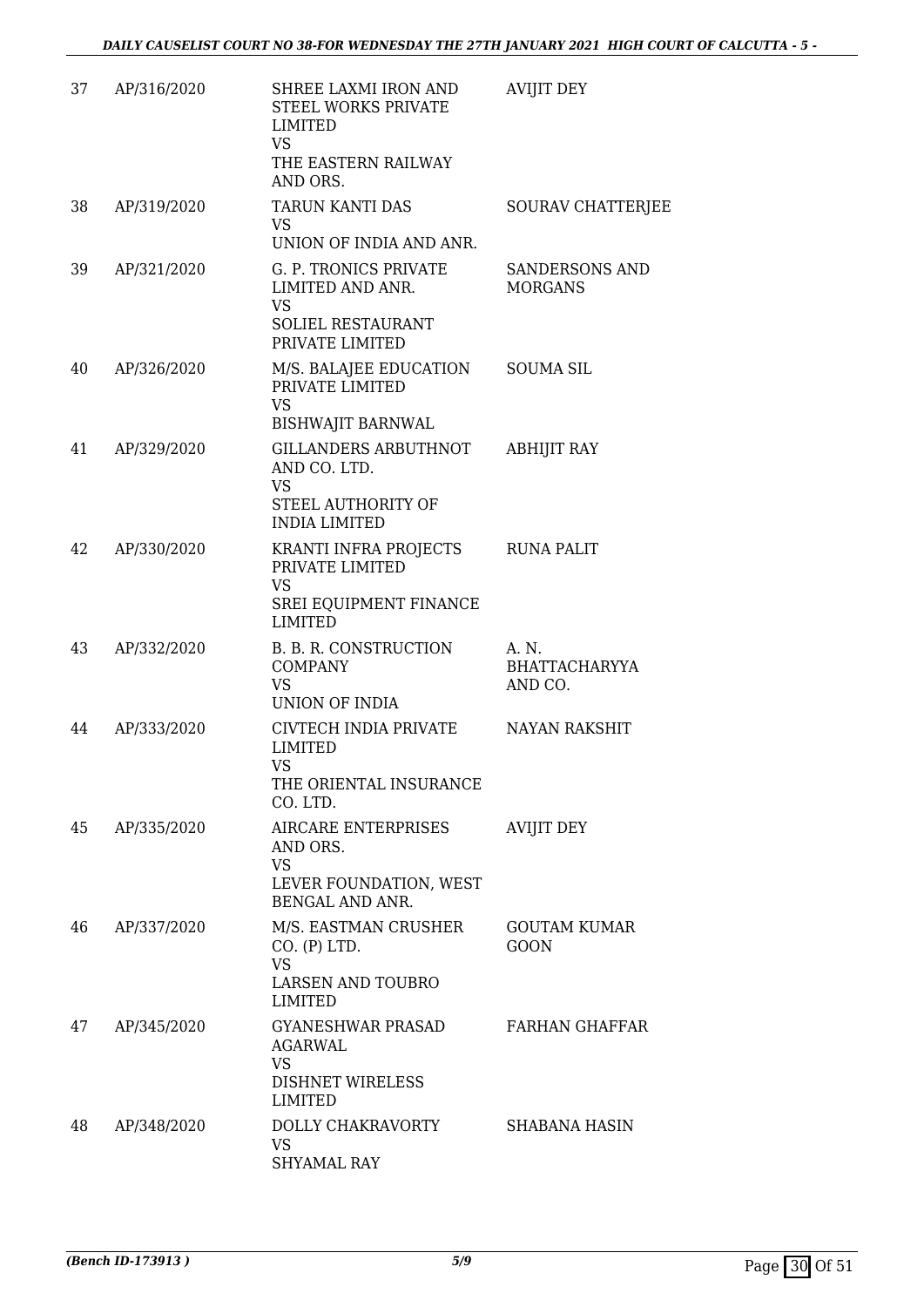| 37 | AP/316/2020 | SHREE LAXMI IRON AND<br>STEEL WORKS PRIVATE<br><b>LIMITED</b><br><b>VS</b><br>THE EASTERN RAILWAY<br>AND ORS. | <b>AVIJIT DEY</b>                        |
|----|-------------|---------------------------------------------------------------------------------------------------------------|------------------------------------------|
| 38 | AP/319/2020 | TARUN KANTI DAS<br><b>VS</b><br>UNION OF INDIA AND ANR.                                                       | SOURAV CHATTERJEE                        |
| 39 | AP/321/2020 | G. P. TRONICS PRIVATE<br>LIMITED AND ANR.<br><b>VS</b><br>SOLIEL RESTAURANT<br>PRIVATE LIMITED                | SANDERSONS AND<br><b>MORGANS</b>         |
| 40 | AP/326/2020 | M/S. BALAJEE EDUCATION<br>PRIVATE LIMITED<br><b>VS</b><br><b>BISHWAJIT BARNWAL</b>                            | <b>SOUMA SIL</b>                         |
| 41 | AP/329/2020 | <b>GILLANDERS ARBUTHNOT</b><br>AND CO. LTD.<br><b>VS</b><br>STEEL AUTHORITY OF<br><b>INDIA LIMITED</b>        | <b>ABHIJIT RAY</b>                       |
| 42 | AP/330/2020 | KRANTI INFRA PROJECTS<br>PRIVATE LIMITED<br><b>VS</b><br>SREI EQUIPMENT FINANCE<br><b>LIMITED</b>             | <b>RUNA PALIT</b>                        |
| 43 | AP/332/2020 | B. B. R. CONSTRUCTION<br><b>COMPANY</b><br><b>VS</b><br>UNION OF INDIA                                        | A. N.<br><b>BHATTACHARYYA</b><br>AND CO. |
| 44 | AP/333/2020 | CIVTECH INDIA PRIVATE<br><b>LIMITED</b><br><b>VS</b><br>THE ORIENTAL INSURANCE<br>CO. LTD.                    | NAYAN RAKSHIT                            |
| 45 | AP/335/2020 | AIRCARE ENTERPRISES<br>AND ORS.<br><b>VS</b><br>LEVER FOUNDATION, WEST<br>BENGAL AND ANR.                     | <b>AVIJIT DEY</b>                        |
| 46 | AP/337/2020 | M/S. EASTMAN CRUSHER<br>CO. (P) LTD.<br><b>VS</b><br><b>LARSEN AND TOUBRO</b><br><b>LIMITED</b>               | <b>GOUTAM KUMAR</b><br><b>GOON</b>       |
| 47 | AP/345/2020 | GYANESHWAR PRASAD<br>AGARWAL<br><b>VS</b><br><b>DISHNET WIRELESS</b><br><b>LIMITED</b>                        | FARHAN GHAFFAR                           |
| 48 | AP/348/2020 | DOLLY CHAKRAVORTY<br><b>VS</b><br>SHYAMAL RAY                                                                 | <b>SHABANA HASIN</b>                     |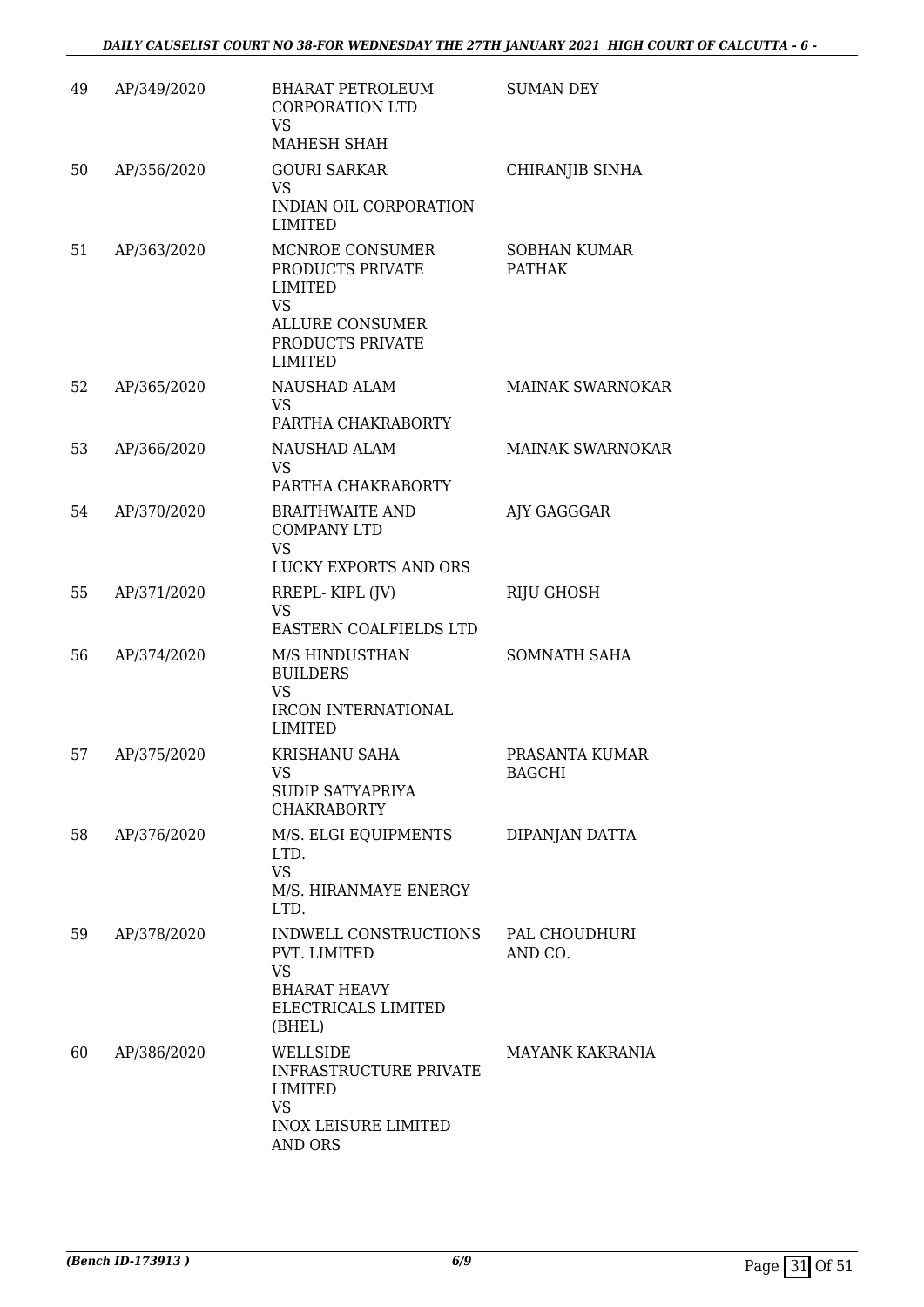| 49 | AP/349/2020 | <b>BHARAT PETROLEUM</b><br><b>CORPORATION LTD</b><br><b>VS</b><br>MAHESH SHAH                                                      | <b>SUMAN DEY</b>                     |
|----|-------------|------------------------------------------------------------------------------------------------------------------------------------|--------------------------------------|
| 50 | AP/356/2020 | <b>GOURI SARKAR</b><br><b>VS</b><br>INDIAN OIL CORPORATION<br><b>LIMITED</b>                                                       | CHIRANJIB SINHA                      |
| 51 | AP/363/2020 | MCNROE CONSUMER<br>PRODUCTS PRIVATE<br><b>LIMITED</b><br><b>VS</b><br><b>ALLURE CONSUMER</b><br>PRODUCTS PRIVATE<br><b>LIMITED</b> | <b>SOBHAN KUMAR</b><br><b>PATHAK</b> |
| 52 | AP/365/2020 | <b>NAUSHAD ALAM</b><br><b>VS</b><br>PARTHA CHAKRABORTY                                                                             | <b>MAINAK SWARNOKAR</b>              |
| 53 | AP/366/2020 | <b>NAUSHAD ALAM</b><br><b>VS</b><br>PARTHA CHAKRABORTY                                                                             | MAINAK SWARNOKAR                     |
| 54 | AP/370/2020 | <b>BRAITHWAITE AND</b><br><b>COMPANY LTD</b><br><b>VS</b><br>LUCKY EXPORTS AND ORS                                                 | AJY GAGGGAR                          |
| 55 | AP/371/2020 | RREPL-KIPL (JV)<br><b>VS</b><br>EASTERN COALFIELDS LTD                                                                             | RIJU GHOSH                           |
| 56 | AP/374/2020 | M/S HINDUSTHAN<br><b>BUILDERS</b><br><b>VS</b><br><b>IRCON INTERNATIONAL</b><br><b>LIMITED</b>                                     | <b>SOMNATH SAHA</b>                  |
| 57 | AP/375/2020 | KRISHANU SAHA<br>VS<br>SUDIP SATYAPRIYA<br><b>CHAKRABORTY</b>                                                                      | PRASANTA KUMAR<br><b>BAGCHI</b>      |
| 58 | AP/376/2020 | M/S. ELGI EQUIPMENTS<br>LTD.<br><b>VS</b><br>M/S. HIRANMAYE ENERGY<br>LTD.                                                         | DIPANJAN DATTA                       |
| 59 | AP/378/2020 | INDWELL CONSTRUCTIONS<br>PVT. LIMITED<br><b>VS</b><br><b>BHARAT HEAVY</b><br>ELECTRICALS LIMITED<br>(BHEL)                         | PAL CHOUDHURI<br>AND CO.             |
| 60 | AP/386/2020 | WELLSIDE<br><b>INFRASTRUCTURE PRIVATE</b><br><b>LIMITED</b><br><b>VS</b><br><b>INOX LEISURE LIMITED</b><br>AND ORS                 | <b>MAYANK KAKRANIA</b>               |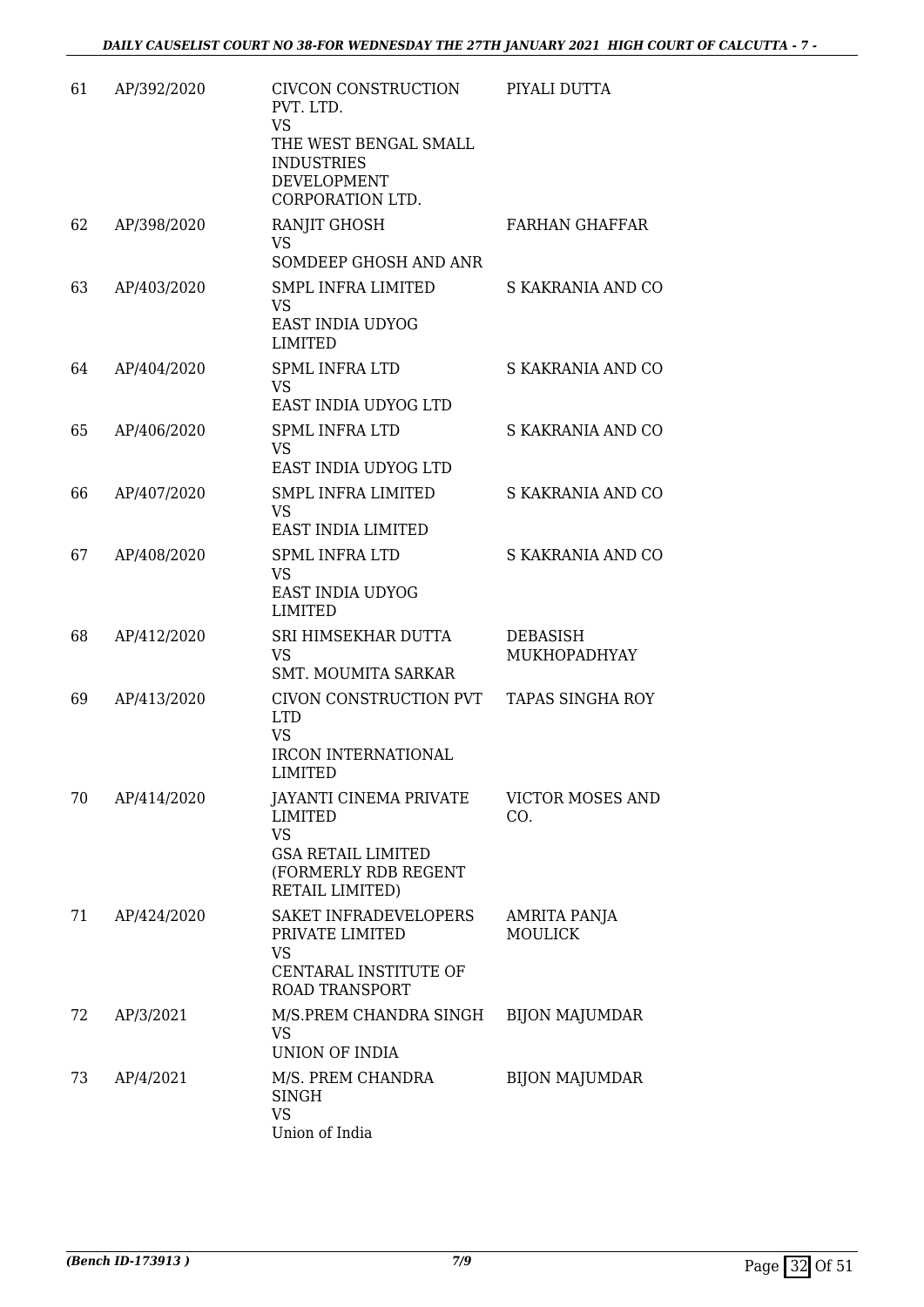| 61 | AP/392/2020 | CIVCON CONSTRUCTION<br>PVT. LTD.<br><b>VS</b><br>THE WEST BENGAL SMALL<br><b>INDUSTRIES</b><br><b>DEVELOPMENT</b><br>CORPORATION LTD. | PIYALI DUTTA                    |
|----|-------------|---------------------------------------------------------------------------------------------------------------------------------------|---------------------------------|
| 62 | AP/398/2020 | RANJIT GHOSH<br>VS<br>SOMDEEP GHOSH AND ANR                                                                                           | <b>FARHAN GHAFFAR</b>           |
| 63 | AP/403/2020 | SMPL INFRA LIMITED<br><b>VS</b><br><b>EAST INDIA UDYOG</b><br><b>LIMITED</b>                                                          | S KAKRANIA AND CO               |
| 64 | AP/404/2020 | <b>SPML INFRA LTD</b><br>VS<br>EAST INDIA UDYOG LTD                                                                                   | S KAKRANIA AND CO               |
| 65 | AP/406/2020 | <b>SPML INFRA LTD</b><br><b>VS</b><br>EAST INDIA UDYOG LTD                                                                            | S KAKRANIA AND CO               |
| 66 | AP/407/2020 | <b>SMPL INFRA LIMITED</b><br><b>VS</b><br>EAST INDIA LIMITED                                                                          | S KAKRANIA AND CO               |
| 67 | AP/408/2020 | <b>SPML INFRA LTD</b><br><b>VS</b><br>EAST INDIA UDYOG<br><b>LIMITED</b>                                                              | S KAKRANIA AND CO               |
| 68 | AP/412/2020 | SRI HIMSEKHAR DUTTA<br><b>VS</b><br><b>SMT. MOUMITA SARKAR</b>                                                                        | <b>DEBASISH</b><br>MUKHOPADHYAY |
| 69 | AP/413/2020 | CIVON CONSTRUCTION PVT<br><b>LTD</b><br><b>VS</b><br><b>IRCON INTERNATIONAL</b><br>LIMITED                                            | TAPAS SINGHA ROY                |
| 70 | AP/414/2020 | <b>JAYANTI CINEMA PRIVATE</b><br><b>LIMITED</b><br><b>VS</b><br><b>GSA RETAIL LIMITED</b><br>(FORMERLY RDB REGENT<br>RETAIL LIMITED)  | <b>VICTOR MOSES AND</b><br>CO.  |
| 71 | AP/424/2020 | SAKET INFRADEVELOPERS<br>PRIVATE LIMITED<br><b>VS</b><br>CENTARAL INSTITUTE OF<br><b>ROAD TRANSPORT</b>                               | AMRITA PANJA<br><b>MOULICK</b>  |
| 72 | AP/3/2021   | M/S.PREM CHANDRA SINGH<br>VS<br>UNION OF INDIA                                                                                        | <b>BIJON MAJUMDAR</b>           |
| 73 | AP/4/2021   | M/S. PREM CHANDRA<br><b>SINGH</b><br><b>VS</b><br>Union of India                                                                      | <b>BIJON MAJUMDAR</b>           |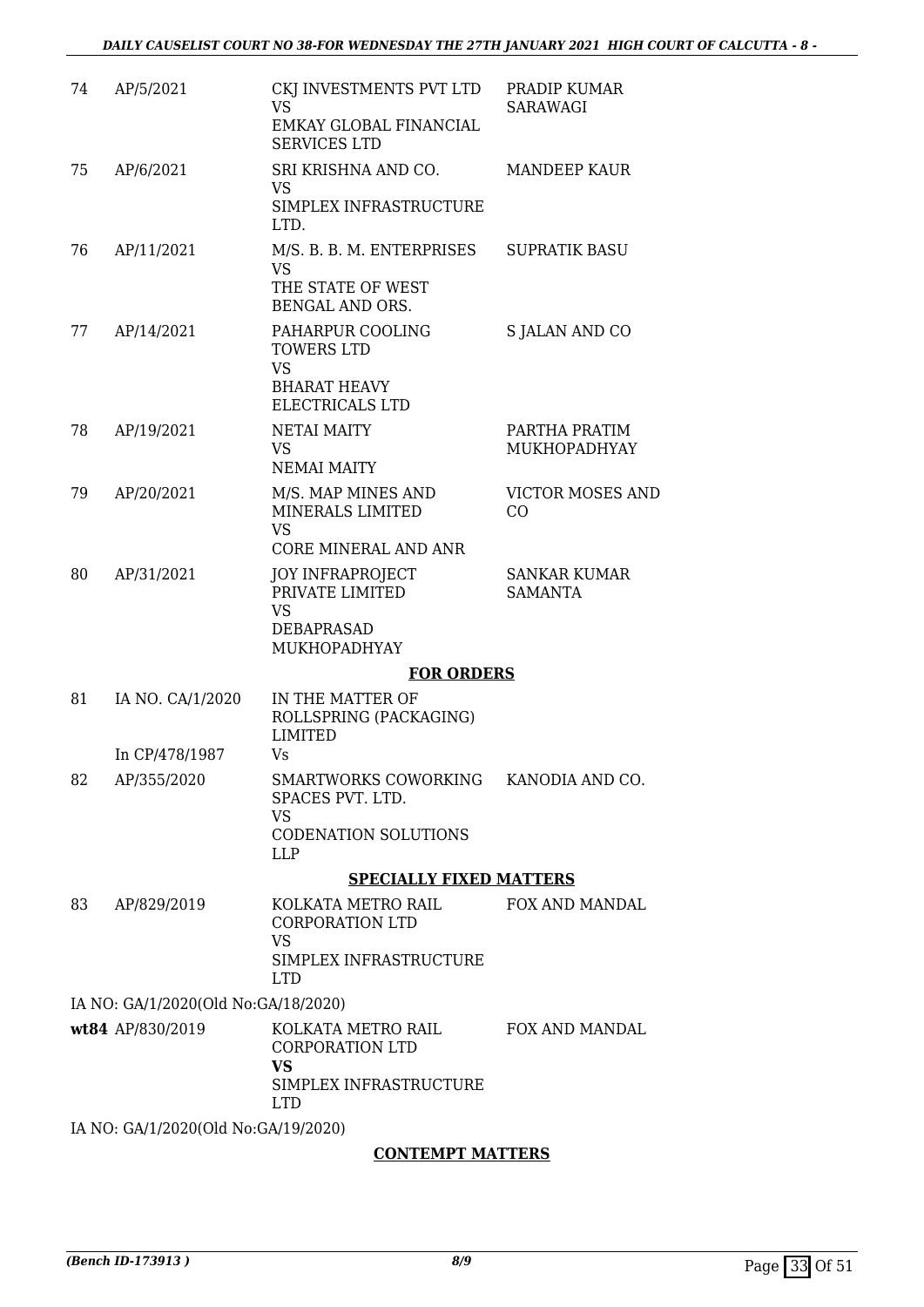| 74 | AP/5/2021                           | CKJ INVESTMENTS PVT LTD<br><b>VS</b>                                                                | PRADIP KUMAR<br><b>SARAWAGI</b>       |
|----|-------------------------------------|-----------------------------------------------------------------------------------------------------|---------------------------------------|
|    |                                     | EMKAY GLOBAL FINANCIAL<br><b>SERVICES LTD</b>                                                       |                                       |
| 75 | AP/6/2021                           | SRI KRISHNA AND CO.<br><b>VS</b>                                                                    | <b>MANDEEP KAUR</b>                   |
|    |                                     | SIMPLEX INFRASTRUCTURE<br>LTD.                                                                      |                                       |
| 76 | AP/11/2021                          | M/S. B. B. M. ENTERPRISES<br>VS<br>THE STATE OF WEST<br>BENGAL AND ORS.                             | <b>SUPRATIK BASU</b>                  |
| 77 | AP/14/2021                          | PAHARPUR COOLING<br><b>TOWERS LTD</b><br><b>VS</b><br><b>BHARAT HEAVY</b><br><b>ELECTRICALS LTD</b> | S JALAN AND CO                        |
| 78 | AP/19/2021                          | <b>NETAI MAITY</b><br><b>VS</b><br><b>NEMAI MAITY</b>                                               | PARTHA PRATIM<br>MUKHOPADHYAY         |
| 79 | AP/20/2021                          | M/S. MAP MINES AND<br>MINERALS LIMITED<br><b>VS</b>                                                 | <b>VICTOR MOSES AND</b><br>CO         |
|    |                                     | CORE MINERAL AND ANR                                                                                |                                       |
| 80 | AP/31/2021                          | <b>JOY INFRAPROJECT</b><br>PRIVATE LIMITED<br><b>VS</b><br><b>DEBAPRASAD</b><br>MUKHOPADHYAY        | <b>SANKAR KUMAR</b><br><b>SAMANTA</b> |
|    |                                     | <b>FOR ORDERS</b>                                                                                   |                                       |
| 81 | IA NO. CA/1/2020                    | IN THE MATTER OF<br>ROLLSPRING (PACKAGING)<br><b>LIMITED</b>                                        |                                       |
|    | In CP/478/1987                      | Vs                                                                                                  |                                       |
| 82 | AP/355/2020                         | SMARTWORKS COWORKING KANODIA AND CO.<br>SPACES PVT. LTD.<br><b>VS</b>                               |                                       |
|    |                                     | <b>CODENATION SOLUTIONS</b><br><b>LLP</b>                                                           |                                       |
|    |                                     | <b>SPECIALLY FIXED MATTERS</b>                                                                      |                                       |
| 83 | AP/829/2019                         | KOLKATA METRO RAIL<br>CORPORATION LTD<br><b>VS</b><br>SIMPLEX INFRASTRUCTURE<br><b>LTD</b>          | <b>FOX AND MANDAL</b>                 |
|    | IA NO: GA/1/2020(Old No:GA/18/2020) |                                                                                                     |                                       |
|    | wt84 AP/830/2019                    | KOLKATA METRO RAIL<br><b>CORPORATION LTD</b><br><b>VS</b><br>SIMPLEX INFRASTRUCTURE<br><b>LTD</b>   | <b>FOX AND MANDAL</b>                 |
|    | IA NO: GA/1/2020(Old No:GA/19/2020) |                                                                                                     |                                       |
|    |                                     |                                                                                                     |                                       |

#### **CONTEMPT MATTERS**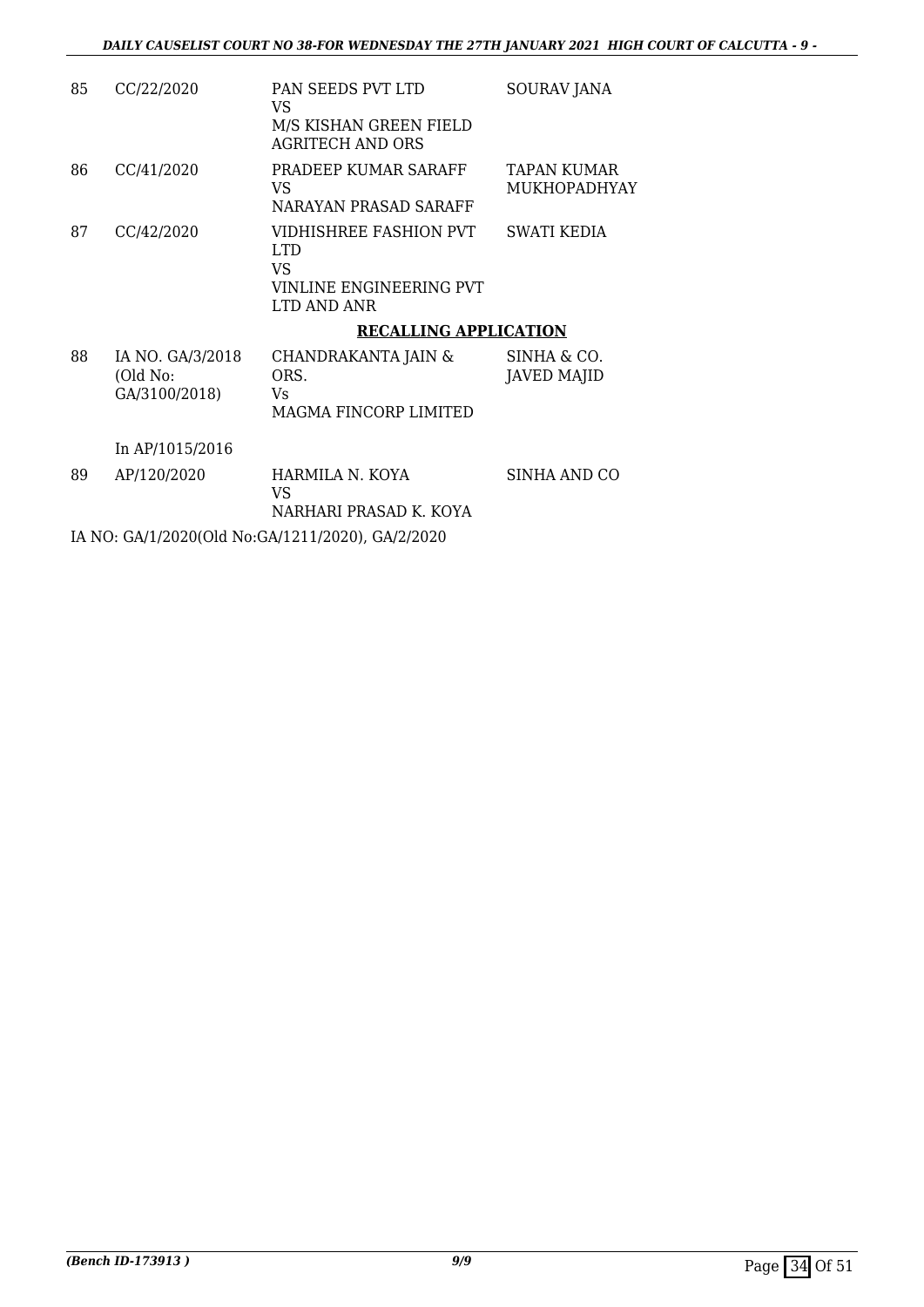| 85 | CC/22/2020                                    | PAN SEEDS PVT LTD<br>VS<br>M/S KISHAN GREEN FIELD<br>AGRITECH AND ORS          | SOURAV JANA                        |
|----|-----------------------------------------------|--------------------------------------------------------------------------------|------------------------------------|
| 86 | CC/41/2020                                    | PRADEEP KUMAR SARAFF<br>VS<br>NARAYAN PRASAD SARAFF                            | TAPAN KUMAR<br><b>MUKHOPADHYAY</b> |
| 87 | CC/42/2020                                    | VIDHISHREE FASHION PVT<br>LTD.<br>VS<br>VINLINE ENGINEERING PVT<br>LTD AND ANR | SWATI KEDIA                        |
|    |                                               | <b>RECALLING APPLICATION</b>                                                   |                                    |
| 88 | IA NO. GA/3/2018<br>(Old No:<br>GA/3100/2018) | CHANDRAKANTA JAIN &<br>ORS.<br>Vs<br>MAGMA FINCORP LIMITED                     | SINHA & CO.<br><b>JAVED MAJID</b>  |

In AP/1015/2016

89 AP/120/2020 HARMILA N. KOYA VS NARHARI PRASAD K. KOYA SINHA AND CO

IA NO: GA/1/2020(Old No:GA/1211/2020), GA/2/2020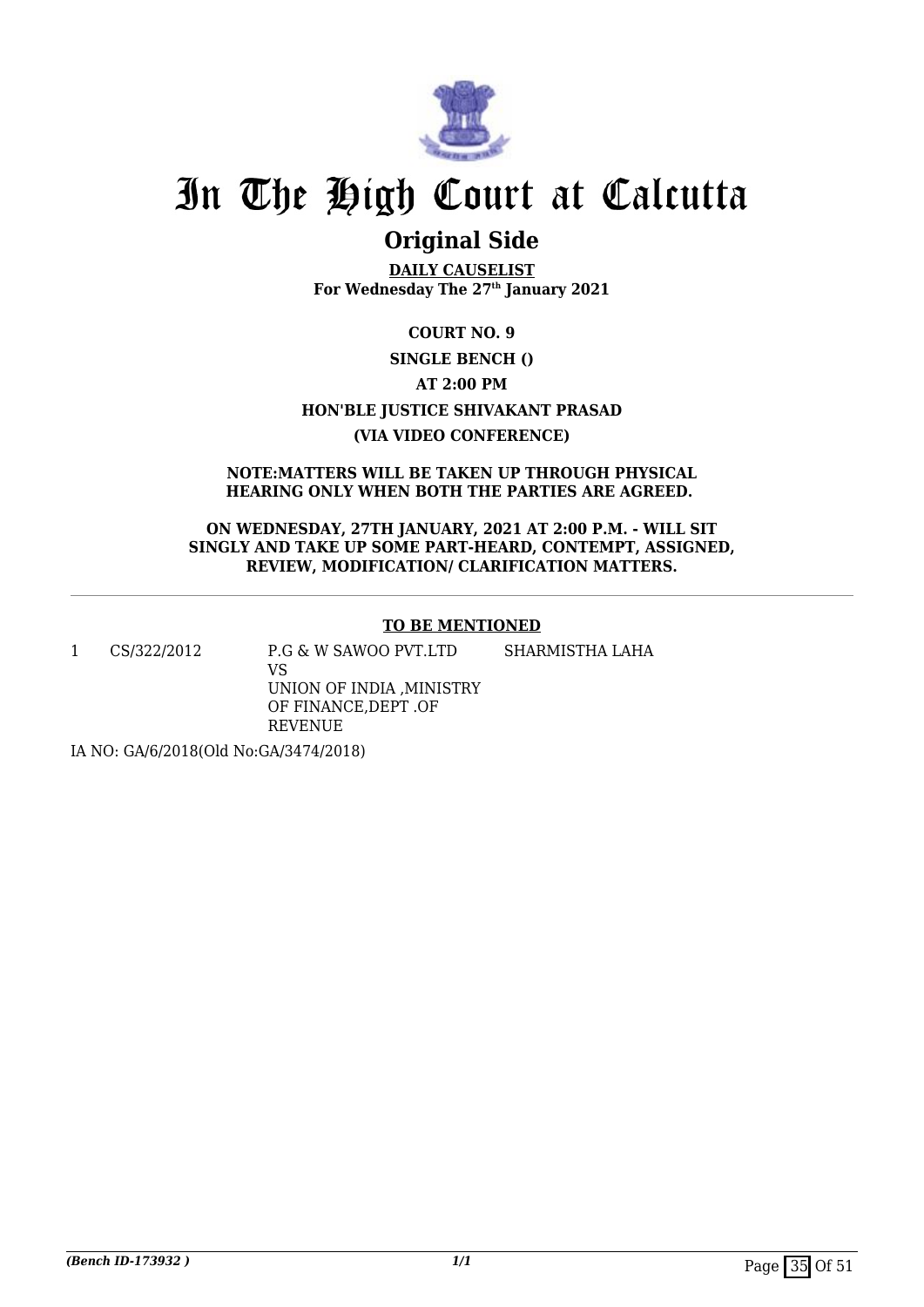

## **Original Side**

**DAILY CAUSELIST For Wednesday The 27th January 2021**

### **COURT NO. 9 SINGLE BENCH () AT 2:00 PM HON'BLE JUSTICE SHIVAKANT PRASAD (VIA VIDEO CONFERENCE)**

**NOTE:MATTERS WILL BE TAKEN UP THROUGH PHYSICAL HEARING ONLY WHEN BOTH THE PARTIES ARE AGREED.** 

**ON WEDNESDAY, 27TH JANUARY, 2021 AT 2:00 P.M. - WILL SIT SINGLY AND TAKE UP SOME PART-HEARD, CONTEMPT, ASSIGNED, REVIEW, MODIFICATION/ CLARIFICATION MATTERS.**

#### **TO BE MENTIONED**

1 CS/322/2012 P.G & W SAWOO PVT.LTD

SHARMISTHA LAHA

VS UNION OF INDIA ,MINISTRY OF FINANCE,DEPT .OF REVENUE

IA NO: GA/6/2018(Old No:GA/3474/2018)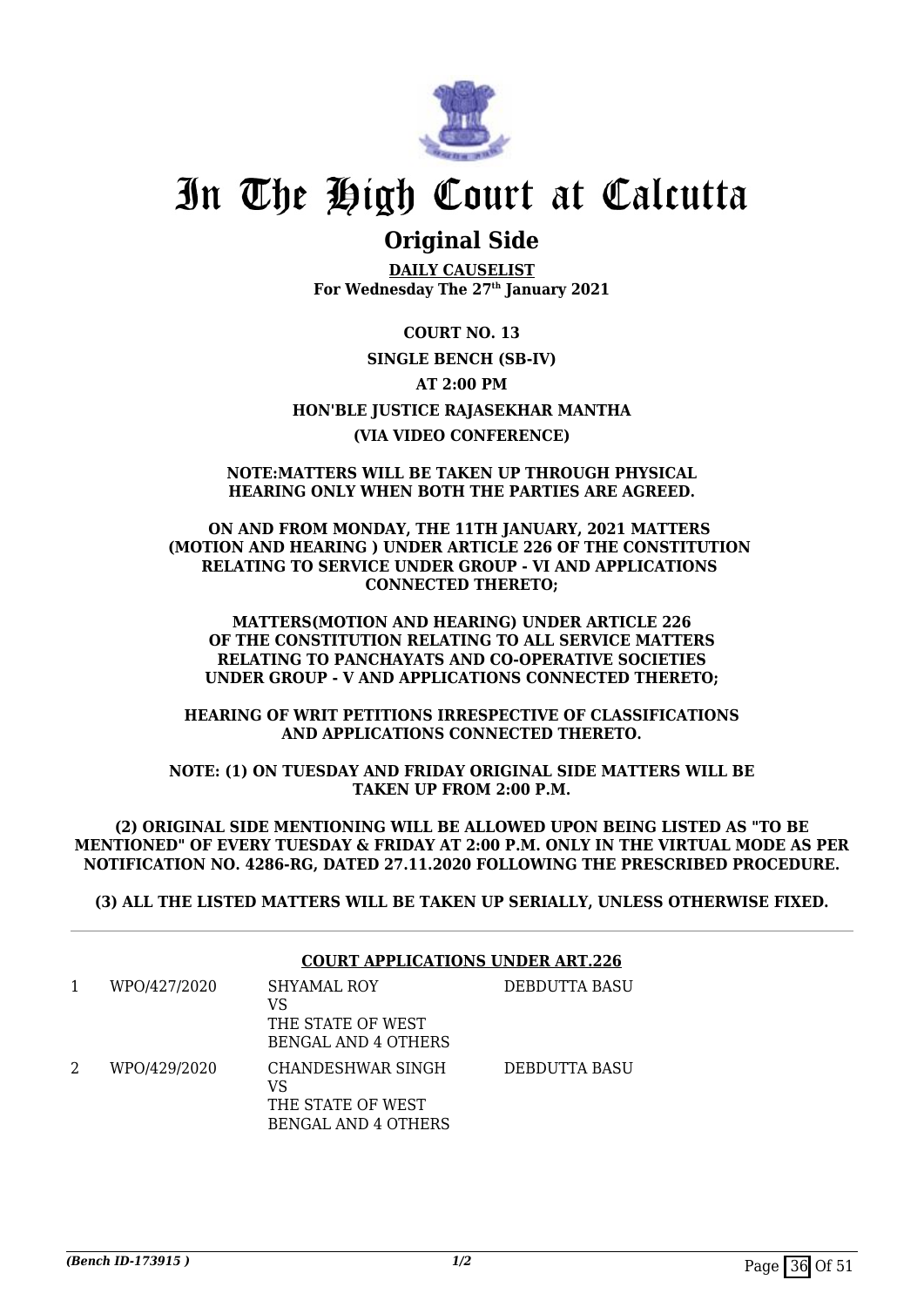

### **Original Side**

**DAILY CAUSELIST For Wednesday The 27th January 2021**

**COURT NO. 13 SINGLE BENCH (SB-IV) AT 2:00 PM HON'BLE JUSTICE RAJASEKHAR MANTHA (VIA VIDEO CONFERENCE)**

#### **NOTE:MATTERS WILL BE TAKEN UP THROUGH PHYSICAL HEARING ONLY WHEN BOTH THE PARTIES ARE AGREED.**

**ON AND FROM MONDAY, THE 11TH JANUARY, 2021 MATTERS (MOTION AND HEARING ) UNDER ARTICLE 226 OF THE CONSTITUTION RELATING TO SERVICE UNDER GROUP - VI AND APPLICATIONS CONNECTED THERETO;**

**MATTERS(MOTION AND HEARING) UNDER ARTICLE 226 OF THE CONSTITUTION RELATING TO ALL SERVICE MATTERS RELATING TO PANCHAYATS AND CO-OPERATIVE SOCIETIES UNDER GROUP - V AND APPLICATIONS CONNECTED THERETO;**

**HEARING OF WRIT PETITIONS IRRESPECTIVE OF CLASSIFICATIONS AND APPLICATIONS CONNECTED THERETO.**

**NOTE: (1) ON TUESDAY AND FRIDAY ORIGINAL SIDE MATTERS WILL BE TAKEN UP FROM 2:00 P.M.**

**(2) ORIGINAL SIDE MENTIONING WILL BE ALLOWED UPON BEING LISTED AS "TO BE MENTIONED" OF EVERY TUESDAY & FRIDAY AT 2:00 P.M. ONLY IN THE VIRTUAL MODE AS PER NOTIFICATION NO. 4286-RG, DATED 27.11.2020 FOLLOWING THE PRESCRIBED PROCEDURE.**

**(3) ALL THE LISTED MATTERS WILL BE TAKEN UP SERIALLY, UNLESS OTHERWISE FIXED.**

|              | <b>COURT APPLICATIONS UNDER ART.226</b>                                    |               |  |
|--------------|----------------------------------------------------------------------------|---------------|--|
| WPO/427/2020 | SHYAMAL ROY<br>VS<br>THE STATE OF WEST<br><b>BENGAL AND 4 OTHERS</b>       | DEBDUTTA BASU |  |
| WPO/429/2020 | CHANDESHWAR SINGH<br>VS<br>THE STATE OF WEST<br><b>BENGAL AND 4 OTHERS</b> | DEBDUTTA BASU |  |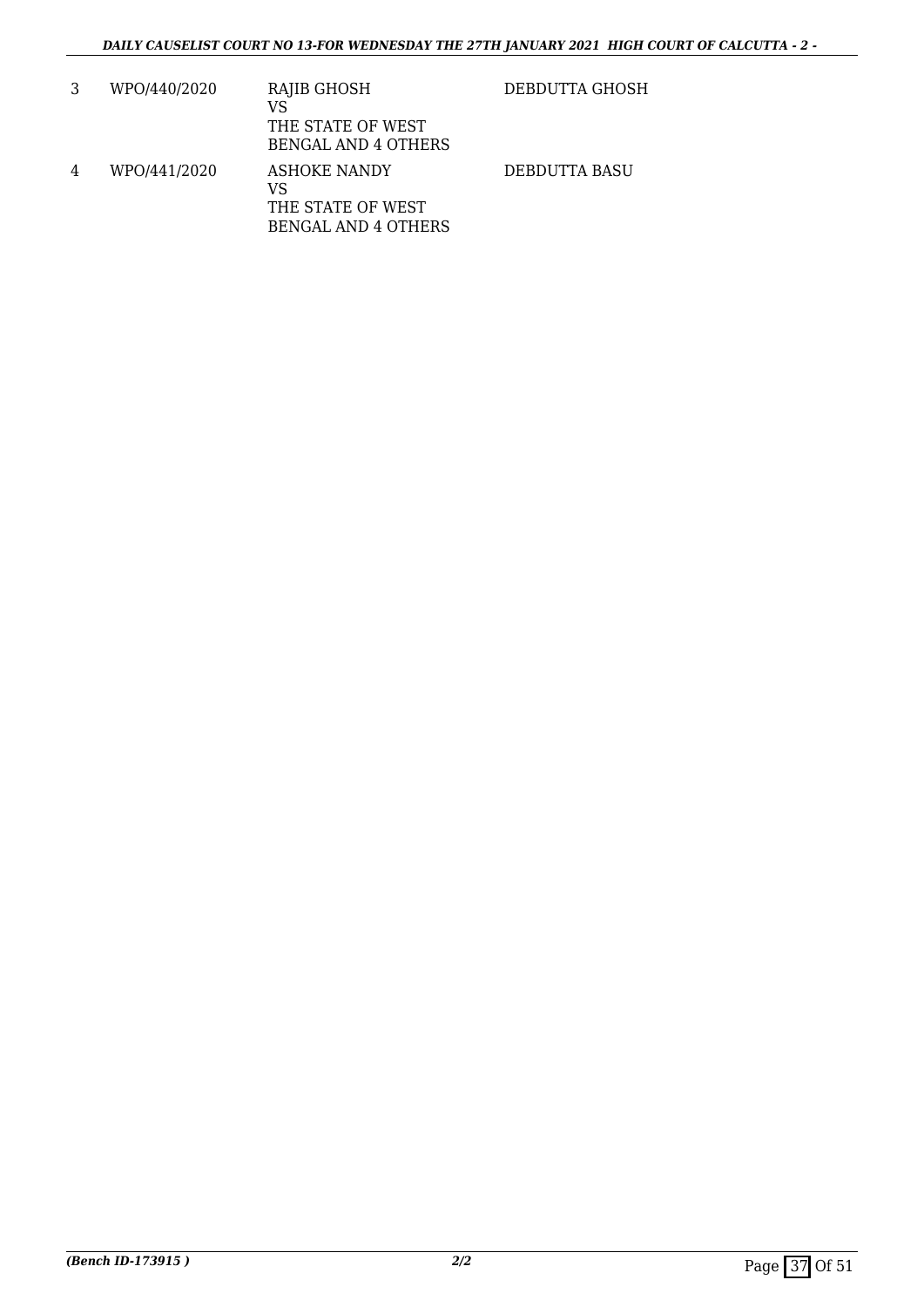|   | WPO/440/2020 | RAJIB GHOSH<br>VS<br>THE STATE OF WEST<br><b>BENGAL AND 4 OTHERS</b>         | DEBDUTTA GHOSH |
|---|--------------|------------------------------------------------------------------------------|----------------|
| 4 | WPO/441/2020 | <b>ASHOKE NANDY</b><br>VS<br>THE STATE OF WEST<br><b>BENGAL AND 4 OTHERS</b> | DEBDUTTA BASU  |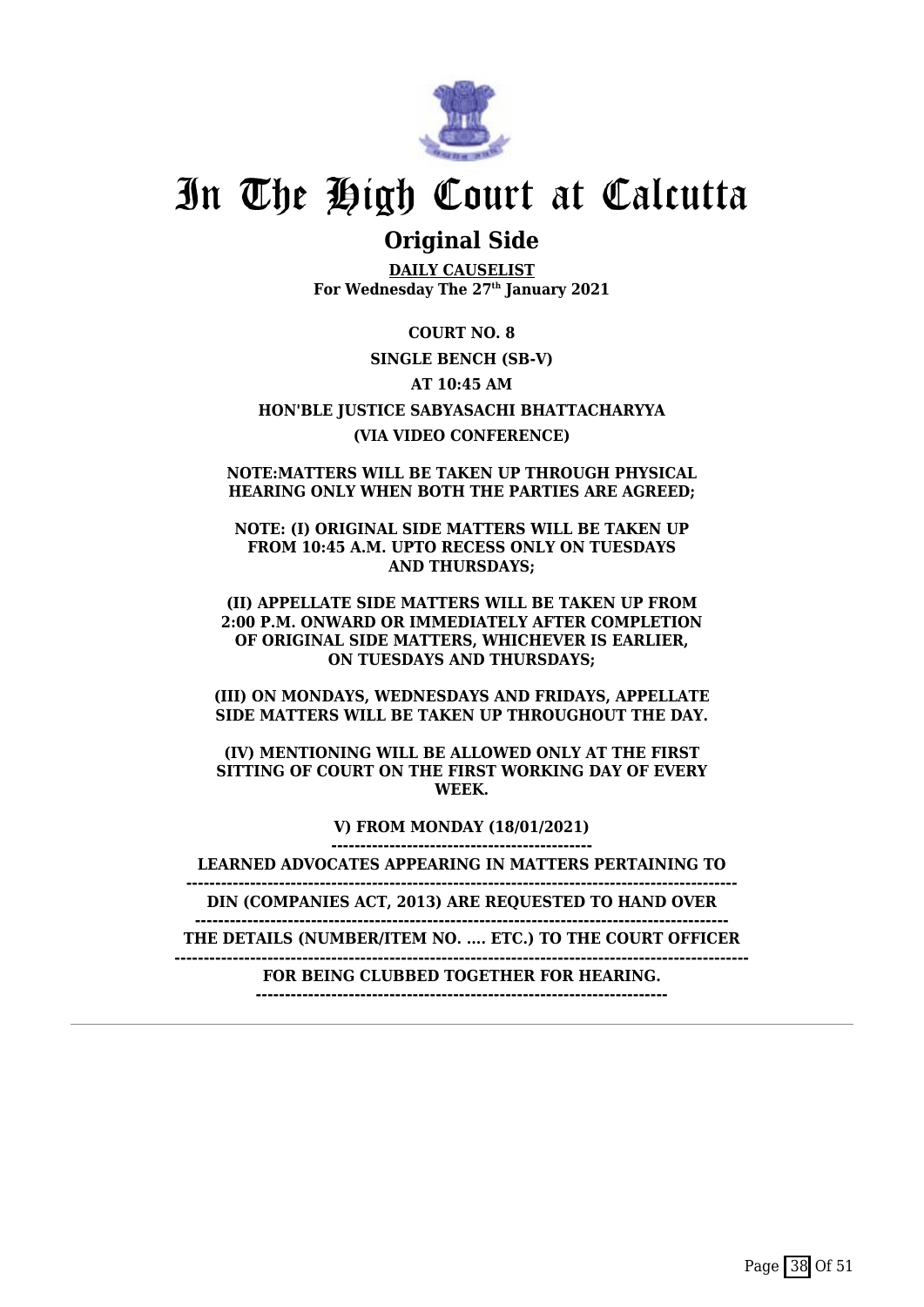

### **Original Side**

**DAILY CAUSELIST For Wednesday The 27th January 2021**

**COURT NO. 8 SINGLE BENCH (SB-V) AT 10:45 AM HON'BLE JUSTICE SABYASACHI BHATTACHARYYA (VIA VIDEO CONFERENCE)**

**NOTE:MATTERS WILL BE TAKEN UP THROUGH PHYSICAL HEARING ONLY WHEN BOTH THE PARTIES ARE AGREED;**

**NOTE: (I) ORIGINAL SIDE MATTERS WILL BE TAKEN UP FROM 10:45 A.M. UPTO RECESS ONLY ON TUESDAYS AND THURSDAYS;**

**(II) APPELLATE SIDE MATTERS WILL BE TAKEN UP FROM 2:00 P.M. ONWARD OR IMMEDIATELY AFTER COMPLETION OF ORIGINAL SIDE MATTERS, WHICHEVER IS EARLIER, ON TUESDAYS AND THURSDAYS;**

**(III) ON MONDAYS, WEDNESDAYS AND FRIDAYS, APPELLATE SIDE MATTERS WILL BE TAKEN UP THROUGHOUT THE DAY.**

**(IV) MENTIONING WILL BE ALLOWED ONLY AT THE FIRST SITTING OF COURT ON THE FIRST WORKING DAY OF EVERY WEEK.**

> **V) FROM MONDAY (18/01/2021) ---------------------------------------------**

**LEARNED ADVOCATES APPEARING IN MATTERS PERTAINING TO**

**-----------------------------------------------------------------------------------------------**

**DIN (COMPANIES ACT, 2013) ARE REQUESTED TO HAND OVER --------------------------------------------------------------------------------------------**

**THE DETAILS (NUMBER/ITEM NO. .... ETC.) TO THE COURT OFFICER**

**---------------------------------------------------------------------------------------------------**

**FOR BEING CLUBBED TOGETHER FOR HEARING. -----------------------------------------------------------------------**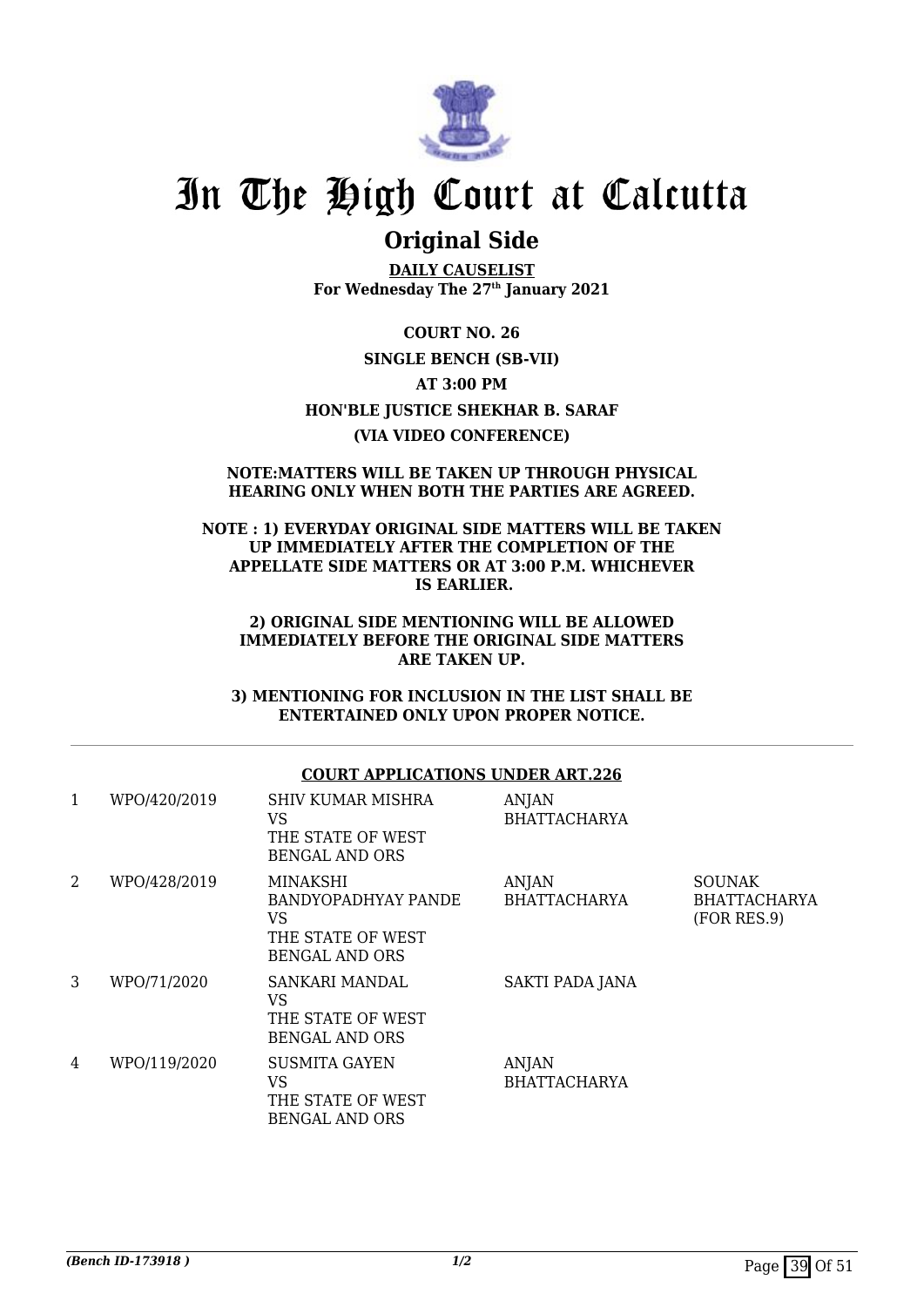

### **Original Side**

**DAILY CAUSELIST For Wednesday The 27th January 2021**

**COURT NO. 26 SINGLE BENCH (SB-VII) AT 3:00 PM HON'BLE JUSTICE SHEKHAR B. SARAF (VIA VIDEO CONFERENCE)**

#### **NOTE:MATTERS WILL BE TAKEN UP THROUGH PHYSICAL HEARING ONLY WHEN BOTH THE PARTIES ARE AGREED.**

#### **NOTE : 1) EVERYDAY ORIGINAL SIDE MATTERS WILL BE TAKEN UP IMMEDIATELY AFTER THE COMPLETION OF THE APPELLATE SIDE MATTERS OR AT 3:00 P.M. WHICHEVER IS EARLIER.**

#### **2) ORIGINAL SIDE MENTIONING WILL BE ALLOWED IMMEDIATELY BEFORE THE ORIGINAL SIDE MATTERS ARE TAKEN UP.**

**3) MENTIONING FOR INCLUSION IN THE LIST SHALL BE ENTERTAINED ONLY UPON PROPER NOTICE.**

#### **COURT APPLICATIONS UNDER ART.226**

| 1              | WPO/420/2019 | <b>SHIV KUMAR MISHRA</b><br>VS<br>THE STATE OF WEST<br><b>BENGAL AND ORS</b>               | ANJAN<br><b>BHATTACHARYA</b> |                                                     |
|----------------|--------------|--------------------------------------------------------------------------------------------|------------------------------|-----------------------------------------------------|
| $\overline{2}$ | WPO/428/2019 | MINAKSHI<br><b>BANDYOPADHYAY PANDE</b><br>VS<br>THE STATE OF WEST<br><b>BENGAL AND ORS</b> | ANJAN<br><b>BHATTACHARYA</b> | <b>SOUNAK</b><br><b>BHATTACHARYA</b><br>(FOR RES.9) |
| 3              | WPO/71/2020  | SANKARI MANDAL<br>VS<br>THE STATE OF WEST<br><b>BENGAL AND ORS</b>                         | SAKTI PADA JANA              |                                                     |
| 4              | WPO/119/2020 | <b>SUSMITA GAYEN</b><br>VS<br>THE STATE OF WEST<br><b>BENGAL AND ORS</b>                   | ANJAN<br><b>BHATTACHARYA</b> |                                                     |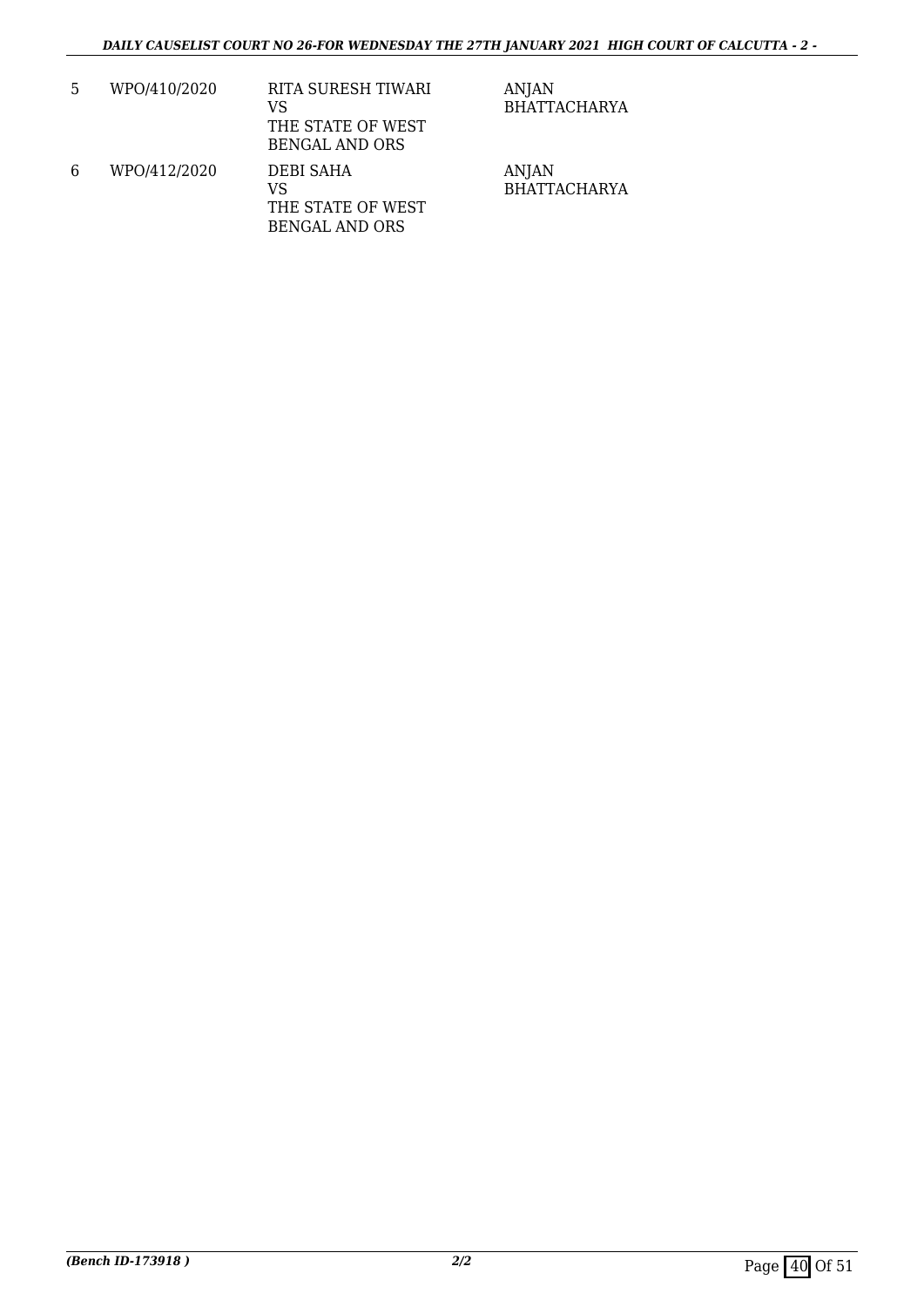| 5 | WPO/410/2020 | RITA SURESH TIWARI<br>VS<br>THE STATE OF WEST<br><b>BENGAL AND ORS</b> | <b>ANJAN</b><br><b>BHATTACHARYA</b> |
|---|--------------|------------------------------------------------------------------------|-------------------------------------|
| 6 | WPO/412/2020 | <b>DEBI SAHA</b><br>VS<br>THE STATE OF WEST<br><b>BENGAL AND ORS</b>   | <b>ANJAN</b><br><b>BHATTACHARYA</b> |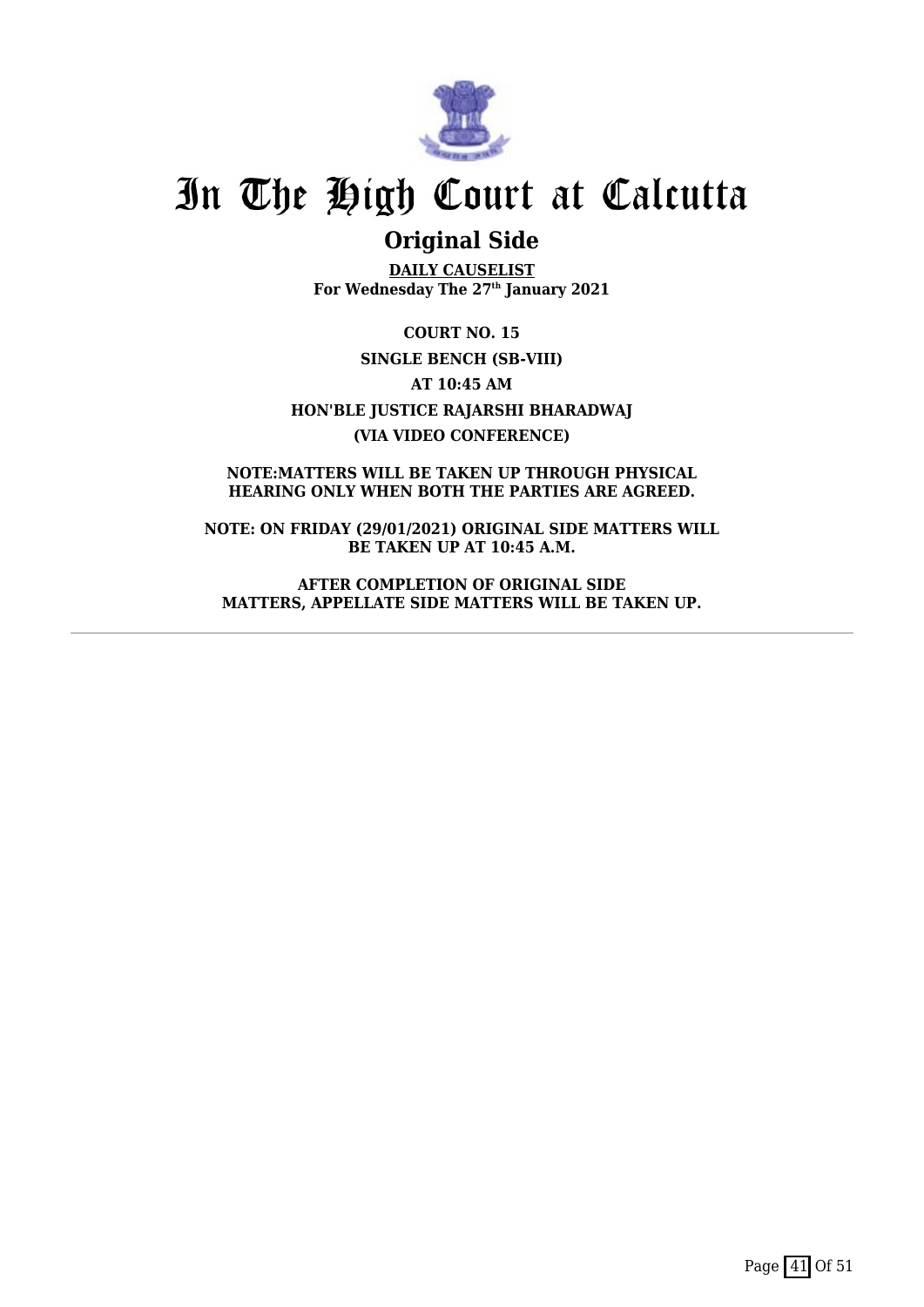

### **Original Side**

**DAILY CAUSELIST For Wednesday The 27th January 2021**

**COURT NO. 15 SINGLE BENCH (SB-VIII) AT 10:45 AM HON'BLE JUSTICE RAJARSHI BHARADWAJ (VIA VIDEO CONFERENCE)**

**NOTE:MATTERS WILL BE TAKEN UP THROUGH PHYSICAL HEARING ONLY WHEN BOTH THE PARTIES ARE AGREED.**

**NOTE: ON FRIDAY (29/01/2021) ORIGINAL SIDE MATTERS WILL BE TAKEN UP AT 10:45 A.M.**

**AFTER COMPLETION OF ORIGINAL SIDE MATTERS, APPELLATE SIDE MATTERS WILL BE TAKEN UP.**

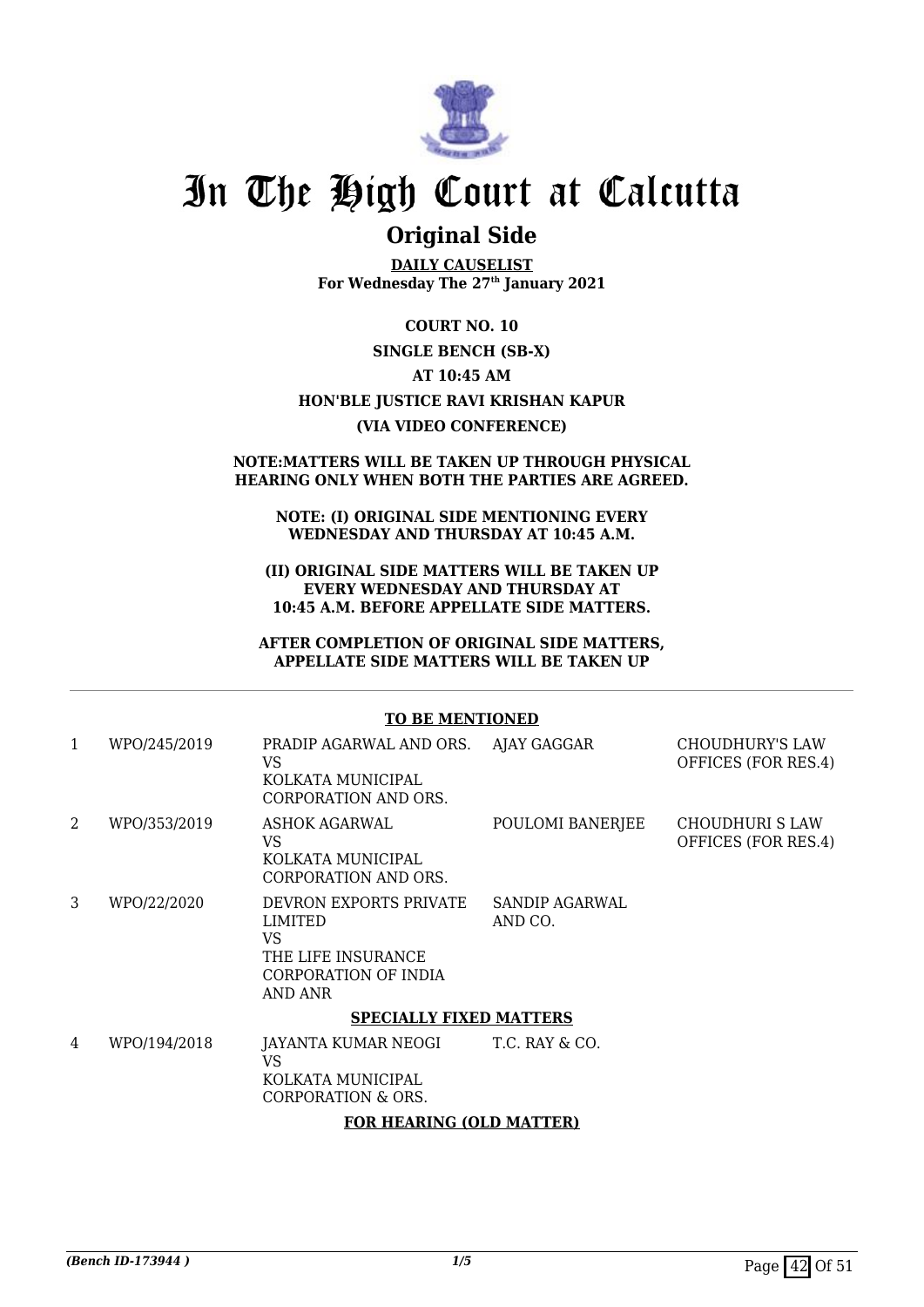

### **Original Side**

**DAILY CAUSELIST For Wednesday The 27th January 2021**

#### **COURT NO. 10**

#### **SINGLE BENCH (SB-X)**

**AT 10:45 AM**

#### **HON'BLE JUSTICE RAVI KRISHAN KAPUR**

#### **(VIA VIDEO CONFERENCE)**

#### **NOTE:MATTERS WILL BE TAKEN UP THROUGH PHYSICAL HEARING ONLY WHEN BOTH THE PARTIES ARE AGREED.**

#### **NOTE: (I) ORIGINAL SIDE MENTIONING EVERY WEDNESDAY AND THURSDAY AT 10:45 A.M.**

#### **(II) ORIGINAL SIDE MATTERS WILL BE TAKEN UP EVERY WEDNESDAY AND THURSDAY AT 10:45 A.M. BEFORE APPELLATE SIDE MATTERS.**

#### **AFTER COMPLETION OF ORIGINAL SIDE MATTERS, APPELLATE SIDE MATTERS WILL BE TAKEN UP**

#### **TO BE MENTIONED**

| $\mathbf{1}$ | WPO/245/2019                   | PRADIP AGARWAL AND ORS.<br>VS<br>KOLKATA MUNICIPAL<br>CORPORATION AND ORS.                              | AJAY GAGGAR               | CHOUDHURY'S LAW<br>OFFICES (FOR RES.4) |  |  |  |
|--------------|--------------------------------|---------------------------------------------------------------------------------------------------------|---------------------------|----------------------------------------|--|--|--|
| 2            | WPO/353/2019                   | ASHOK AGARWAL<br>VS<br>KOLKATA MUNICIPAL<br>CORPORATION AND ORS.                                        | POULOMI BANERJEE          | CHOUDHURI S LAW<br>OFFICES (FOR RES.4) |  |  |  |
| 3            | WPO/22/2020                    | DEVRON EXPORTS PRIVATE<br><b>LIMITED</b><br>VS<br>THE LIFE INSURANCE<br>CORPORATION OF INDIA<br>AND ANR | SANDIP AGARWAL<br>AND CO. |                                        |  |  |  |
|              | <b>SPECIALLY FIXED MATTERS</b> |                                                                                                         |                           |                                        |  |  |  |
| 4            | WPO/194/2018                   | JAYANTA KUMAR NEOGI<br>VS<br>KOLKATA MUNICIPAL<br>CORPORATION & ORS.                                    | T.C. RAY & CO.            |                                        |  |  |  |
|              | EAD HEADIMA (ALD MATEED)       |                                                                                                         |                           |                                        |  |  |  |

#### **FOR HEARING (OLD MATTER)**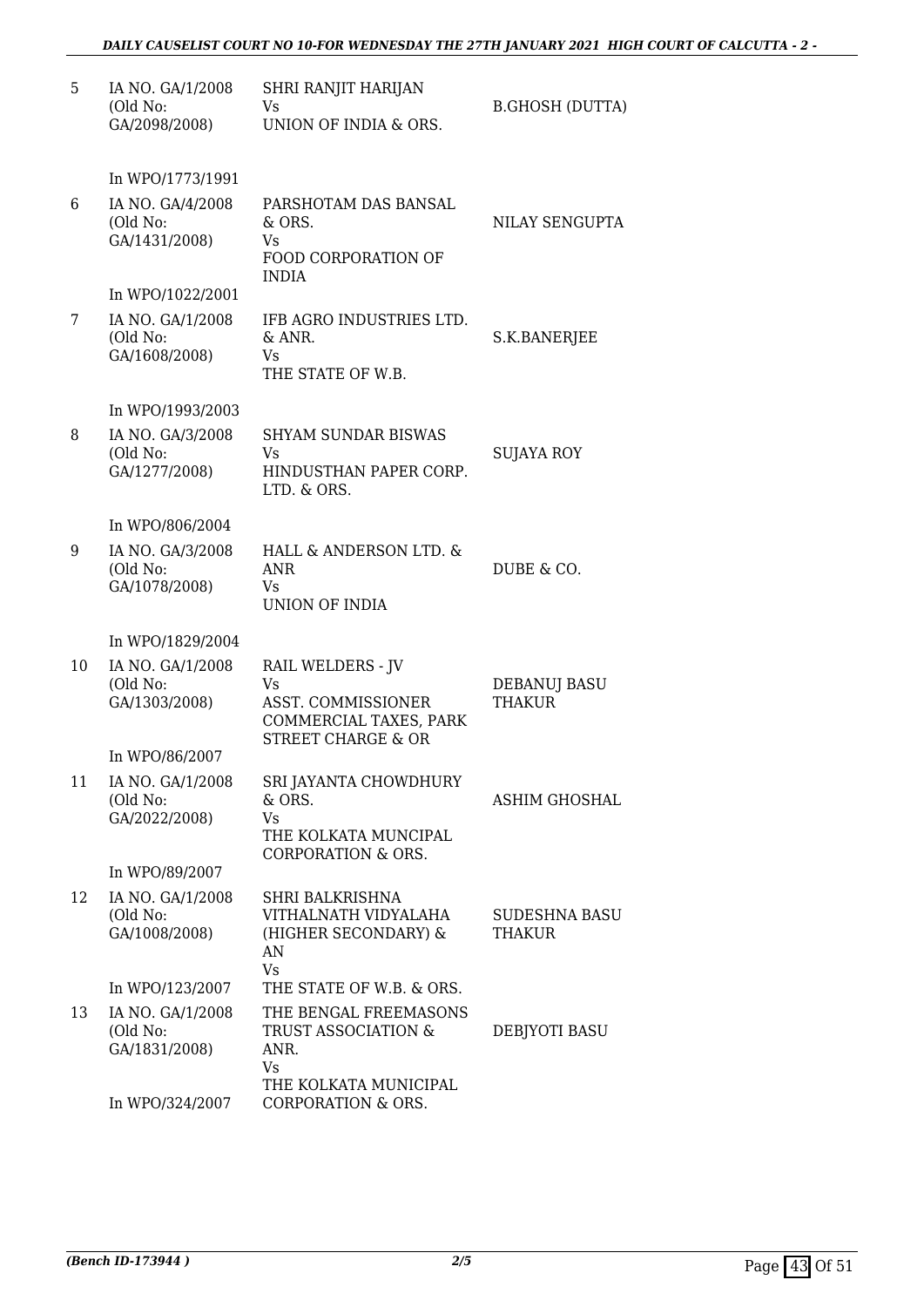| 5  | IA NO. GA/1/2008<br>(Old No:<br>GA/2098/2008)                    | SHRI RANJIT HARIJAN<br>Vs<br>UNION OF INDIA & ORS.                                                              | <b>B.GHOSH (DUTTA)</b>               |
|----|------------------------------------------------------------------|-----------------------------------------------------------------------------------------------------------------|--------------------------------------|
|    | In WPO/1773/1991                                                 |                                                                                                                 |                                      |
| 6  | IA NO. GA/4/2008<br>(Old No:<br>GA/1431/2008)                    | PARSHOTAM DAS BANSAL<br>& ORS.<br>Vs<br>FOOD CORPORATION OF                                                     | NILAY SENGUPTA                       |
|    | In WPO/1022/2001                                                 | <b>INDIA</b>                                                                                                    |                                      |
| 7  | IA NO. GA/1/2008<br>(Old No:<br>GA/1608/2008)                    | IFB AGRO INDUSTRIES LTD.<br>& ANR.<br>Vs<br>THE STATE OF W.B.                                                   | S.K.BANERJEE                         |
|    | In WPO/1993/2003                                                 |                                                                                                                 |                                      |
| 8  | IA NO. GA/3/2008<br>(Old No:<br>GA/1277/2008)                    | <b>SHYAM SUNDAR BISWAS</b><br>Vs.<br>HINDUSTHAN PAPER CORP.<br>LTD. & ORS.                                      | SUJAYA ROY                           |
|    |                                                                  |                                                                                                                 |                                      |
| 9  | In WPO/806/2004<br>IA NO. GA/3/2008<br>(Old No:<br>GA/1078/2008) | HALL & ANDERSON LTD. &<br>ANR<br>Vs<br>UNION OF INDIA                                                           | DUBE & CO.                           |
|    | In WPO/1829/2004                                                 |                                                                                                                 |                                      |
| 10 | IA NO. GA/1/2008<br>(Old No:<br>GA/1303/2008)                    | <b>RAIL WELDERS - JV</b><br>Vs<br>ASST. COMMISSIONER<br>COMMERCIAL TAXES, PARK<br><b>STREET CHARGE &amp; OR</b> | <b>DEBANUJ BASU</b><br><b>THAKUR</b> |
|    | In WPO/86/2007                                                   |                                                                                                                 |                                      |
| 11 | IA NO. GA/1/2008<br>(Old No:<br>GA/2022/2008)                    | SRI JAYANTA CHOWDHURY<br>& ORS.<br>Vs<br>THE KOLKATA MUNCIPAL<br>CORPORATION & ORS.                             | ASHIM GHOSHAL                        |
|    | In WPO/89/2007                                                   |                                                                                                                 |                                      |
| 12 | IA NO. GA/1/2008<br>(Old No:<br>GA/1008/2008)                    | SHRI BALKRISHNA<br>VITHALNATH VIDYALAHA<br>(HIGHER SECONDARY) &<br>AN<br><b>Vs</b>                              | SUDESHNA BASU<br>THAKUR              |
|    | In WPO/123/2007                                                  | THE STATE OF W.B. & ORS.                                                                                        |                                      |
| 13 | IA NO. GA/1/2008<br>(Old No:<br>GA/1831/2008)                    | THE BENGAL FREEMASONS<br>TRUST ASSOCIATION &<br>ANR.<br>Vs                                                      | DEBJYOTI BASU                        |
|    | In WPO/324/2007                                                  | THE KOLKATA MUNICIPAL<br>CORPORATION & ORS.                                                                     |                                      |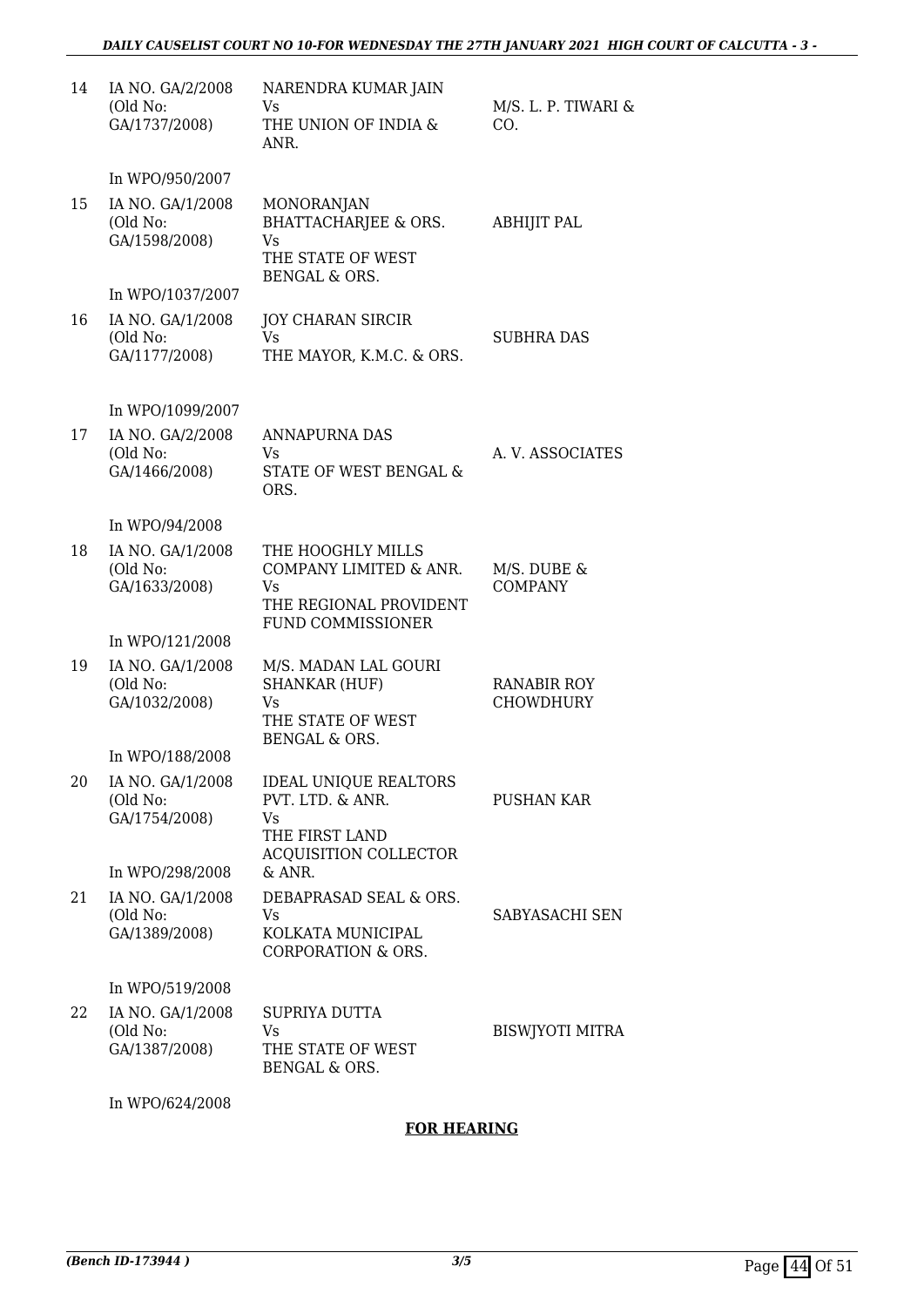| 14 | IA NO. GA/2/2008<br>(Old No:<br>GA/1737/2008) | NARENDRA KUMAR JAIN<br>Vs<br>THE UNION OF INDIA &<br>ANR.                                               | M/S. L. P. TIWARI &<br>CO.      |
|----|-----------------------------------------------|---------------------------------------------------------------------------------------------------------|---------------------------------|
|    | In WPO/950/2007                               |                                                                                                         |                                 |
| 15 | IA NO. GA/1/2008<br>(Old No:<br>GA/1598/2008) | <b>MONORANJAN</b><br><b>BHATTACHARJEE &amp; ORS.</b><br>Vs<br>THE STATE OF WEST<br>BENGAL & ORS.        | <b>ABHIJIT PAL</b>              |
|    | In WPO/1037/2007                              |                                                                                                         |                                 |
| 16 | IA NO. GA/1/2008<br>(Old No:<br>GA/1177/2008) | <b>JOY CHARAN SIRCIR</b><br>Vs<br>THE MAYOR, K.M.C. & ORS.                                              | <b>SUBHRA DAS</b>               |
|    | In WPO/1099/2007                              |                                                                                                         |                                 |
| 17 | IA NO. GA/2/2008<br>(Old No:<br>GA/1466/2008) | <b>ANNAPURNA DAS</b><br>Vs<br>STATE OF WEST BENGAL &<br>ORS.                                            | A. V. ASSOCIATES                |
|    | In WPO/94/2008                                |                                                                                                         |                                 |
| 18 | IA NO. GA/1/2008<br>(Old No:<br>GA/1633/2008) | THE HOOGHLY MILLS<br>COMPANY LIMITED & ANR.<br>Vs<br>THE REGIONAL PROVIDENT<br><b>FUND COMMISSIONER</b> | M/S. DUBE &<br><b>COMPANY</b>   |
|    | In WPO/121/2008                               |                                                                                                         |                                 |
| 19 | IA NO. GA/1/2008<br>(Old No:<br>GA/1032/2008) | M/S. MADAN LAL GOURI<br><b>SHANKAR (HUF)</b><br>Vs<br>THE STATE OF WEST<br>BENGAL & ORS.                | <b>RANABIR ROY</b><br>CHOWDHURY |
|    | In WPO/188/2008                               |                                                                                                         |                                 |
| 20 | IA NO. GA/1/2008<br>(Old No:<br>GA/1754/2008) | <b>IDEAL UNIQUE REALTORS</b><br>PVT. LTD. & ANR.<br>Vs<br>THE FIRST LAND                                | PUSHAN KAR                      |
|    | In WPO/298/2008                               | <b>ACQUISITION COLLECTOR</b><br>& ANR.                                                                  |                                 |
| 21 | IA NO. GA/1/2008<br>(Old No:<br>GA/1389/2008) | DEBAPRASAD SEAL & ORS.<br>Vs<br>KOLKATA MUNICIPAL<br><b>CORPORATION &amp; ORS.</b>                      | SABYASACHI SEN                  |
|    | In WPO/519/2008                               |                                                                                                         |                                 |
| 22 | IA NO. GA/1/2008<br>(Old No:<br>GA/1387/2008) | SUPRIYA DUTTA<br>Vs<br>THE STATE OF WEST<br>BENGAL & ORS.                                               | <b>BISWJYOTI MITRA</b>          |

In WPO/624/2008

#### **FOR HEARING**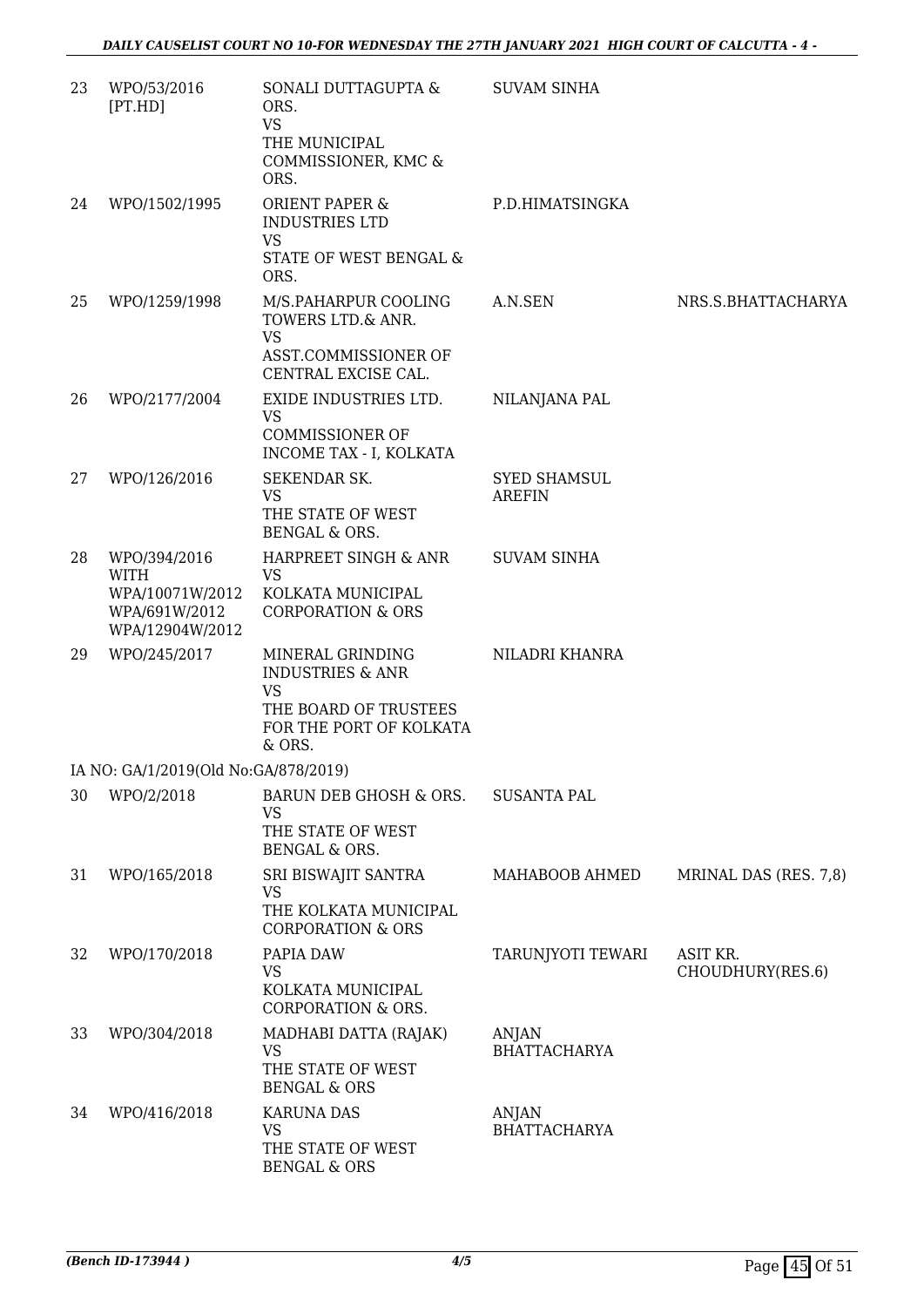| 23 | WPO/53/2016<br>[PT.HD]                                             | SONALI DUTTAGUPTA &<br>ORS.<br><b>VS</b><br>THE MUNICIPAL<br>COMMISSIONER, KMC &<br>ORS.                            | <b>SUVAM SINHA</b>                   |                              |
|----|--------------------------------------------------------------------|---------------------------------------------------------------------------------------------------------------------|--------------------------------------|------------------------------|
| 24 | WPO/1502/1995                                                      | <b>ORIENT PAPER &amp;</b><br><b>INDUSTRIES LTD</b><br><b>VS</b><br>STATE OF WEST BENGAL &<br>ORS.                   | P.D.HIMATSINGKA                      |                              |
| 25 | WPO/1259/1998                                                      | M/S.PAHARPUR COOLING<br>TOWERS LTD.& ANR.<br>VS<br>ASST.COMMISSIONER OF<br>CENTRAL EXCISE CAL.                      | A.N.SEN                              | NRS.S.BHATTACHARYA           |
| 26 | WPO/2177/2004                                                      | EXIDE INDUSTRIES LTD.<br><b>VS</b><br><b>COMMISSIONER OF</b><br>INCOME TAX - I, KOLKATA                             | NILANJANA PAL                        |                              |
| 27 | WPO/126/2016                                                       | SEKENDAR SK.<br>VS.<br>THE STATE OF WEST<br><b>BENGAL &amp; ORS.</b>                                                | <b>SYED SHAMSUL</b><br><b>AREFIN</b> |                              |
| 28 | WPO/394/2016                                                       | HARPREET SINGH & ANR                                                                                                | <b>SUVAM SINHA</b>                   |                              |
|    | <b>WITH</b><br>WPA/10071W/2012<br>WPA/691W/2012<br>WPA/12904W/2012 | <b>VS</b><br>KOLKATA MUNICIPAL<br><b>CORPORATION &amp; ORS</b>                                                      |                                      |                              |
| 29 | WPO/245/2017                                                       | MINERAL GRINDING<br><b>INDUSTRIES &amp; ANR</b><br>VS<br>THE BOARD OF TRUSTEES<br>FOR THE PORT OF KOLKATA<br>& ORS. | NILADRI KHANRA                       |                              |
|    | IA NO: GA/1/2019(Old No:GA/878/2019)                               |                                                                                                                     |                                      |                              |
| 30 | WPO/2/2018                                                         | BARUN DEB GHOSH & ORS.<br>VS<br>THE STATE OF WEST<br>BENGAL & ORS.                                                  | <b>SUSANTA PAL</b>                   |                              |
| 31 | WPO/165/2018                                                       | SRI BISWAJIT SANTRA<br><b>VS</b><br>THE KOLKATA MUNICIPAL<br><b>CORPORATION &amp; ORS</b>                           | MAHABOOB AHMED                       | MRINAL DAS (RES. 7,8)        |
| 32 | WPO/170/2018                                                       | PAPIA DAW<br>VS<br>KOLKATA MUNICIPAL<br>CORPORATION & ORS.                                                          | TARUNJYOTI TEWARI                    | ASIT KR.<br>CHOUDHURY(RES.6) |
| 33 | WPO/304/2018                                                       | MADHABI DATTA (RAJAK)<br><b>VS</b><br>THE STATE OF WEST<br><b>BENGAL &amp; ORS</b>                                  | ANJAN<br><b>BHATTACHARYA</b>         |                              |
| 34 | WPO/416/2018                                                       | <b>KARUNA DAS</b><br>VS<br>THE STATE OF WEST<br><b>BENGAL &amp; ORS</b>                                             | ANJAN<br><b>BHATTACHARYA</b>         |                              |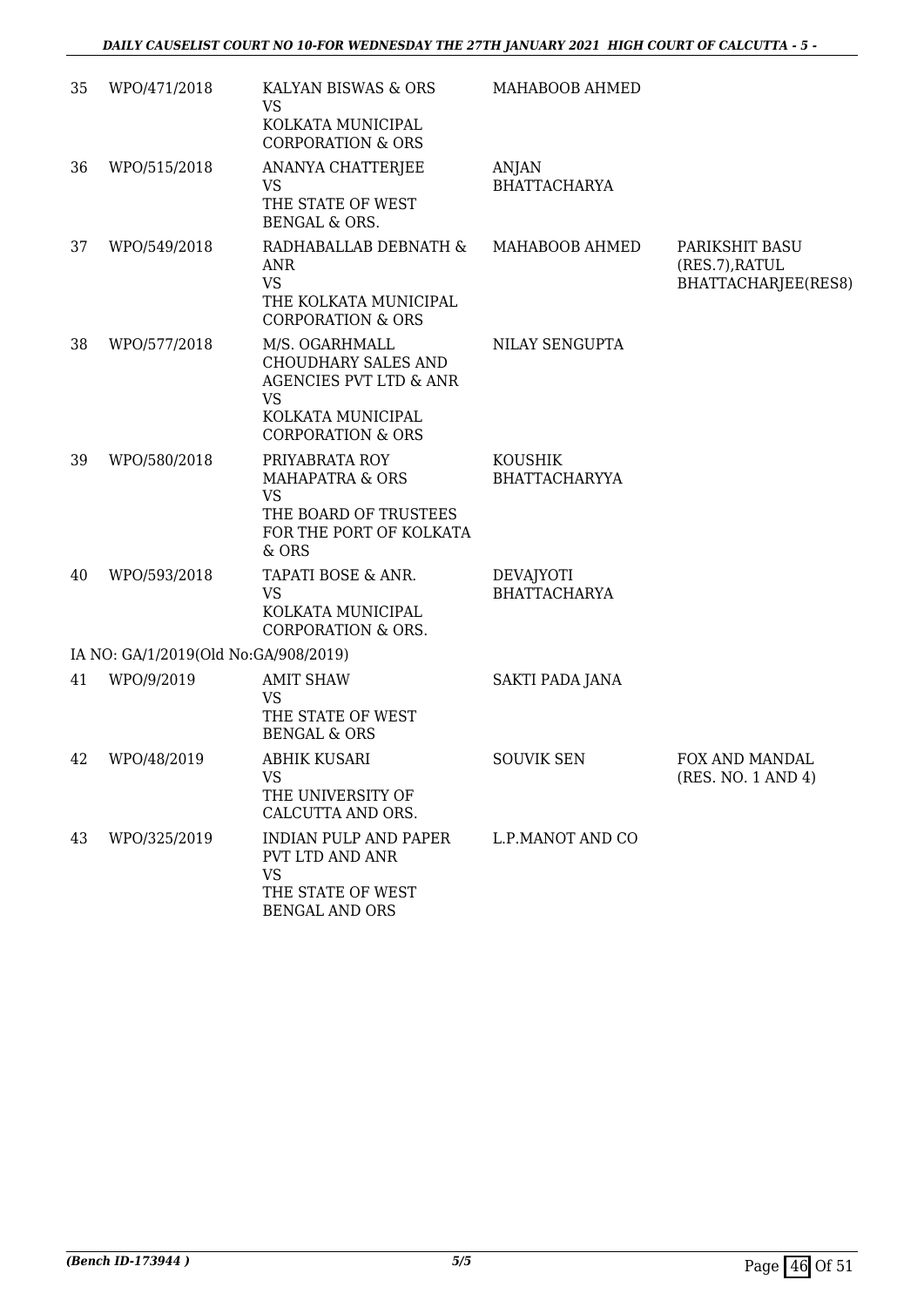| 35 | WPO/471/2018                         | KALYAN BISWAS & ORS<br>VS                                                                                                                           | MAHABOOB AHMED                          |                                                         |
|----|--------------------------------------|-----------------------------------------------------------------------------------------------------------------------------------------------------|-----------------------------------------|---------------------------------------------------------|
|    |                                      | KOLKATA MUNICIPAL<br><b>CORPORATION &amp; ORS</b>                                                                                                   |                                         |                                                         |
| 36 | WPO/515/2018                         | ANANYA CHATTERJEE<br><b>VS</b><br>THE STATE OF WEST<br><b>BENGAL &amp; ORS.</b>                                                                     | ANJAN<br><b>BHATTACHARYA</b>            |                                                         |
| 37 | WPO/549/2018                         | RADHABALLAB DEBNATH &<br>ANR<br><b>VS</b><br>THE KOLKATA MUNICIPAL<br><b>CORPORATION &amp; ORS</b>                                                  | MAHABOOB AHMED                          | PARIKSHIT BASU<br>(RES.7), RATUL<br>BHATTACHARJEE(RES8) |
| 38 | WPO/577/2018                         | M/S. OGARHMALL<br><b>CHOUDHARY SALES AND</b><br><b>AGENCIES PVT LTD &amp; ANR</b><br><b>VS</b><br>KOLKATA MUNICIPAL<br><b>CORPORATION &amp; ORS</b> | NILAY SENGUPTA                          |                                                         |
| 39 | WPO/580/2018                         | PRIYABRATA ROY<br><b>MAHAPATRA &amp; ORS</b><br><b>VS</b><br>THE BOARD OF TRUSTEES<br>FOR THE PORT OF KOLKATA<br>& ORS                              | <b>KOUSHIK</b><br><b>BHATTACHARYYA</b>  |                                                         |
| 40 | WPO/593/2018                         | TAPATI BOSE & ANR.<br><b>VS</b><br>KOLKATA MUNICIPAL<br><b>CORPORATION &amp; ORS.</b>                                                               | <b>DEVAJYOTI</b><br><b>BHATTACHARYA</b> |                                                         |
|    | IA NO: GA/1/2019(Old No:GA/908/2019) |                                                                                                                                                     |                                         |                                                         |
| 41 | WPO/9/2019                           | <b>AMIT SHAW</b><br><b>VS</b><br>THE STATE OF WEST<br><b>BENGAL &amp; ORS</b>                                                                       | SAKTI PADA JANA                         |                                                         |
| 42 | WPO/48/2019                          | ABHIK KUSARI<br>VS<br>THE UNIVERSITY OF<br>CALCUTTA AND ORS.                                                                                        | <b>SOUVIK SEN</b>                       | FOX AND MANDAL<br>(RES. NO. 1 AND 4)                    |
| 43 | WPO/325/2019                         | INDIAN PULP AND PAPER<br>PVT LTD AND ANR<br><b>VS</b><br>THE STATE OF WEST<br><b>BENGAL AND ORS</b>                                                 | L.P.MANOT AND CO                        |                                                         |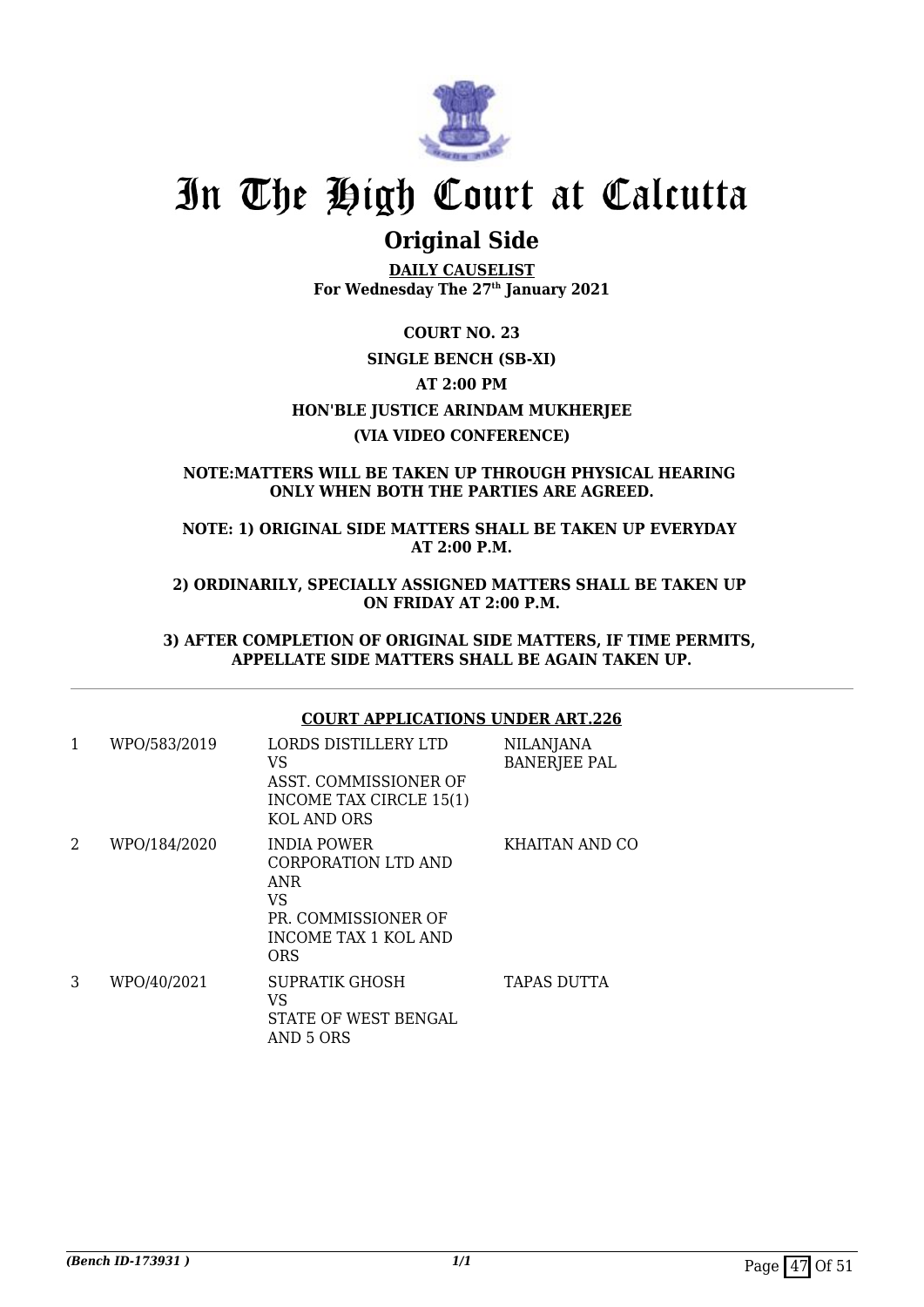

### **Original Side**

**DAILY CAUSELIST For Wednesday The 27th January 2021**

**COURT NO. 23 SINGLE BENCH (SB-XI) AT 2:00 PM HON'BLE JUSTICE ARINDAM MUKHERJEE (VIA VIDEO CONFERENCE)**

#### **NOTE:MATTERS WILL BE TAKEN UP THROUGH PHYSICAL HEARING ONLY WHEN BOTH THE PARTIES ARE AGREED.**

**NOTE: 1) ORIGINAL SIDE MATTERS SHALL BE TAKEN UP EVERYDAY AT 2:00 P.M.**

**2) ORDINARILY, SPECIALLY ASSIGNED MATTERS SHALL BE TAKEN UP ON FRIDAY AT 2:00 P.M.**

**3) AFTER COMPLETION OF ORIGINAL SIDE MATTERS, IF TIME PERMITS, APPELLATE SIDE MATTERS SHALL BE AGAIN TAKEN UP.**

#### **COURT APPLICATIONS UNDER ART.226**

| 1 | WPO/583/2019 | LORDS DISTILLERY LTD<br>VS<br>ASST. COMMISSIONER OF<br>INCOME TAX CIRCLE 15(1)<br>KOL AND ORS                              | <b>NILANJANA</b><br><b>BANERJEE PAL</b> |
|---|--------------|----------------------------------------------------------------------------------------------------------------------------|-----------------------------------------|
| 2 | WPO/184/2020 | <b>INDIA POWER</b><br>CORPORATION LTD AND<br>ANR<br><b>VS</b><br>PR. COMMISSIONER OF<br>INCOME TAX 1 KOL AND<br><b>ORS</b> | KHAITAN AND CO                          |
| 3 | WPO/40/2021  | SUPRATIK GHOSH<br>VS<br><b>STATE OF WEST BENGAL</b><br>AND 5 ORS                                                           | TAPAS DUTTA                             |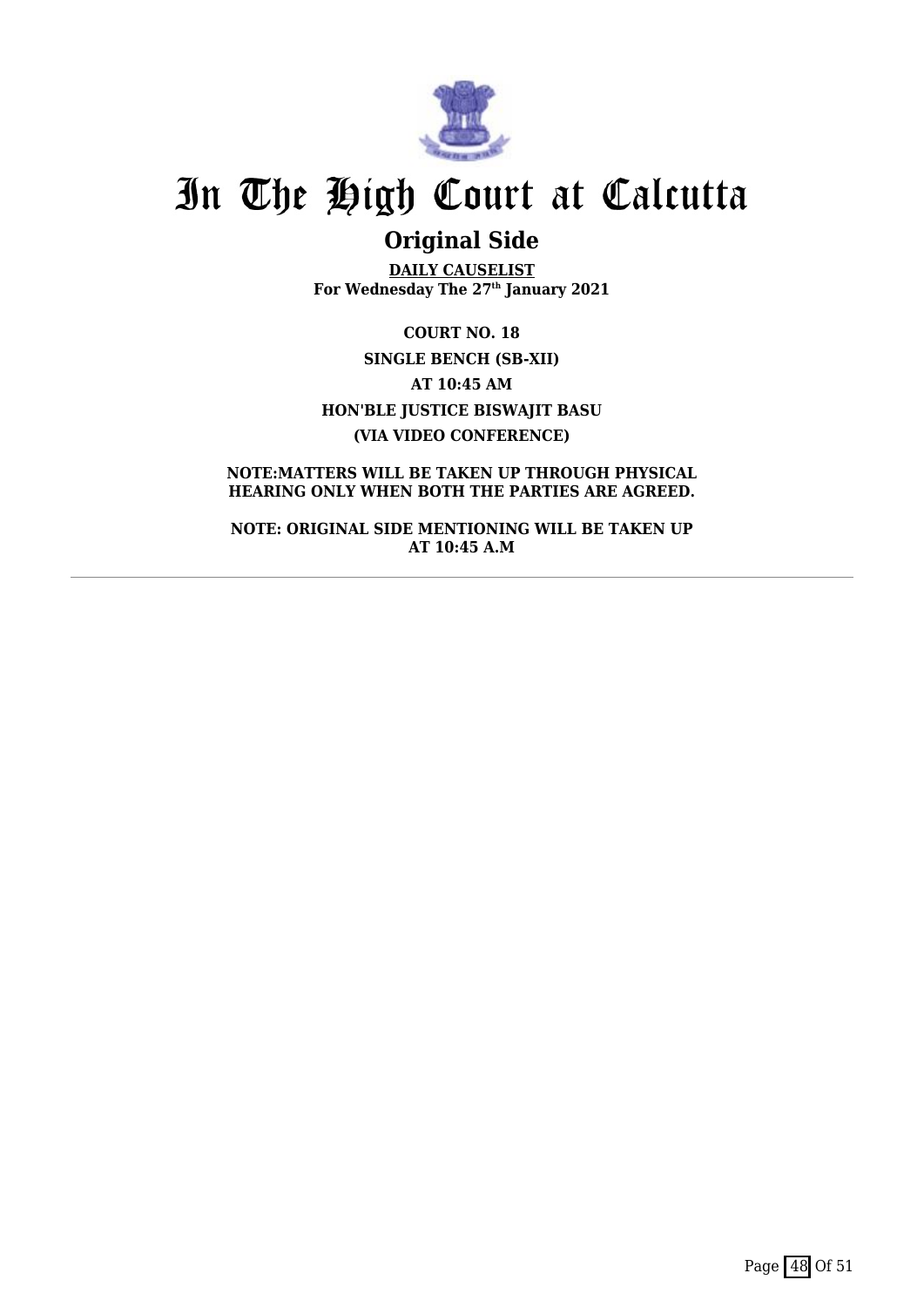

## **Original Side**

**DAILY CAUSELIST For Wednesday The 27th January 2021**

**COURT NO. 18 SINGLE BENCH (SB-XII) AT 10:45 AM HON'BLE JUSTICE BISWAJIT BASU (VIA VIDEO CONFERENCE)**

#### **NOTE:MATTERS WILL BE TAKEN UP THROUGH PHYSICAL HEARING ONLY WHEN BOTH THE PARTIES ARE AGREED.**

**NOTE: ORIGINAL SIDE MENTIONING WILL BE TAKEN UP AT 10:45 A.M**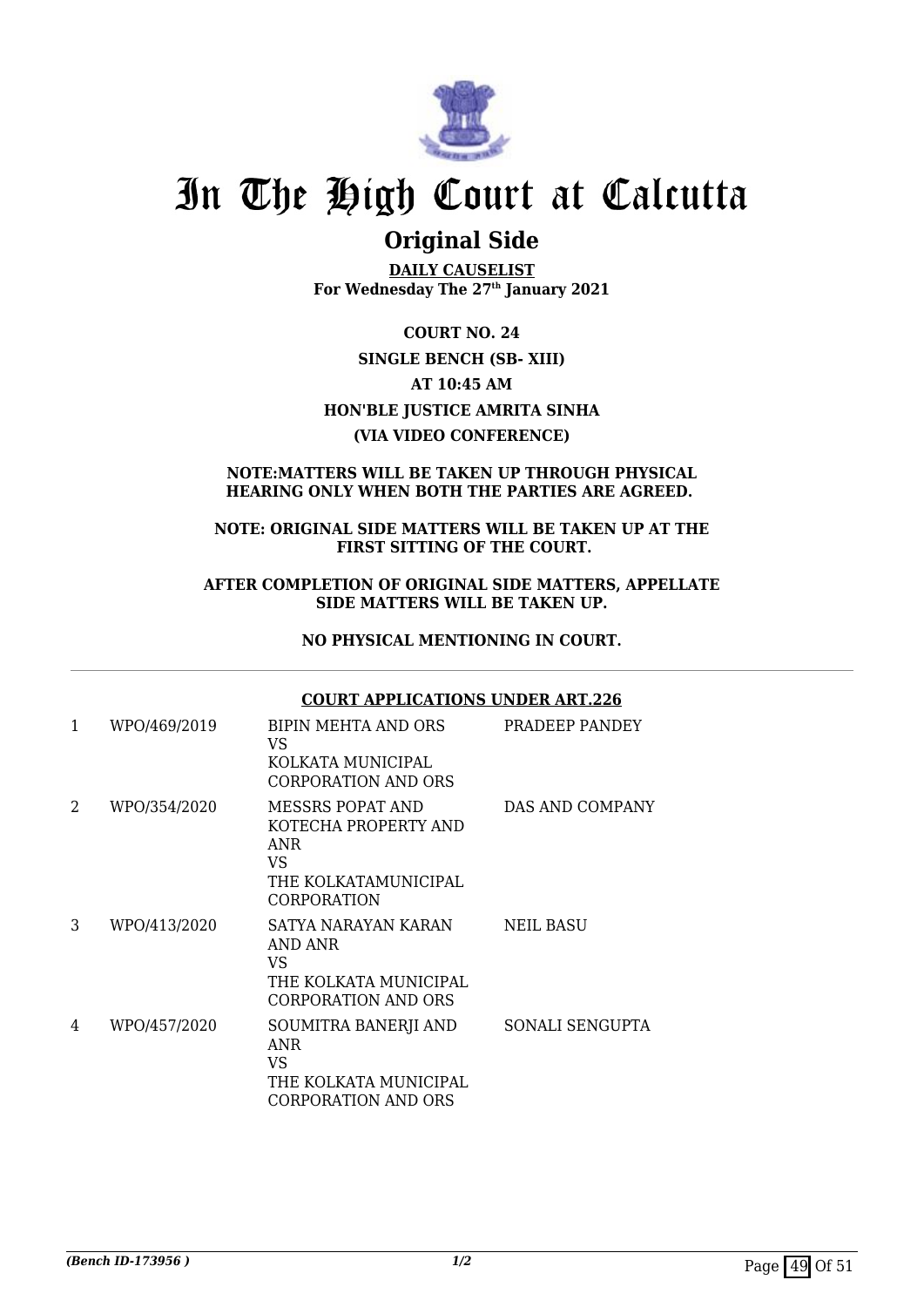

### **Original Side**

**DAILY CAUSELIST For Wednesday The 27th January 2021**

**COURT NO. 24 SINGLE BENCH (SB- XIII) AT 10:45 AM HON'BLE JUSTICE AMRITA SINHA (VIA VIDEO CONFERENCE)**

#### **NOTE:MATTERS WILL BE TAKEN UP THROUGH PHYSICAL HEARING ONLY WHEN BOTH THE PARTIES ARE AGREED.**

#### **NOTE: ORIGINAL SIDE MATTERS WILL BE TAKEN UP AT THE FIRST SITTING OF THE COURT.**

#### **AFTER COMPLETION OF ORIGINAL SIDE MATTERS, APPELLATE SIDE MATTERS WILL BE TAKEN UP.**

#### **NO PHYSICAL MENTIONING IN COURT.**

#### **COURT APPLICATIONS UNDER ART.226**

| 1 | WPO/469/2019 | BIPIN MEHTA AND ORS<br>VS<br>KOLKATA MUNICIPAL<br><b>CORPORATION AND ORS</b>                               | PRADEEP PANDEY   |
|---|--------------|------------------------------------------------------------------------------------------------------------|------------------|
| 2 | WPO/354/2020 | MESSRS POPAT AND<br>KOTECHA PROPERTY AND<br><b>ANR</b><br>VS<br>THE KOLKATAMUNICIPAL<br><b>CORPORATION</b> | DAS AND COMPANY  |
| 3 | WPO/413/2020 | SATYA NARAYAN KARAN<br>AND ANR<br>VS<br>THE KOLKATA MUNICIPAL<br>CORPORATION AND ORS                       | <b>NEIL BASU</b> |
| 4 | WPO/457/2020 | SOUMITRA BANERJI AND<br><b>ANR</b><br>VS<br>THE KOLKATA MUNICIPAL<br>CORPORATION AND ORS                   | SONALI SENGUPTA  |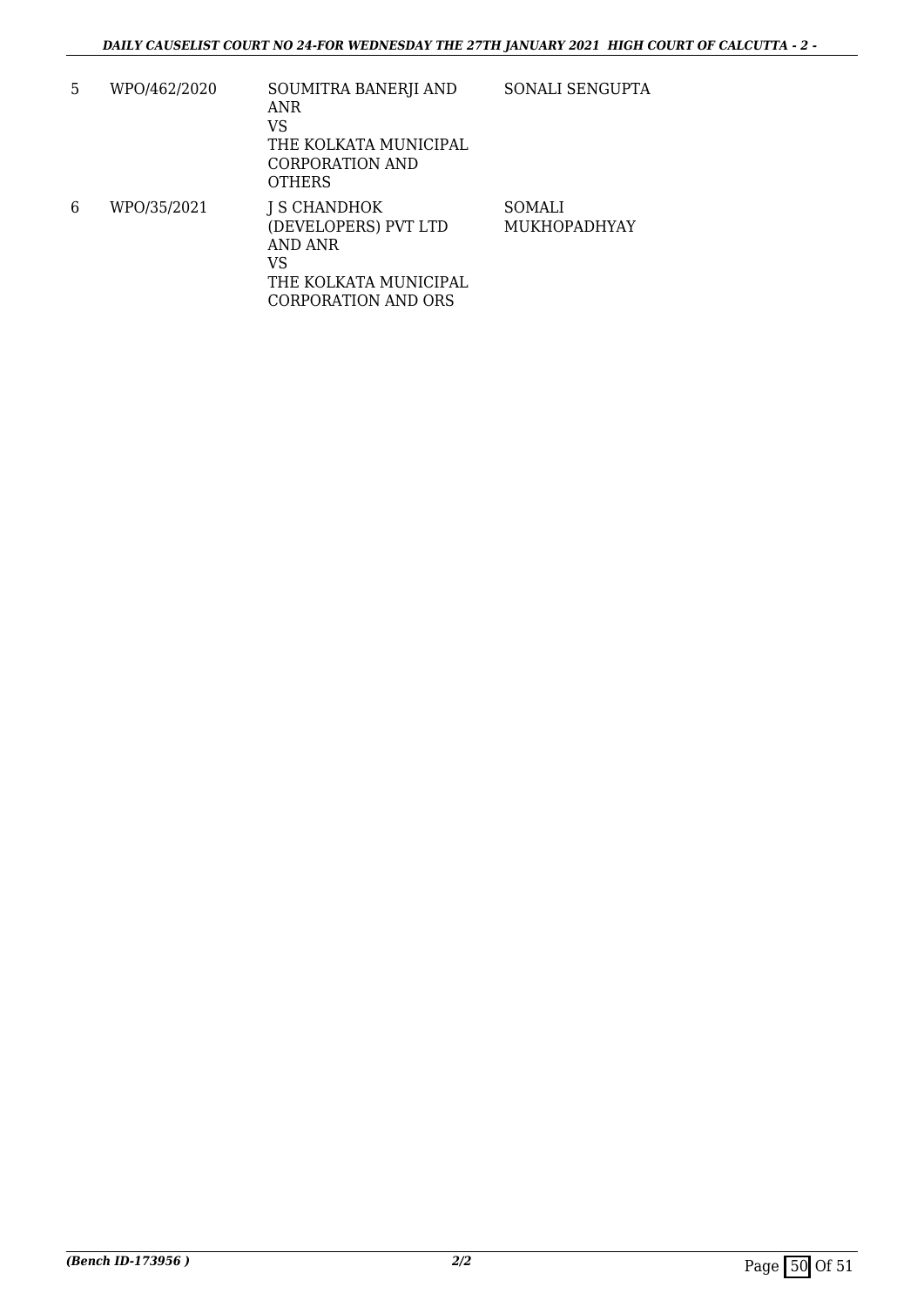5 WPO/462/2020 SOUMITRA BANERJI AND ANR VS THE KOLKATA MUNICIPAL CORPORATION AND **OTHERS** SONALI SENGUPTA 6 WPO/35/2021 J S CHANDHOK (DEVELOPERS) PVT LTD AND ANR VS THE KOLKATA MUNICIPAL CORPORATION AND ORS SOMALI MUKHOPADHYAY